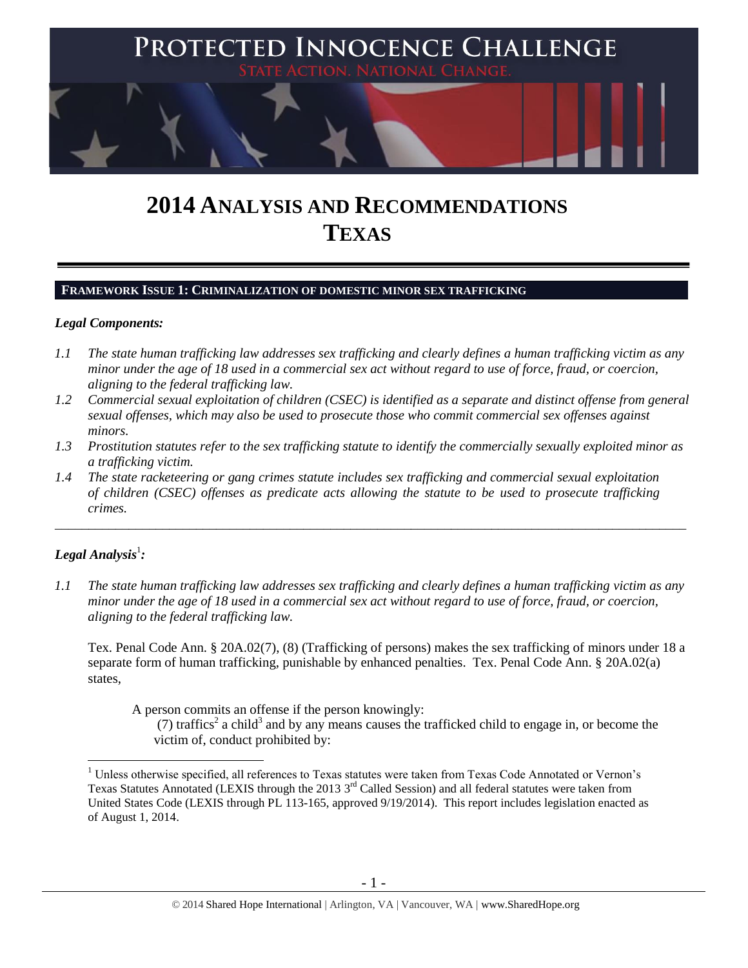

# **2014 ANALYSIS AND RECOMMENDATIONS TEXAS**

## **FRAMEWORK ISSUE 1: CRIMINALIZATION OF DOMESTIC MINOR SEX TRAFFICKING**

#### *Legal Components:*

- *1.1 The state human trafficking law addresses sex trafficking and clearly defines a human trafficking victim as any minor under the age of 18 used in a commercial sex act without regard to use of force, fraud, or coercion, aligning to the federal trafficking law.*
- *1.2 Commercial sexual exploitation of children (CSEC) is identified as a separate and distinct offense from general sexual offenses, which may also be used to prosecute those who commit commercial sex offenses against minors.*
- *1.3 Prostitution statutes refer to the sex trafficking statute to identify the commercially sexually exploited minor as a trafficking victim.*

\_\_\_\_\_\_\_\_\_\_\_\_\_\_\_\_\_\_\_\_\_\_\_\_\_\_\_\_\_\_\_\_\_\_\_\_\_\_\_\_\_\_\_\_\_\_\_\_\_\_\_\_\_\_\_\_\_\_\_\_\_\_\_\_\_\_\_\_\_\_\_\_\_\_\_\_\_\_\_\_\_\_\_\_\_\_\_\_\_\_\_\_\_\_

*1.4 The state racketeering or gang crimes statute includes sex trafficking and commercial sexual exploitation of children (CSEC) offenses as predicate acts allowing the statute to be used to prosecute trafficking crimes.* 

## $\bm{L}$ egal Analysis $^1$ :

 $\overline{a}$ 

*1.1 The state human trafficking law addresses sex trafficking and clearly defines a human trafficking victim as any minor under the age of 18 used in a commercial sex act without regard to use of force, fraud, or coercion, aligning to the federal trafficking law.*

Tex. Penal Code Ann. § 20A.02(7), (8) (Trafficking of persons) makes the sex trafficking of minors under 18 a separate form of human trafficking, punishable by enhanced penalties. Tex. Penal Code Ann. § 20A.02(a) states,

A person commits an offense if the person knowingly:

(7) traffics<sup>2</sup> a child<sup>3</sup> and by any means causes the trafficked child to engage in, or become the victim of, conduct prohibited by:

<sup>&</sup>lt;sup>1</sup> Unless otherwise specified, all references to Texas statutes were taken from Texas Code Annotated or Vernon's Texas Statutes Annotated (LEXIS through the 2013 3<sup>rd</sup> Called Session) and all federal statutes were taken from United States Code (LEXIS through PL 113-165, approved 9/19/2014). This report includes legislation enacted as of August 1, 2014.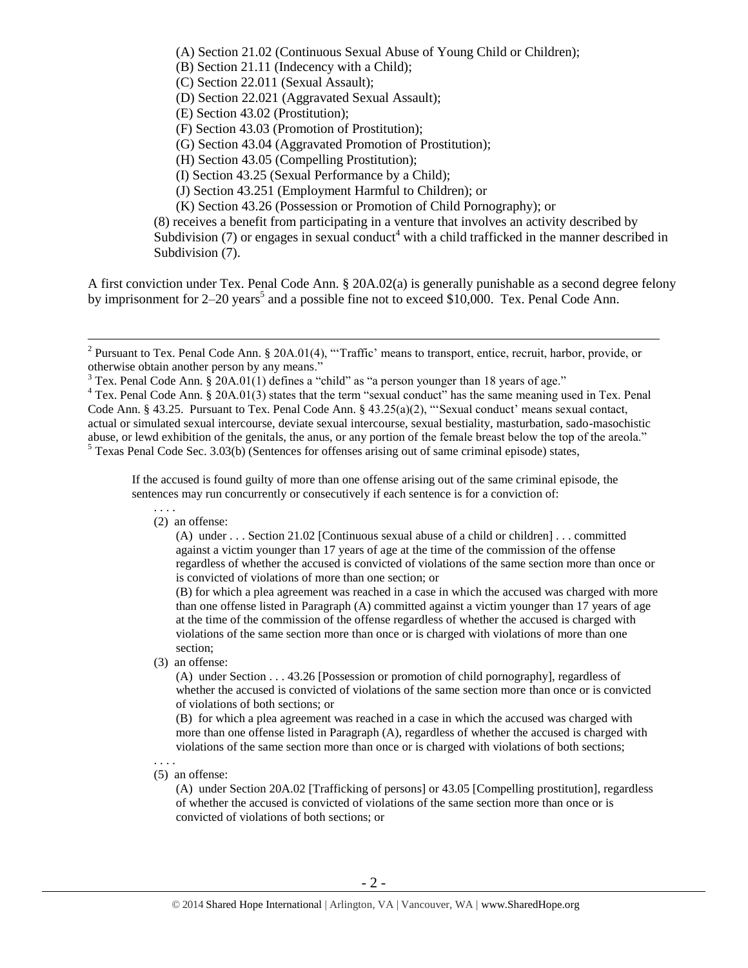<span id="page-1-1"></span>(A) Section 21.02 (Continuous Sexual Abuse of Young Child or Children); (B) Section 21.11 (Indecency with a Child); (C) Section 22.011 (Sexual Assault); (D) Section 22.021 (Aggravated Sexual Assault); (E) Section 43.02 (Prostitution); (F) Section 43.03 (Promotion of Prostitution); (G) Section 43.04 (Aggravated Promotion of Prostitution); (H) Section 43.05 (Compelling Prostitution); (I) Section 43.25 (Sexual Performance by a Child); (J) Section 43.251 (Employment Harmful to Children); or (K) Section 43.26 (Possession or Promotion of Child Pornography); or (8) receives a benefit from participating in a venture that involves an activity described by Subdivision (7) or engages in sexual conduct<sup>4</sup> with a child trafficked in the manner described in Subdivision (7).

<span id="page-1-0"></span>A first conviction under Tex. Penal Code Ann. § 20A.02(a) is generally punishable as a second degree felony by imprisonment for  $2-20$  years<sup>5</sup> and a possible fine not to exceed \$10,000. Tex. Penal Code Ann.

If the accused is found guilty of more than one offense arising out of the same criminal episode, the sentences may run concurrently or consecutively if each sentence is for a conviction of:

(2) an offense:

(A) under . . . Section 21.02 [Continuous sexual abuse of a child or children] . . . committed against a victim younger than 17 years of age at the time of the commission of the offense regardless of whether the accused is convicted of violations of the same section more than once or is convicted of violations of more than one section; or

(B) for which a plea agreement was reached in a case in which the accused was charged with more than one offense listed in Paragraph (A) committed against a victim younger than 17 years of age at the time of the commission of the offense regardless of whether the accused is charged with violations of the same section more than once or is charged with violations of more than one section;

(3) an offense:

(A) under Section . . . 43.26 [Possession or promotion of child pornography], regardless of whether the accused is convicted of violations of the same section more than once or is convicted of violations of both sections; or

(B) for which a plea agreement was reached in a case in which the accused was charged with more than one offense listed in Paragraph (A), regardless of whether the accused is charged with violations of the same section more than once or is charged with violations of both sections;

. . . . (5) an offense:

> (A) under Section 20A.02 [Trafficking of persons] or 43.05 [Compelling prostitution], regardless of whether the accused is convicted of violations of the same section more than once or is convicted of violations of both sections; or

<sup>&</sup>lt;sup>2</sup> Pursuant to Tex. Penal Code Ann. § 20A.01(4), "Traffic' means to transport, entice, recruit, harbor, provide, or otherwise obtain another person by any means."

 $3$  Tex. Penal Code Ann.  $\hat{g}$  20A.01(1) defines a "child" as "a person younger than 18 years of age."

<sup>&</sup>lt;sup>4</sup> Tex. Penal Code Ann. § 20A.01(3) states that the term "sexual conduct" has the same meaning used in Tex. Penal Code Ann. § 43.25. Pursuant to Tex. Penal Code Ann. § 43.25(a)(2), "'Sexual conduct' means sexual contact, actual or simulated sexual intercourse, deviate sexual intercourse, sexual bestiality, masturbation, sado-masochistic abuse, or lewd exhibition of the genitals, the anus, or any portion of the female breast below the top of the areola." <sup>5</sup> Texas Penal Code Sec. 3.03(b) (Sentences for offenses arising out of same criminal episode) states,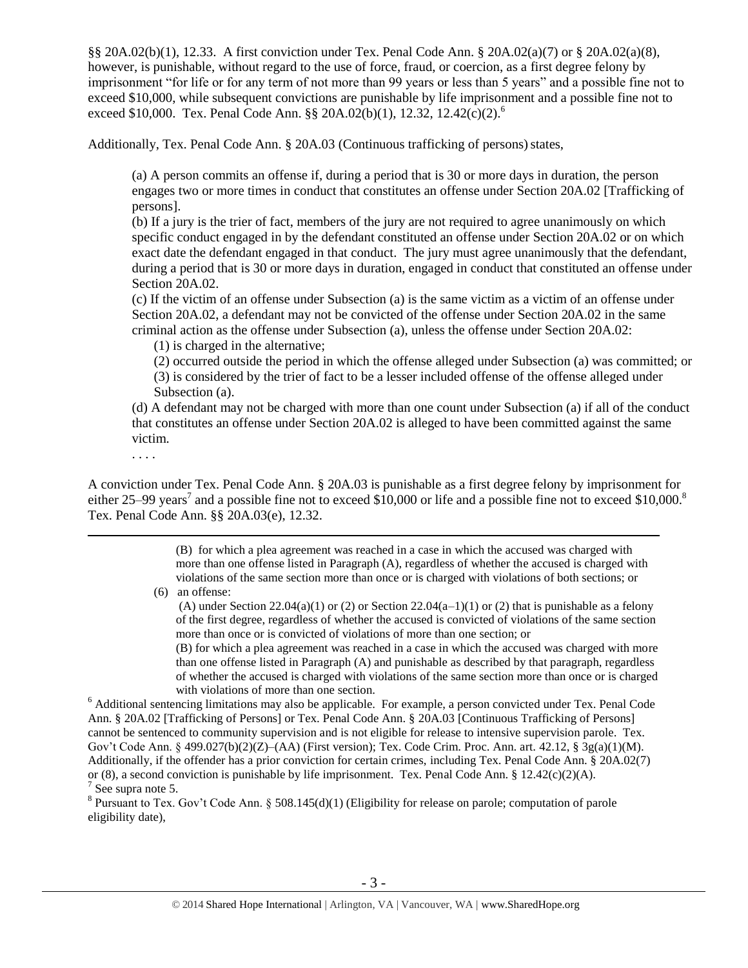§§ 20A.02(b)(1), 12.33. A first conviction under Tex. Penal Code Ann. § 20A.02(a)(7) or § 20A.02(a)(8), however, is punishable, without regard to the use of force, fraud, or coercion, as a first degree felony by imprisonment "for life or for any term of not more than 99 years or less than 5 years" and a possible fine not to exceed \$10,000, while subsequent convictions are punishable by life imprisonment and a possible fine not to exceed \$10,000. Tex. Penal Code Ann. §§ 20A.02(b)(1), 12.32, 12.42(c)(2).<sup>6</sup>

Additionally, Tex. Penal Code Ann. § 20A.03 (Continuous trafficking of persons) states,

<span id="page-2-0"></span>(a) A person commits an offense if, during a period that is 30 or more days in duration, the person engages two or more times in conduct that constitutes an offense under Section 20A.02 [Trafficking of persons].

(b) If a jury is the trier of fact, members of the jury are not required to agree unanimously on which specific conduct engaged in by the defendant constituted an offense under Section 20A.02 or on which exact date the defendant engaged in that conduct. The jury must agree unanimously that the defendant, during a period that is 30 or more days in duration, engaged in conduct that constituted an offense under Section 20A.02.

(c) If the victim of an offense under Subsection (a) is the same victim as a victim of an offense under Section 20A.02, a defendant may not be convicted of the offense under Section 20A.02 in the same criminal action as the offense under Subsection (a), unless the offense under Section 20A.02:

(1) is charged in the alternative;

(2) occurred outside the period in which the offense alleged under Subsection (a) was committed; or (3) is considered by the trier of fact to be a lesser included offense of the offense alleged under Subsection (a).

(d) A defendant may not be charged with more than one count under Subsection (a) if all of the conduct that constitutes an offense under Section 20A.02 is alleged to have been committed against the same victim.

. . . .

 $\overline{a}$ 

A conviction under Tex. Penal Code Ann. § 20A.03 is punishable as a first degree felony by imprisonment for either 25–99 years<sup>7</sup> and a possible fine not to exceed \$10,000 or life and a possible fine not to exceed \$10,000.<sup>8</sup> Tex. Penal Code Ann. §§ 20A.03(e), 12.32.

> <span id="page-2-1"></span>(B) for which a plea agreement was reached in a case in which the accused was charged with more than one offense listed in Paragraph (A), regardless of whether the accused is charged with violations of the same section more than once or is charged with violations of both sections; or

(6) an offense:

(A) under Section 22.04(a)(1) or (2) or Section 22.04(a–1)(1) or (2) that is punishable as a felony of the first degree, regardless of whether the accused is convicted of violations of the same section more than once or is convicted of violations of more than one section; or

(B) for which a plea agreement was reached in a case in which the accused was charged with more than one offense listed in Paragraph (A) and punishable as described by that paragraph, regardless of whether the accused is charged with violations of the same section more than once or is charged with violations of more than one section.

<sup>6</sup> Additional sentencing limitations may also be applicable. For example, a person convicted under Tex. Penal Code Ann. § 20A.02 [Trafficking of Persons] or Tex. Penal Code Ann. § 20A.03 [Continuous Trafficking of Persons] cannot be sentenced to community supervision and is not eligible for release to intensive supervision parole. Tex. Gov't Code Ann. § 499.027(b)(2)(Z)–(AA) (First version); Tex. Code Crim. Proc. Ann. art. 42.12, § 3g(a)(1)(M). Additionally, if the offender has a prior conviction for certain crimes, including Tex. Penal Code Ann. § 20A.02(7) or (8), a second conviction is punishable by life imprisonment. Tex. Penal Code Ann. § 12.42(c)(2)(A).  $7$  See supra note [5.](#page-1-0)

<sup>8</sup> Pursuant to Tex. Gov't Code Ann. § 508.145(d)(1) (Eligibility for release on parole; computation of parole eligibility date),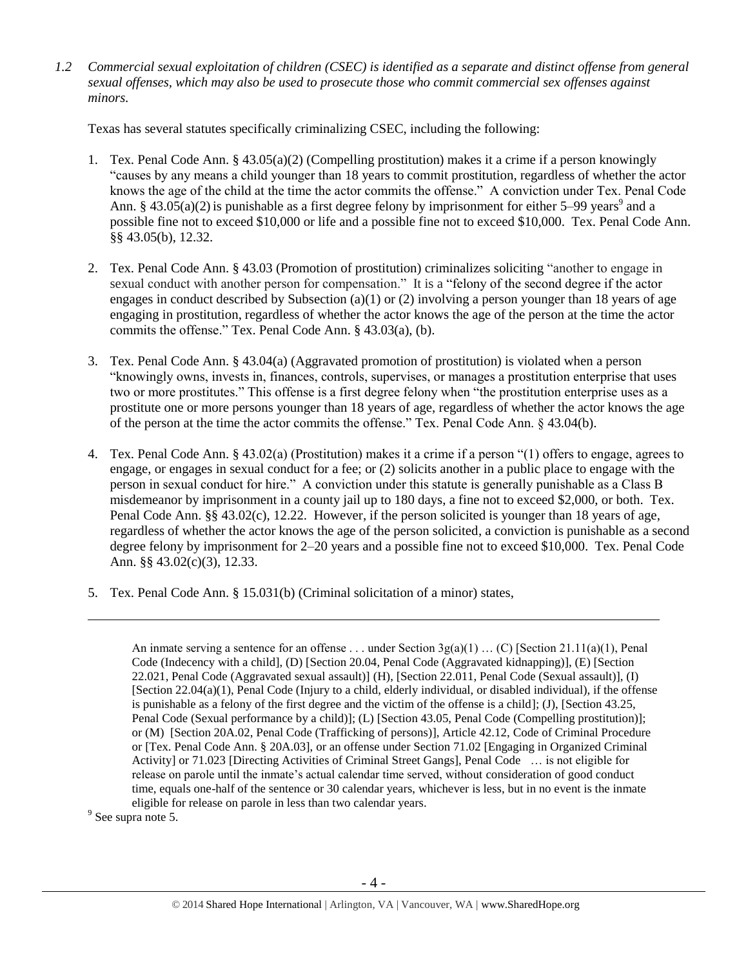*1.2 Commercial sexual exploitation of children (CSEC) is identified as a separate and distinct offense from general sexual offenses, which may also be used to prosecute those who commit commercial sex offenses against minors.*

Texas has several statutes specifically criminalizing CSEC, including the following:

- 1. Tex. Penal Code Ann. § 43.05(a)(2) (Compelling prostitution) makes it a crime if a person knowingly "causes by any means a child younger than 18 years to commit prostitution, regardless of whether the actor knows the age of the child at the time the actor commits the offense." A conviction under Tex. Penal Code Ann. § 43.05(a)(2) is punishable as a first degree felony by imprisonment for either 5–99 years<sup>9</sup> and a possible fine not to exceed \$10,000 or life and a possible fine not to exceed \$10,000. Tex. Penal Code Ann. §§ 43.05(b), 12.32.
- 2. Tex. Penal Code Ann. § 43.03 (Promotion of prostitution) criminalizes soliciting "another to engage in sexual conduct with another person for compensation." It is a "felony of the second degree if the actor engages in conduct described by Subsection (a)(1) or (2) involving a person younger than 18 years of age engaging in prostitution, regardless of whether the actor knows the age of the person at the time the actor commits the offense." Tex. Penal Code Ann. § 43.03(a), (b).
- 3. Tex. Penal Code Ann. § 43.04(a) (Aggravated promotion of prostitution) is violated when a person "knowingly owns, invests in, finances, controls, supervises, or manages a prostitution enterprise that uses two or more prostitutes." This offense is a first degree felony when "the prostitution enterprise uses as a prostitute one or more persons younger than 18 years of age, regardless of whether the actor knows the age of the person at the time the actor commits the offense." Tex. Penal Code Ann. § 43.04(b).
- 4. Tex. Penal Code Ann. § 43.02(a) (Prostitution) makes it a crime if a person "(1) offers to engage, agrees to engage, or engages in sexual conduct for a fee; or (2) solicits another in a public place to engage with the person in sexual conduct for hire." A conviction under this statute is generally punishable as a Class B misdemeanor by imprisonment in a county jail up to 180 days, a fine not to exceed \$2,000, or both. Tex. Penal Code Ann. §§ 43.02(c), 12.22. However, if the person solicited is younger than 18 years of age, regardless of whether the actor knows the age of the person solicited, a conviction is punishable as a second degree felony by imprisonment for 2–20 years and a possible fine not to exceed \$10,000. Tex. Penal Code Ann. §§ 43.02(c)(3), 12.33.
- 5. Tex. Penal Code Ann. § 15.031(b) (Criminal solicitation of a minor) states,

An inmate serving a sentence for an offense ... under Section  $3g(a)(1)$  ... (C) [Section 21.11(a)(1), Penal Code (Indecency with a child], (D) [Section 20.04, Penal Code (Aggravated kidnapping)], (E) [Section 22.021, Penal Code (Aggravated sexual assault)] (H), [Section 22.011, Penal Code (Sexual assault)], (I) [Section 22.04(a)(1), Penal Code (Injury to a child, elderly individual, or disabled individual), if the offense is punishable as a felony of the first degree and the victim of the offense is a child]; (J), [Section 43.25, Penal Code (Sexual performance by a child)]; (L) [Section 43.05, Penal Code (Compelling prostitution)]; or (M) [Section 20A.02, Penal Code (Trafficking of persons)], Article 42.12, Code of Criminal Procedure or [Tex. Penal Code Ann. § 20A.03], or an offense under Section 71.02 [Engaging in Organized Criminal Activity] or 71.023 [Directing Activities of Criminal Street Gangs], Penal Code … is not eligible for release on parole until the inmate's actual calendar time served, without consideration of good conduct time, equals one-half of the sentence or 30 calendar years, whichever is less, but in no event is the inmate eligible for release on parole in less than two calendar years.

<sup>9</sup> See supra note [5.](#page-1-0)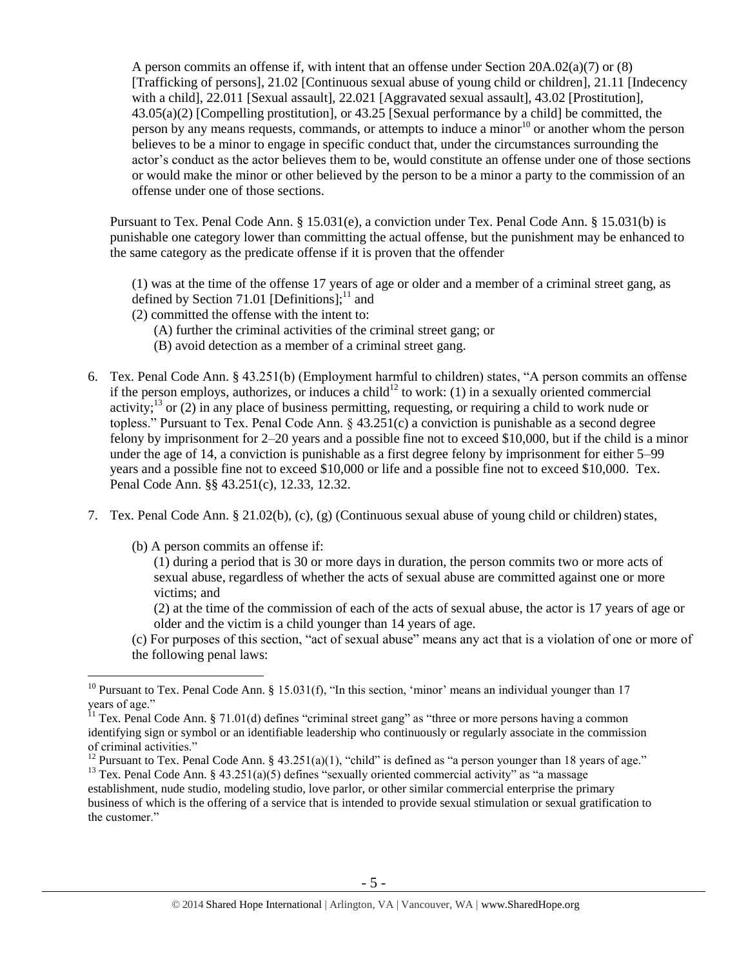<span id="page-4-1"></span>A person commits an offense if, with intent that an offense under Section 20A.02(a)(7) or (8) [Trafficking of persons], 21.02 [Continuous sexual abuse of young child or children], 21.11 [Indecency with a child], 22.011 [Sexual assault], 22.021 [Aggravated sexual assault], 43.02 [Prostitution], 43.05(a)(2) [Compelling prostitution], or 43.25 [Sexual performance by a child] be committed, the person by any means requests, commands, or attempts to induce a minor<sup>10</sup> or another whom the person believes to be a minor to engage in specific conduct that, under the circumstances surrounding the actor's conduct as the actor believes them to be, would constitute an offense under one of those sections or would make the minor or other believed by the person to be a minor a party to the commission of an offense under one of those sections.

Pursuant to Tex. Penal Code Ann. § 15.031(e), a conviction under Tex. Penal Code Ann. § 15.031(b) is punishable one category lower than committing the actual offense, but the punishment may be enhanced to the same category as the predicate offense if it is proven that the offender

<span id="page-4-0"></span>(1) was at the time of the offense 17 years of age or older and a member of a criminal street gang, as defined by Section 71.01 [Definitions]; $^{11}$  and

- (2) committed the offense with the intent to:
	- (A) further the criminal activities of the criminal street gang; or
	- (B) avoid detection as a member of a criminal street gang.
- 6. Tex. Penal Code Ann. § 43.251(b) (Employment harmful to children) states, "A person commits an offense if the person employs, authorizes, or induces a child<sup>12</sup> to work: (1) in a sexually oriented commercial activity;<sup>13</sup> or (2) in any place of business permitting, requesting, or requiring a child to work nude or topless." Pursuant to Tex. Penal Code Ann. § 43.251(c) a conviction is punishable as a second degree felony by imprisonment for 2–20 years and a possible fine not to exceed \$10,000, but if the child is a minor under the age of 14, a conviction is punishable as a first degree felony by imprisonment for either 5–99 years and a possible fine not to exceed \$10,000 or life and a possible fine not to exceed \$10,000. Tex. Penal Code Ann. §§ 43.251(c), 12.33, 12.32.
- 7. Tex. Penal Code Ann. § 21.02(b), (c), (g) (Continuous sexual abuse of young child or children) states,
	- (b) A person commits an offense if:

 $\overline{a}$ 

(1) during a period that is 30 or more days in duration, the person commits two or more acts of sexual abuse, regardless of whether the acts of sexual abuse are committed against one or more victims; and

(2) at the time of the commission of each of the acts of sexual abuse, the actor is 17 years of age or older and the victim is a child younger than 14 years of age.

(c) For purposes of this section, "act of sexual abuse" means any act that is a violation of one or more of the following penal laws:

<sup>&</sup>lt;sup>10</sup> Pursuant to Tex. Penal Code Ann. § 15.031(f), "In this section, 'minor' means an individual younger than 17 years of age."

 $11$  Tex. Penal Code Ann. § 71.01(d) defines "criminal street gang" as "three or more persons having a common identifying sign or symbol or an identifiable leadership who continuously or regularly associate in the commission of criminal activities."

<sup>&</sup>lt;sup>12</sup> Pursuant to Tex. Penal Code Ann. § 43.251(a)(1), "child" is defined as "a person younger than 18 years of age." <sup>13</sup> Tex. Penal Code Ann. § 43.251(a)(5) defines "sexually oriented commercial activity" as "a massage

establishment, nude studio, modeling studio, love parlor, or other similar commercial enterprise the primary business of which is the offering of a service that is intended to provide sexual stimulation or sexual gratification to the customer."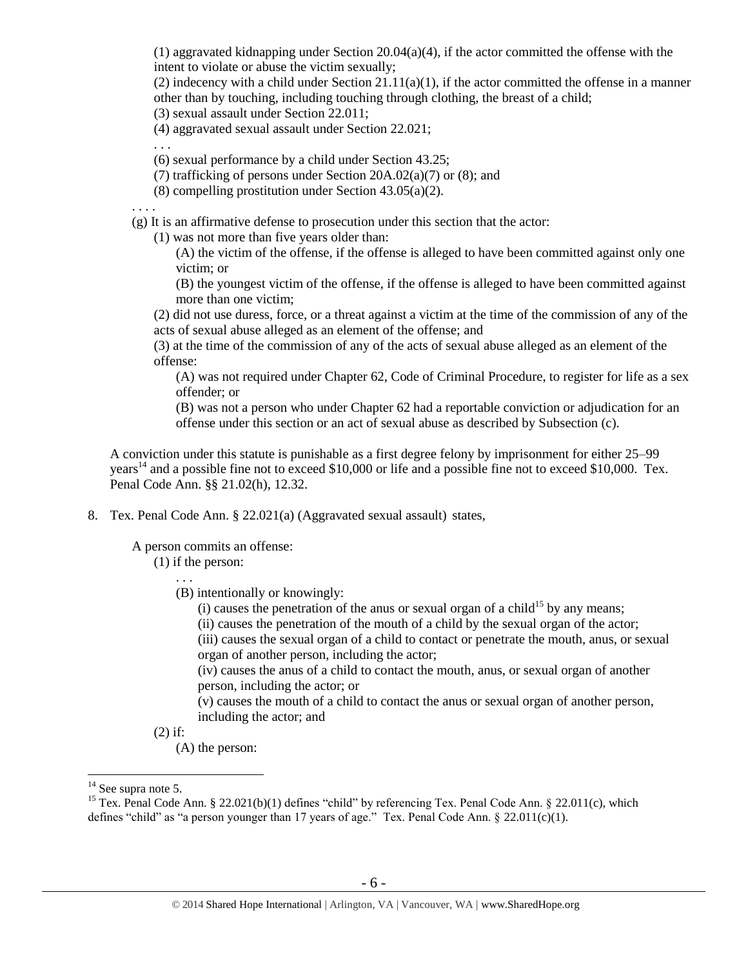$(1)$  aggravated kidnapping under Section 20.04(a)(4), if the actor committed the offense with the intent to violate or abuse the victim sexually;

(2) indecency with a child under Section  $21.11(a)(1)$ , if the actor committed the offense in a manner other than by touching, including touching through clothing, the breast of a child;

(3) sexual assault under Section 22.011;

(4) aggravated sexual assault under Section 22.021;

. . .

(6) sexual performance by a child under Section 43.25;

- (7) trafficking of persons under Section 20A.02(a)(7) or (8); and
- (8) compelling prostitution under Section 43.05(a)(2).

. . . .

(g) It is an affirmative defense to prosecution under this section that the actor:

(1) was not more than five years older than:

(A) the victim of the offense, if the offense is alleged to have been committed against only one victim; or

(B) the youngest victim of the offense, if the offense is alleged to have been committed against more than one victim;

(2) did not use duress, force, or a threat against a victim at the time of the commission of any of the acts of sexual abuse alleged as an element of the offense; and

(3) at the time of the commission of any of the acts of sexual abuse alleged as an element of the offense:

(A) was not required under Chapter 62, Code of Criminal Procedure, to register for life as a sex offender; or

(B) was not a person who under Chapter 62 had a reportable conviction or adjudication for an offense under this section or an act of sexual abuse as described by Subsection (c).

A conviction under this statute is punishable as a first degree felony by imprisonment for either 25–99 years<sup>14</sup> and a possible fine not to exceed \$10,000 or life and a possible fine not to exceed \$10,000. Tex. Penal Code Ann. §§ 21.02(h), 12.32.

8. Tex. Penal Code Ann. § 22.021(a) (Aggravated sexual assault) states,

A person commits an offense:

(1) if the person:

. . .

(B) intentionally or knowingly:

(i) causes the penetration of the anus or sexual organ of a child<sup>15</sup> by any means;

(ii) causes the penetration of the mouth of a child by the sexual organ of the actor;

(iii) causes the sexual organ of a child to contact or penetrate the mouth, anus, or sexual organ of another person, including the actor;

(iv) causes the anus of a child to contact the mouth, anus, or sexual organ of another person, including the actor; or

(v) causes the mouth of a child to contact the anus or sexual organ of another person, including the actor; and

(2) if:

(A) the person:

 $14$  See supra note [5.](#page-1-0)

<sup>&</sup>lt;sup>15</sup> Tex. Penal Code Ann. § 22.021(b)(1) defines "child" by referencing Tex. Penal Code Ann. § 22.011(c), which defines "child" as "a person younger than 17 years of age." Tex. Penal Code Ann.  $\S$  22.011(c)(1).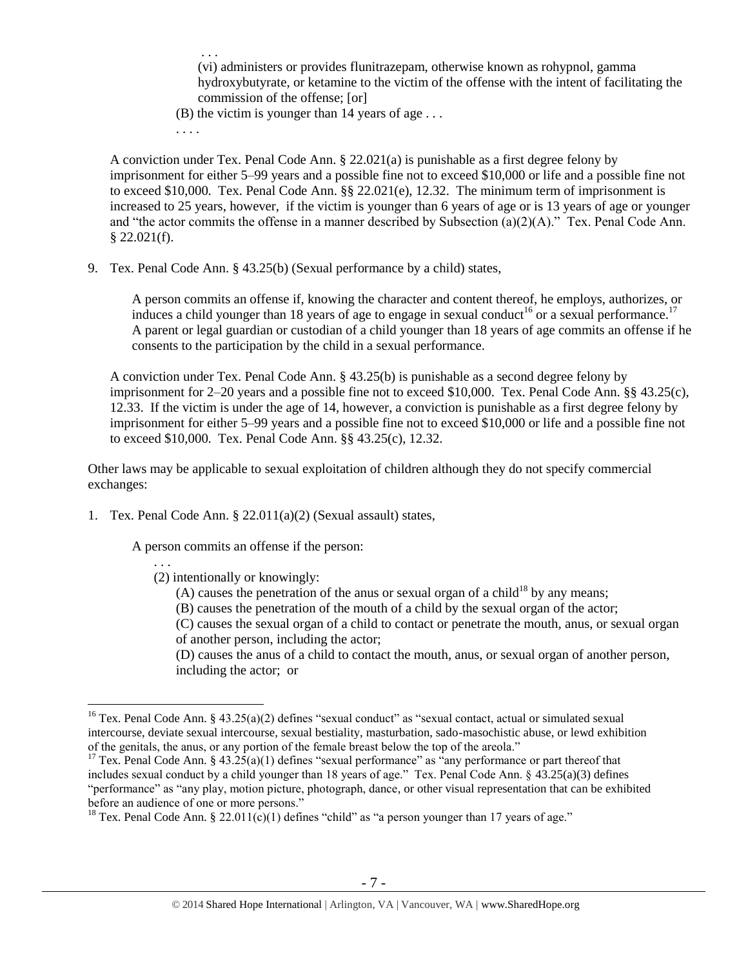. . . (vi) administers or provides flunitrazepam, otherwise known as rohypnol, gamma hydroxybutyrate, or ketamine to the victim of the offense with the intent of facilitating the commission of the offense; [or]

- (B) the victim is younger than 14 years of age  $\dots$
- <span id="page-6-1"></span>. . . .

A conviction under Tex. Penal Code Ann. § 22.021(a) is punishable as a first degree felony by imprisonment for either 5–99 years and a possible fine not to exceed \$10,000 or life and a possible fine not to exceed \$10,000. Tex. Penal Code Ann. §§ 22.021(e), 12.32. The minimum term of imprisonment is increased to 25 years, however, if the victim is younger than 6 years of age or is 13 years of age or younger and "the actor commits the offense in a manner described by Subsection (a)(2)(A)." Tex. Penal Code Ann.  $$22.021(f).$ 

9. Tex. Penal Code Ann. § 43.25(b) (Sexual performance by a child) states,

<span id="page-6-0"></span>A person commits an offense if, knowing the character and content thereof, he employs, authorizes, or induces a child younger than 18 years of age to engage in sexual conduct<sup>16</sup> or a sexual performance.<sup>17</sup> A parent or legal guardian or custodian of a child younger than 18 years of age commits an offense if he consents to the participation by the child in a sexual performance.

A conviction under Tex. Penal Code Ann. § 43.25(b) is punishable as a second degree felony by imprisonment for 2–20 years and a possible fine not to exceed \$10,000. Tex. Penal Code Ann. §§ 43.25(c), 12.33. If the victim is under the age of 14, however, a conviction is punishable as a first degree felony by imprisonment for either 5–99 years and a possible fine not to exceed \$10,000 or life and a possible fine not to exceed \$10,000. Tex. Penal Code Ann. §§ 43.25(c), 12.32.

Other laws may be applicable to sexual exploitation of children although they do not specify commercial exchanges:

1. Tex. Penal Code Ann. § 22.011(a)(2) (Sexual assault) states,

A person commits an offense if the person:

. . .

 $\overline{a}$ 

- (2) intentionally or knowingly:
	- (A) causes the penetration of the anus or sexual organ of a child<sup>18</sup> by any means;
	- (B) causes the penetration of the mouth of a child by the sexual organ of the actor;

(C) causes the sexual organ of a child to contact or penetrate the mouth, anus, or sexual organ of another person, including the actor;

(D) causes the anus of a child to contact the mouth, anus, or sexual organ of another person, including the actor; or

<sup>&</sup>lt;sup>16</sup> Tex. Penal Code Ann. § 43.25(a)(2) defines "sexual conduct" as "sexual contact, actual or simulated sexual intercourse, deviate sexual intercourse, sexual bestiality, masturbation, sado-masochistic abuse, or lewd exhibition of the genitals, the anus, or any portion of the female breast below the top of the areola."

<sup>&</sup>lt;sup>17</sup> Tex. Penal Code Ann. § 43.25(a)(1) defines "sexual performance" as "any performance or part thereof that includes sexual conduct by a child younger than 18 years of age." Tex. Penal Code Ann. § 43.25(a)(3) defines "performance" as "any play, motion picture, photograph, dance, or other visual representation that can be exhibited before an audience of one or more persons."

<sup>&</sup>lt;sup>18</sup> Tex. Penal Code Ann. § 22.011(c)(1) defines "child" as "a person younger than 17 years of age."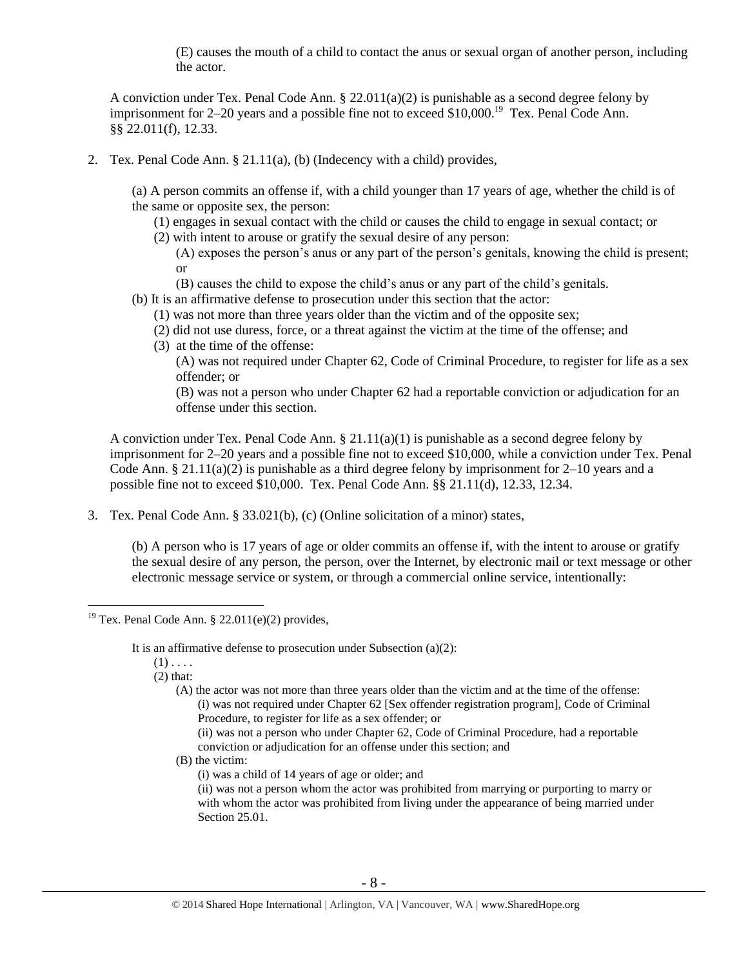(E) causes the mouth of a child to contact the anus or sexual organ of another person, including the actor.

A conviction under Tex. Penal Code Ann. § 22.011(a)(2) is punishable as a second degree felony by imprisonment for 2–20 years and a possible fine not to exceed  $$10,000$ .<sup>19</sup> Tex. Penal Code Ann. §§ 22.011(f), 12.33.

2. Tex. Penal Code Ann. § 21.11(a), (b) (Indecency with a child) provides,

(a) A person commits an offense if, with a child younger than 17 years of age, whether the child is of the same or opposite sex, the person:

(1) engages in sexual contact with the child or causes the child to engage in sexual contact; or (2) with intent to arouse or gratify the sexual desire of any person:

- (A) exposes the person's anus or any part of the person's genitals, knowing the child is present; or
- (B) causes the child to expose the child's anus or any part of the child's genitals.
- (b) It is an affirmative defense to prosecution under this section that the actor:
	- (1) was not more than three years older than the victim and of the opposite sex;
	- (2) did not use duress, force, or a threat against the victim at the time of the offense; and
	- (3) at the time of the offense:

(A) was not required under Chapter 62, Code of Criminal Procedure, to register for life as a sex offender; or

(B) was not a person who under Chapter 62 had a reportable conviction or adjudication for an offense under this section.

A conviction under Tex. Penal Code Ann.  $\S 21.11(a)(1)$  is punishable as a second degree felony by imprisonment for 2–20 years and a possible fine not to exceed \$10,000, while a conviction under Tex. Penal Code Ann. § 21.11(a)(2) is punishable as a third degree felony by imprisonment for  $2-10$  years and a possible fine not to exceed \$10,000. Tex. Penal Code Ann. §§ 21.11(d), 12.33, 12.34.

3. Tex. Penal Code Ann. § 33.021(b), (c) (Online solicitation of a minor) states,

(b) A person who is 17 years of age or older commits an offense if, with the intent to arouse or gratify the sexual desire of any person, the person, over the Internet, by electronic mail or text message or other electronic message service or system, or through a commercial online service, intentionally:

It is an affirmative defense to prosecution under Subsection (a)(2):

 $(1)$ ...

 $\overline{a}$ 

(2) that:

(A) the actor was not more than three years older than the victim and at the time of the offense: (i) was not required under Chapter 62 [Sex offender registration program], Code of Criminal Procedure, to register for life as a sex offender; or

(ii) was not a person who under Chapter 62, Code of Criminal Procedure, had a reportable conviction or adjudication for an offense under this section; and

(B) the victim:

(i) was a child of 14 years of age or older; and

(ii) was not a person whom the actor was prohibited from marrying or purporting to marry or with whom the actor was prohibited from living under the appearance of being married under Section 25.01.

<sup>&</sup>lt;sup>19</sup> Tex. Penal Code Ann. § 22.011(e)(2) provides,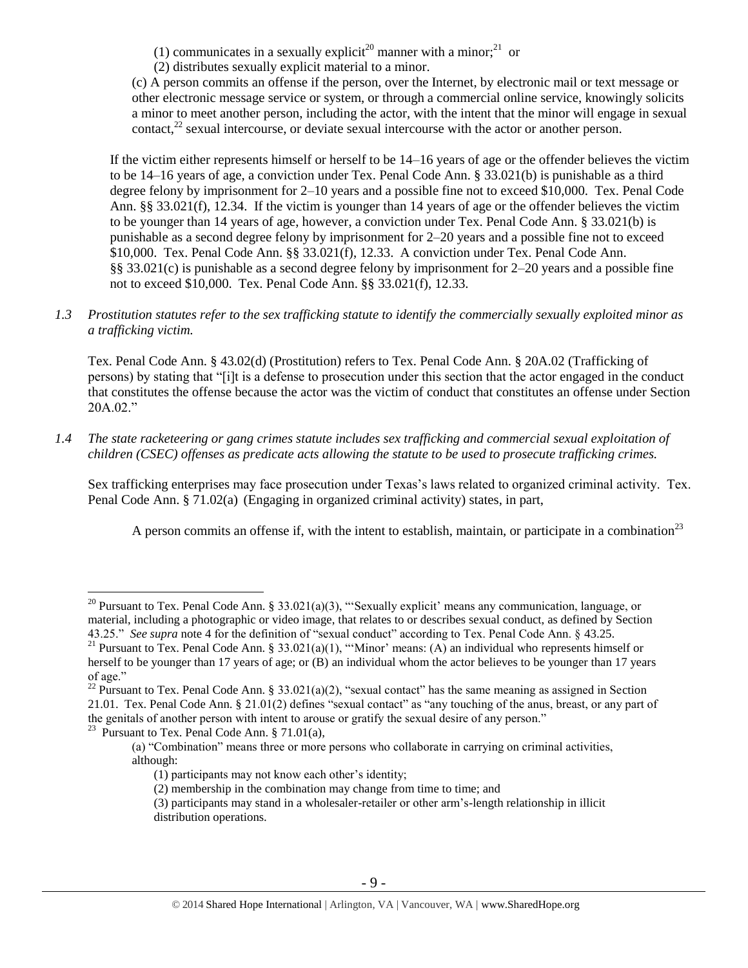<span id="page-8-1"></span><span id="page-8-0"></span>(1) communicates in a sexually explicit<sup>20</sup> manner with a minor;<sup>21</sup> or

(2) distributes sexually explicit material to a minor.

<span id="page-8-3"></span>(c) A person commits an offense if the person, over the Internet, by electronic mail or text message or other electronic message service or system, or through a commercial online service, knowingly solicits a minor to meet another person, including the actor, with the intent that the minor will engage in sexual contact, $^{22}$  sexual intercourse, or deviate sexual intercourse with the actor or another person.

If the victim either represents himself or herself to be 14–16 years of age or the offender believes the victim to be 14–16 years of age, a conviction under Tex. Penal Code Ann. § 33.021(b) is punishable as a third degree felony by imprisonment for 2–10 years and a possible fine not to exceed \$10,000. Tex. Penal Code Ann. §§ 33.021(f), 12.34. If the victim is younger than 14 years of age or the offender believes the victim to be younger than 14 years of age, however, a conviction under Tex. Penal Code Ann. § 33.021(b) is punishable as a second degree felony by imprisonment for 2–20 years and a possible fine not to exceed \$10,000. Tex. Penal Code Ann. §§ 33.021(f), 12.33. A conviction under Tex. Penal Code Ann. §§ 33.021(c) is punishable as a second degree felony by imprisonment for 2–20 years and a possible fine not to exceed \$10,000. Tex. Penal Code Ann. §§ 33.021(f), 12.33.

*1.3 Prostitution statutes refer to the sex trafficking statute to identify the commercially sexually exploited minor as a trafficking victim.* 

Tex. Penal Code Ann. § 43.02(d) (Prostitution) refers to Tex. Penal Code Ann. § 20A.02 (Trafficking of persons) by stating that "[i]t is a defense to prosecution under this section that the actor engaged in the conduct that constitutes the offense because the actor was the victim of conduct that constitutes an offense under Section 20A.02."

*1.4 The state racketeering or gang crimes statute includes sex trafficking and commercial sexual exploitation of children (CSEC) offenses as predicate acts allowing the statute to be used to prosecute trafficking crimes.* 

Sex trafficking enterprises may face prosecution under Texas's laws related to organized criminal activity. Tex. Penal Code Ann. § 71.02(a) (Engaging in organized criminal activity) states, in part,

<span id="page-8-2"></span>A person commits an offense if, with the intent to establish, maintain, or participate in a combination<sup>23</sup>

<sup>23</sup> Pursuant to Tex. Penal Code Ann. § 71.01(a),

<sup>&</sup>lt;sup>20</sup> Pursuant to Tex. Penal Code Ann. § 33.021(a)(3), "Sexually explicit' means any communication, language, or material, including a photographic or video image, that relates to or describes sexual conduct, as defined by Section 43.25." *See supra* note [4](#page-1-1) for the definition of "sexual conduct" according to Tex. Penal Code Ann. § 43.25.

<sup>&</sup>lt;sup>21</sup> Pursuant to Tex. Penal Code Ann. § 33.021(a)(1), "'Minor' means: (A) an individual who represents himself or herself to be younger than 17 years of age; or (B) an individual whom the actor believes to be younger than 17 years of age."

<sup>&</sup>lt;sup>22</sup> Pursuant to Tex. Penal Code Ann. § 33.021(a)(2), "sexual contact" has the same meaning as assigned in Section 21.01. Tex. Penal Code Ann. § 21.01(2) defines "sexual contact" as "any touching of the anus, breast, or any part of the genitals of another person with intent to arouse or gratify the sexual desire of any person."

<sup>(</sup>a) "Combination" means three or more persons who collaborate in carrying on criminal activities, although:

<sup>(1)</sup> participants may not know each other's identity;

<sup>(2)</sup> membership in the combination may change from time to time; and

<sup>(3)</sup> participants may stand in a wholesaler-retailer or other arm's-length relationship in illicit distribution operations.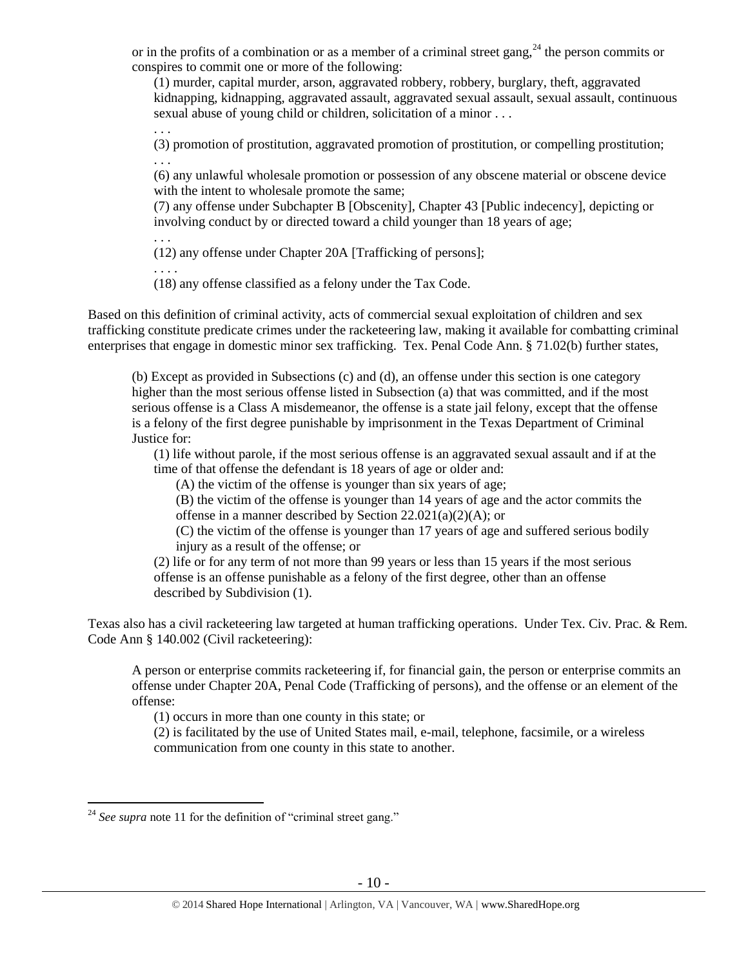or in the profits of a combination or as a member of a criminal street gang,<sup>24</sup> the person commits or conspires to commit one or more of the following:

(1) murder, capital murder, arson, aggravated robbery, robbery, burglary, theft, aggravated kidnapping, kidnapping, aggravated assault, aggravated sexual assault, sexual assault, continuous sexual abuse of young child or children, solicitation of a minor . . .

. . . (3) promotion of prostitution, aggravated promotion of prostitution, or compelling prostitution; . . .

(6) any unlawful wholesale promotion or possession of any obscene material or obscene device with the intent to wholesale promote the same;

(7) any offense under Subchapter B [Obscenity], Chapter 43 [Public indecency], depicting or involving conduct by or directed toward a child younger than 18 years of age;

(12) any offense under Chapter 20A [Trafficking of persons];

. . . . (18) any offense classified as a felony under the Tax Code.

. . .

Based on this definition of criminal activity, acts of commercial sexual exploitation of children and sex trafficking constitute predicate crimes under the racketeering law, making it available for combatting criminal enterprises that engage in domestic minor sex trafficking. Tex. Penal Code Ann. § 71.02(b) further states,

(b) Except as provided in Subsections (c) and (d), an offense under this section is one category higher than the most serious offense listed in Subsection (a) that was committed, and if the most serious offense is a Class A misdemeanor, the offense is a state jail felony, except that the offense is a felony of the first degree punishable by imprisonment in the Texas Department of Criminal Justice for:

(1) life without parole, if the most serious offense is an aggravated sexual assault and if at the time of that offense the defendant is 18 years of age or older and:

(A) the victim of the offense is younger than six years of age;

(B) the victim of the offense is younger than 14 years of age and the actor commits the offense in a manner described by Section 22.021(a)(2)(A); or

(C) the victim of the offense is younger than 17 years of age and suffered serious bodily injury as a result of the offense; or

(2) life or for any term of not more than 99 years or less than 15 years if the most serious offense is an offense punishable as a felony of the first degree, other than an offense described by Subdivision (1).

Texas also has a civil racketeering law targeted at human trafficking operations. Under Tex. Civ. Prac. & Rem. Code Ann § 140.002 (Civil racketeering):

A person or enterprise commits racketeering if, for financial gain, the person or enterprise commits an offense under Chapter 20A, Penal Code (Trafficking of persons), and the offense or an element of the offense:

(1) occurs in more than one county in this state; or

(2) is facilitated by the use of United States mail, e-mail, telephone, facsimile, or a wireless communication from one county in this state to another.

 $2<sup>24</sup>$  *See supra* note [11](#page-4-0) for the definition of "criminal street gang."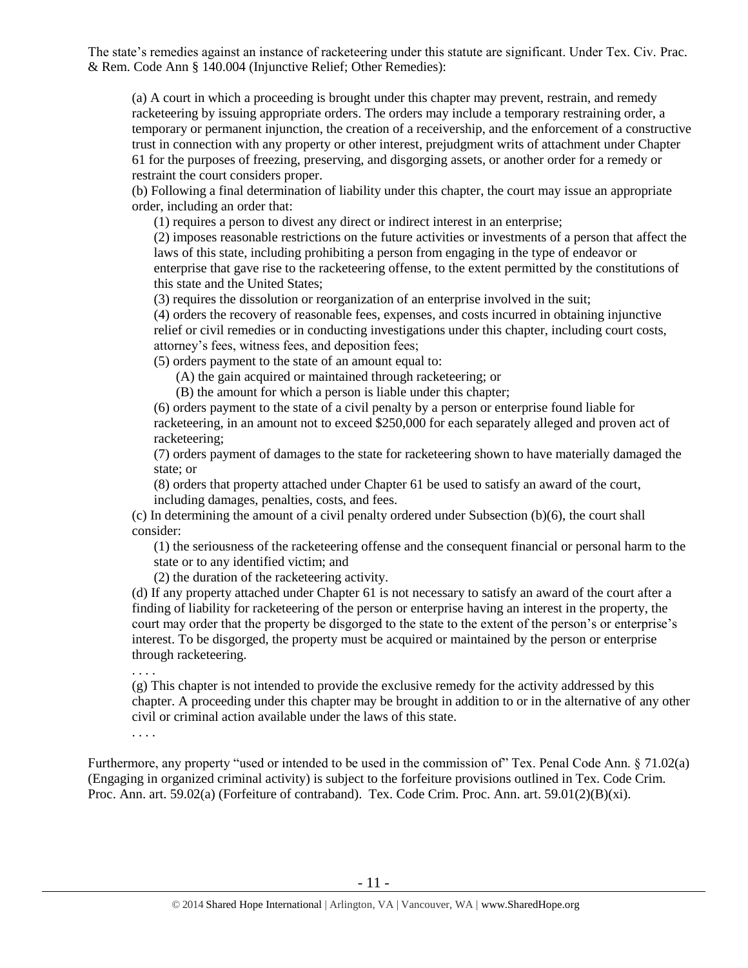The state's remedies against an instance of racketeering under this statute are significant. Under Tex. Civ. Prac. & Rem. Code Ann § 140.004 (Injunctive Relief; Other Remedies):

(a) A court in which a proceeding is brought under this chapter may prevent, restrain, and remedy racketeering by issuing appropriate orders. The orders may include a temporary restraining order, a temporary or permanent injunction, the creation of a receivership, and the enforcement of a constructive trust in connection with any property or other interest, prejudgment writs of attachment under Chapter 61 for the purposes of freezing, preserving, and disgorging assets, or another order for a remedy or restraint the court considers proper.

(b) Following a final determination of liability under this chapter, the court may issue an appropriate order, including an order that:

(1) requires a person to divest any direct or indirect interest in an enterprise;

(2) imposes reasonable restrictions on the future activities or investments of a person that affect the laws of this state, including prohibiting a person from engaging in the type of endeavor or enterprise that gave rise to the racketeering offense, to the extent permitted by the constitutions of this state and the United States;

(3) requires the dissolution or reorganization of an enterprise involved in the suit;

(4) orders the recovery of reasonable fees, expenses, and costs incurred in obtaining injunctive relief or civil remedies or in conducting investigations under this chapter, including court costs, attorney's fees, witness fees, and deposition fees;

(5) orders payment to the state of an amount equal to:

(A) the gain acquired or maintained through racketeering; or

(B) the amount for which a person is liable under this chapter;

(6) orders payment to the state of a civil penalty by a person or enterprise found liable for racketeering, in an amount not to exceed \$250,000 for each separately alleged and proven act of racketeering;

(7) orders payment of damages to the state for racketeering shown to have materially damaged the state; or

(8) orders that property attached under Chapter 61 be used to satisfy an award of the court, including damages, penalties, costs, and fees.

(c) In determining the amount of a civil penalty ordered under Subsection (b)(6), the court shall consider:

(1) the seriousness of the racketeering offense and the consequent financial or personal harm to the state or to any identified victim; and

(2) the duration of the racketeering activity.

(d) If any property attached under Chapter 61 is not necessary to satisfy an award of the court after a finding of liability for racketeering of the person or enterprise having an interest in the property, the court may order that the property be disgorged to the state to the extent of the person's or enterprise's interest. To be disgorged, the property must be acquired or maintained by the person or enterprise through racketeering.

. . . .

(g) This chapter is not intended to provide the exclusive remedy for the activity addressed by this chapter. A proceeding under this chapter may be brought in addition to or in the alternative of any other civil or criminal action available under the laws of this state.

. . . .

Furthermore, any property "used or intended to be used in the commission of" Tex. Penal Code Ann. § 71.02(a) (Engaging in organized criminal activity) is subject to the forfeiture provisions outlined in Tex. Code Crim. Proc. Ann. art. 59.02(a) (Forfeiture of contraband). Tex. Code Crim. Proc. Ann. art. 59.01(2)(B)(xi).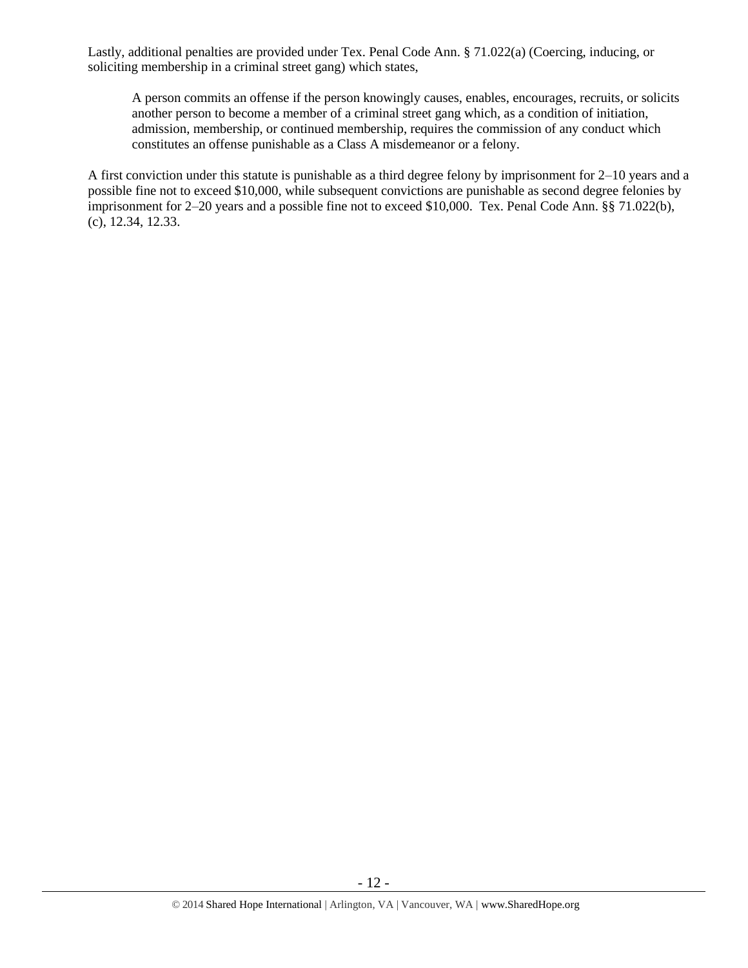Lastly, additional penalties are provided under Tex. Penal Code Ann. § 71.022(a) (Coercing, inducing, or soliciting membership in a criminal street gang) which states,

A person commits an offense if the person knowingly causes, enables, encourages, recruits, or solicits another person to become a member of a criminal street gang which, as a condition of initiation, admission, membership, or continued membership, requires the commission of any conduct which constitutes an offense punishable as a Class A misdemeanor or a felony.

A first conviction under this statute is punishable as a third degree felony by imprisonment for 2–10 years and a possible fine not to exceed \$10,000, while subsequent convictions are punishable as second degree felonies by imprisonment for 2–20 years and a possible fine not to exceed \$10,000. Tex. Penal Code Ann. §§ 71.022(b), (c), 12.34, 12.33.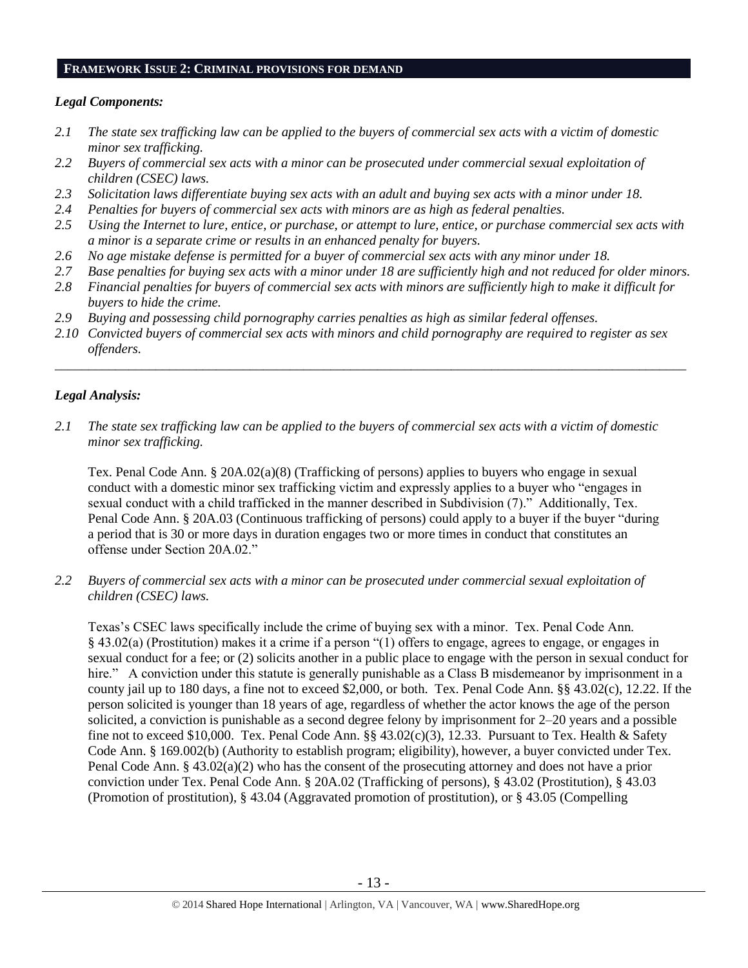#### **FRAMEWORK ISSUE 2: CRIMINAL PROVISIONS FOR DEMAND**

#### *Legal Components:*

- *2.1 The state sex trafficking law can be applied to the buyers of commercial sex acts with a victim of domestic minor sex trafficking.*
- *2.2 Buyers of commercial sex acts with a minor can be prosecuted under commercial sexual exploitation of children (CSEC) laws.*
- *2.3 Solicitation laws differentiate buying sex acts with an adult and buying sex acts with a minor under 18.*
- *2.4 Penalties for buyers of commercial sex acts with minors are as high as federal penalties.*
- *2.5 Using the Internet to lure, entice, or purchase, or attempt to lure, entice, or purchase commercial sex acts with a minor is a separate crime or results in an enhanced penalty for buyers.*
- *2.6 No age mistake defense is permitted for a buyer of commercial sex acts with any minor under 18.*
- *2.7 Base penalties for buying sex acts with a minor under 18 are sufficiently high and not reduced for older minors.*
- *2.8 Financial penalties for buyers of commercial sex acts with minors are sufficiently high to make it difficult for buyers to hide the crime.*
- *2.9 Buying and possessing child pornography carries penalties as high as similar federal offenses.*
- *2.10 Convicted buyers of commercial sex acts with minors and child pornography are required to register as sex offenders.*

\_\_\_\_\_\_\_\_\_\_\_\_\_\_\_\_\_\_\_\_\_\_\_\_\_\_\_\_\_\_\_\_\_\_\_\_\_\_\_\_\_\_\_\_\_\_\_\_\_\_\_\_\_\_\_\_\_\_\_\_\_\_\_\_\_\_\_\_\_\_\_\_\_\_\_\_\_\_\_\_\_\_\_\_\_\_\_\_\_\_\_\_\_\_

## *Legal Analysis:*

*2.1 The state sex trafficking law can be applied to the buyers of commercial sex acts with a victim of domestic minor sex trafficking.*

Tex. Penal Code Ann. § 20A.02(a)(8) (Trafficking of persons) applies to buyers who engage in sexual conduct with a domestic minor sex trafficking victim and expressly applies to a buyer who "engages in sexual conduct with a child trafficked in the manner described in Subdivision (7)." Additionally, Tex. Penal Code Ann. § 20A.03 (Continuous trafficking of persons) could apply to a buyer if the buyer "during a period that is 30 or more days in duration engages two or more times in conduct that constitutes an offense under Section 20A.02."

*2.2 Buyers of commercial sex acts with a minor can be prosecuted under commercial sexual exploitation of children (CSEC) laws.*

Texas's CSEC laws specifically include the crime of buying sex with a minor. Tex. Penal Code Ann. § 43.02(a) (Prostitution) makes it a crime if a person "(1) offers to engage, agrees to engage, or engages in sexual conduct for a fee; or (2) solicits another in a public place to engage with the person in sexual conduct for hire." A conviction under this statute is generally punishable as a Class B misdemeanor by imprisonment in a county jail up to 180 days, a fine not to exceed \$2,000, or both. Tex. Penal Code Ann. §§ 43.02(c), 12.22. If the person solicited is younger than 18 years of age, regardless of whether the actor knows the age of the person solicited, a conviction is punishable as a second degree felony by imprisonment for 2–20 years and a possible fine not to exceed \$10,000. Tex. Penal Code Ann. §§ 43.02(c)(3), 12.33. Pursuant to Tex. Health & Safety Code Ann. § 169.002(b) (Authority to establish program; eligibility), however, a buyer convicted under Tex. Penal Code Ann. § 43.02(a)(2) who has the consent of the prosecuting attorney and does not have a prior conviction under Tex. Penal Code Ann. § 20A.02 (Trafficking of persons), § 43.02 (Prostitution), § 43.03 (Promotion of prostitution), § 43.04 (Aggravated promotion of prostitution), or § 43.05 (Compelling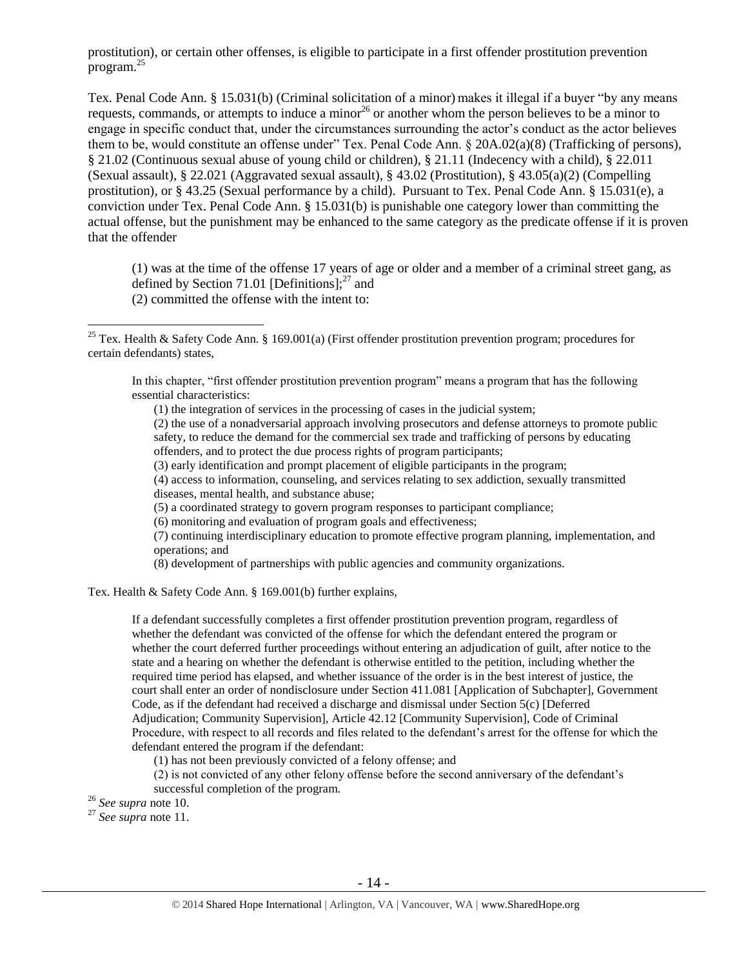prostitution), or certain other offenses, is eligible to participate in a first offender prostitution prevention program. $^{25}$ 

Tex. Penal Code Ann. § 15.031(b) (Criminal solicitation of a minor) makes it illegal if a buyer "by any means requests, commands, or attempts to induce a minor<sup>26</sup> or another whom the person believes to be a minor to engage in specific conduct that, under the circumstances surrounding the actor's conduct as the actor believes them to be, would constitute an offense under" Tex. Penal Code Ann. § 20A.02(a)(8) (Trafficking of persons), § 21.02 (Continuous sexual abuse of young child or children), § 21.11 (Indecency with a child), § 22.011 (Sexual assault), § 22.021 (Aggravated sexual assault), § 43.02 (Prostitution), § 43.05(a)(2) (Compelling prostitution), or § 43.25 (Sexual performance by a child). Pursuant to Tex. Penal Code Ann. § 15.031(e), a conviction under Tex. Penal Code Ann. § 15.031(b) is punishable one category lower than committing the actual offense, but the punishment may be enhanced to the same category as the predicate offense if it is proven that the offender

(1) was at the time of the offense 17 years of age or older and a member of a criminal street gang, as defined by Section 71.01 [Definitions]; $^{27}$  and (2) committed the offense with the intent to:

In this chapter, "first offender prostitution prevention program" means a program that has the following essential characteristics:

(1) the integration of services in the processing of cases in the judicial system;

(2) the use of a nonadversarial approach involving prosecutors and defense attorneys to promote public safety, to reduce the demand for the commercial sex trade and trafficking of persons by educating offenders, and to protect the due process rights of program participants;

(3) early identification and prompt placement of eligible participants in the program;

(4) access to information, counseling, and services relating to sex addiction, sexually transmitted diseases, mental health, and substance abuse;

- (5) a coordinated strategy to govern program responses to participant compliance;
- (6) monitoring and evaluation of program goals and effectiveness;

(7) continuing interdisciplinary education to promote effective program planning, implementation, and operations; and

(8) development of partnerships with public agencies and community organizations.

Tex. Health & Safety Code Ann. § 169.001(b) further explains,

If a defendant successfully completes a first offender prostitution prevention program, regardless of whether the defendant was convicted of the offense for which the defendant entered the program or whether the court deferred further proceedings without entering an adjudication of guilt, after notice to the state and a hearing on whether the defendant is otherwise entitled to the petition, including whether the required time period has elapsed, and whether issuance of the order is in the best interest of justice, the court shall enter an order of nondisclosure under Section 411.081 [Application of Subchapter], Government Code, as if the defendant had received a discharge and dismissal under Section 5(c) [Deferred Adjudication; Community Supervision], Article 42.12 [Community Supervision], Code of Criminal Procedure, with respect to all records and files related to the defendant's arrest for the offense for which the defendant entered the program if the defendant:

(1) has not been previously convicted of a felony offense; and

(2) is not convicted of any other felony offense before the second anniversary of the defendant's successful completion of the program.

<sup>26</sup> *See supra* note [10.](#page-4-1) 

 $\overline{a}$ 

<sup>27</sup> *See supra* note [11.](#page-4-0) 

<sup>&</sup>lt;sup>25</sup> Tex. Health & Safety Code Ann. § 169.001(a) (First offender prostitution prevention program; procedures for certain defendants) states,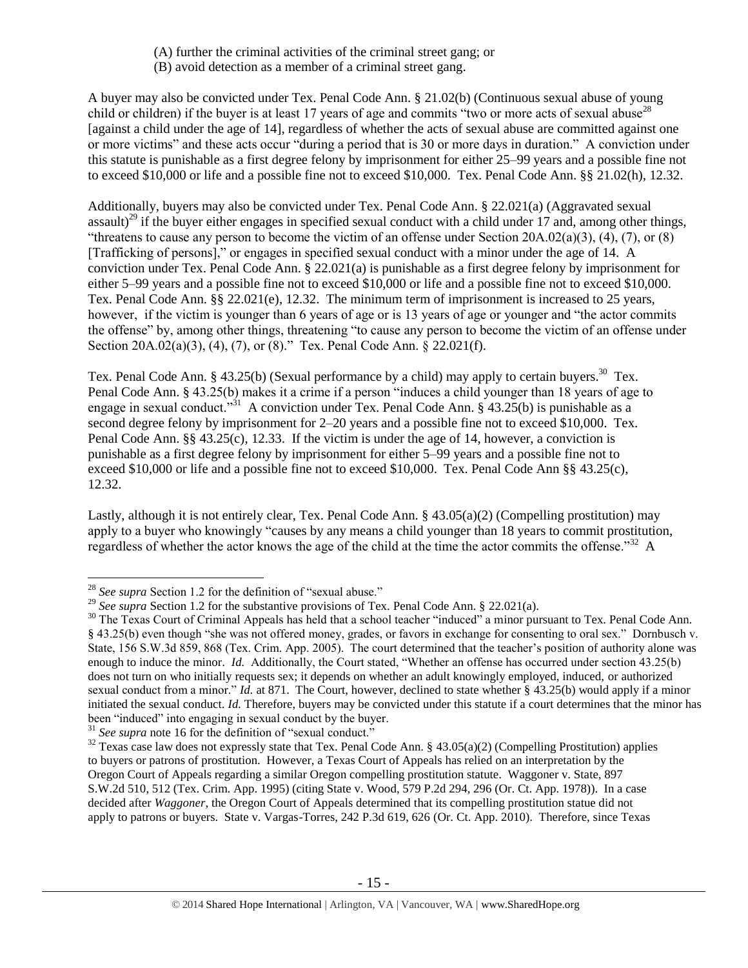- (A) further the criminal activities of the criminal street gang; or
- (B) avoid detection as a member of a criminal street gang.

A buyer may also be convicted under Tex. Penal Code Ann. § 21.02(b) (Continuous sexual abuse of young child or children) if the buyer is at least 17 years of age and commits "two or more acts of sexual abuse<sup>28</sup> [against a child under the age of 14], regardless of whether the acts of sexual abuse are committed against one or more victims" and these acts occur "during a period that is 30 or more days in duration." A conviction under this statute is punishable as a first degree felony by imprisonment for either 25–99 years and a possible fine not to exceed \$10,000 or life and a possible fine not to exceed \$10,000. Tex. Penal Code Ann. §§ 21.02(h), 12.32.

Additionally, buyers may also be convicted under Tex. Penal Code Ann. § 22.021(a) (Aggravated sexual assault)<sup>29</sup> if the buyer either engages in specified sexual conduct with a child under 17 and, among other things, "threatens to cause any person to become the victim of an offense under Section  $20A.02(a)(3)$ ,  $(4)$ ,  $(7)$ , or  $(8)$ [Trafficking of persons]," or engages in specified sexual conduct with a minor under the age of 14. A conviction under Tex. Penal Code Ann. § 22.021(a) is punishable as a first degree felony by imprisonment for either 5–99 years and a possible fine not to exceed \$10,000 or life and a possible fine not to exceed \$10,000. Tex. Penal Code Ann. §§ 22.021(e), 12.32. The minimum term of imprisonment is increased to 25 years, however, if the victim is younger than 6 years of age or is 13 years of age or younger and "the actor commits the offense" by, among other things, threatening "to cause any person to become the victim of an offense under Section 20A.02(a)(3), (4), (7), or (8)." Tex. Penal Code Ann. § 22.021(f).

Tex. Penal Code Ann. § 43.25(b) (Sexual performance by a child) may apply to certain buyers.<sup>30</sup> Tex. Penal Code Ann. § 43.25(b) makes it a crime if a person "induces a child younger than 18 years of age to engage in sexual conduct.<sup>"31</sup> A conviction under Tex. Penal Code Ann. § 43.25(b) is punishable as a second degree felony by imprisonment for 2–20 years and a possible fine not to exceed \$10,000. Tex. Penal Code Ann. §§ 43.25(c), 12.33. If the victim is under the age of 14, however, a conviction is punishable as a first degree felony by imprisonment for either 5–99 years and a possible fine not to exceed \$10,000 or life and a possible fine not to exceed \$10,000. Tex. Penal Code Ann §§ 43.25(c), 12.32.

Lastly, although it is not entirely clear, Tex. Penal Code Ann. § 43.05(a)(2) (Compelling prostitution) may apply to a buyer who knowingly "causes by any means a child younger than 18 years to commit prostitution, regardless of whether the actor knows the age of the child at the time the actor commits the offense."<sup>32</sup> A

 $\overline{a}$ <sup>28</sup> *See supra* Section 1.2 for the definition of "sexual abuse."

<sup>&</sup>lt;sup>29</sup> See supra Section 1.2 for the substantive provisions of Tex. Penal Code Ann. § 22.021(a).

<sup>&</sup>lt;sup>30</sup> The Texas Court of Criminal Appeals has held that a school teacher "induced" a minor pursuant to Tex. Penal Code Ann. § 43.25(b) even though "she was not offered money, grades, or favors in exchange for consenting to oral sex." Dornbusch v. State, 156 S.W.3d 859, 868 (Tex. Crim. App. 2005). The court determined that the teacher's position of authority alone was enough to induce the minor. *Id.* Additionally, the Court stated, "Whether an offense has occurred under section 43.25(b) does not turn on who initially requests sex; it depends on whether an adult knowingly employed, induced, or authorized sexual conduct from a minor." *Id.* at 871. The Court, however, declined to state whether § 43.25(b) would apply if a minor initiated the sexual conduct. *Id.* Therefore, buyers may be convicted under this statute if a court determines that the minor has been "induced" into engaging in sexual conduct by the buyer.

<sup>&</sup>lt;sup>31</sup> See supra note [16](#page-6-0) for the definition of "sexual conduct."

 $32$  Texas case law does not expressly state that Tex. Penal Code Ann. § 43.05(a)(2) (Compelling Prostitution) applies to buyers or patrons of prostitution. However, a Texas Court of Appeals has relied on an interpretation by the Oregon Court of Appeals regarding a similar Oregon compelling prostitution statute. Waggoner v. State, 897 S.W.2d 510, 512 (Tex. Crim. App. 1995) (citing State v. Wood, 579 P.2d 294, 296 (Or. Ct. App. 1978)). In a case decided after *Waggoner*, the Oregon Court of Appeals determined that its compelling prostitution statue did not apply to patrons or buyers. State v. Vargas-Torres, 242 P.3d 619, 626 (Or. Ct. App. 2010). Therefore, since Texas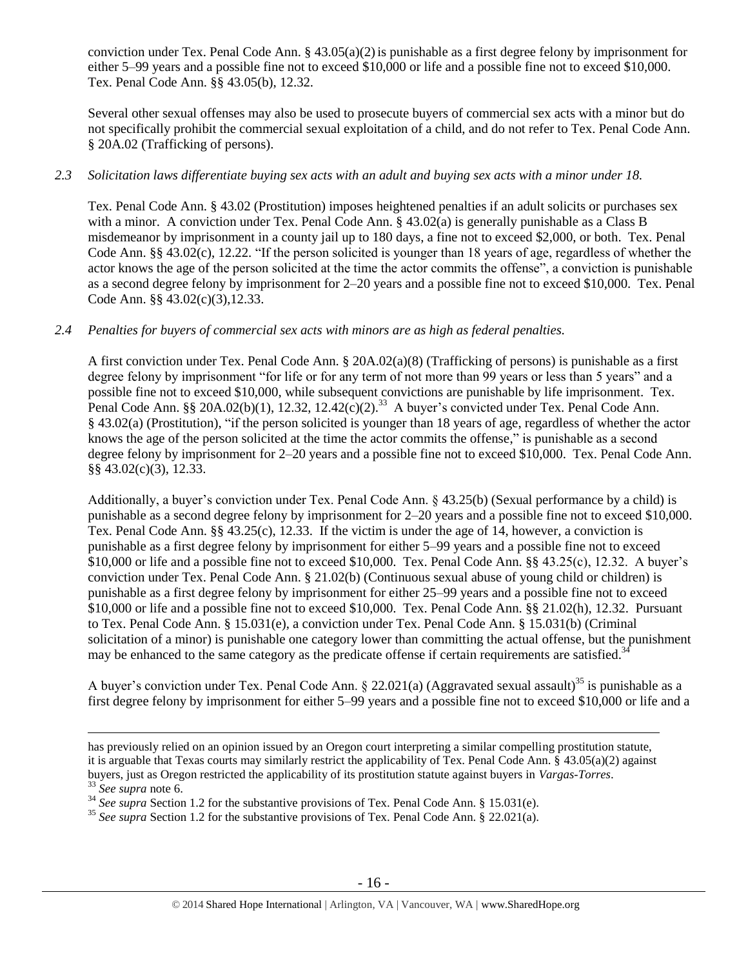conviction under Tex. Penal Code Ann.  $\S 43.05(a)(2)$  is punishable as a first degree felony by imprisonment for either 5–99 years and a possible fine not to exceed \$10,000 or life and a possible fine not to exceed \$10,000. Tex. Penal Code Ann. §§ 43.05(b), 12.32.

Several other sexual offenses may also be used to prosecute buyers of commercial sex acts with a minor but do not specifically prohibit the commercial sexual exploitation of a child, and do not refer to Tex. Penal Code Ann. § 20A.02 (Trafficking of persons).

## *2.3 Solicitation laws differentiate buying sex acts with an adult and buying sex acts with a minor under 18.*

Tex. Penal Code Ann. § 43.02 (Prostitution) imposes heightened penalties if an adult solicits or purchases sex with a minor. A conviction under Tex. Penal Code Ann. § 43.02(a) is generally punishable as a Class B misdemeanor by imprisonment in a county jail up to 180 days, a fine not to exceed \$2,000, or both. Tex. Penal Code Ann. §§ 43.02(c), 12.22. "If the person solicited is younger than 18 years of age, regardless of whether the actor knows the age of the person solicited at the time the actor commits the offense", a conviction is punishable as a second degree felony by imprisonment for 2–20 years and a possible fine not to exceed \$10,000. Tex. Penal Code Ann. §§ 43.02(c)(3),12.33.

#### *2.4 Penalties for buyers of commercial sex acts with minors are as high as federal penalties.*

A first conviction under Tex. Penal Code Ann. § 20A.02(a)(8) (Trafficking of persons) is punishable as a first degree felony by imprisonment "for life or for any term of not more than 99 years or less than 5 years" and a possible fine not to exceed \$10,000, while subsequent convictions are punishable by life imprisonment. Tex. Penal Code Ann. §§ 20A.02(b)(1), 12.32, 12.42(c)(2).<sup>33</sup> A buyer's convicted under Tex. Penal Code Ann. § 43.02(a) (Prostitution), "if the person solicited is younger than 18 years of age, regardless of whether the actor knows the age of the person solicited at the time the actor commits the offense," is punishable as a second degree felony by imprisonment for 2–20 years and a possible fine not to exceed \$10,000. Tex. Penal Code Ann. §§ 43.02(c)(3), 12.33.

Additionally, a buyer's conviction under Tex. Penal Code Ann. § 43.25(b) (Sexual performance by a child) is punishable as a second degree felony by imprisonment for 2–20 years and a possible fine not to exceed \$10,000. Tex. Penal Code Ann. §§ 43.25(c), 12.33. If the victim is under the age of 14, however, a conviction is punishable as a first degree felony by imprisonment for either 5–99 years and a possible fine not to exceed \$10,000 or life and a possible fine not to exceed \$10,000. Tex. Penal Code Ann. §§ 43.25(c), 12.32. A buyer's conviction under Tex. Penal Code Ann. § 21.02(b) (Continuous sexual abuse of young child or children) is punishable as a first degree felony by imprisonment for either 25–99 years and a possible fine not to exceed \$10,000 or life and a possible fine not to exceed \$10,000. Tex. Penal Code Ann. §§ 21.02(h), 12.32. Pursuant to Tex. Penal Code Ann. § 15.031(e), a conviction under Tex. Penal Code Ann. § 15.031(b) (Criminal solicitation of a minor) is punishable one category lower than committing the actual offense, but the punishment may be enhanced to the same category as the predicate offense if certain requirements are satisfied.<sup>34</sup>

A buyer's conviction under Tex. Penal Code Ann. § 22.021(a) (Aggravated sexual assault)<sup>35</sup> is punishable as a first degree felony by imprisonment for either 5–99 years and a possible fine not to exceed \$10,000 or life and a

has previously relied on an opinion issued by an Oregon court interpreting a similar compelling prostitution statute, it is arguable that Texas courts may similarly restrict the applicability of Tex. Penal Code Ann. § 43.05(a)(2) against buyers, just as Oregon restricted the applicability of its prostitution statute against buyers in *Vargas-Torres*. <sup>33</sup> *See supra* note [6.](#page-2-0)

<sup>34</sup> *See supra* Section 1.2 for the substantive provisions of Tex. Penal Code Ann. § 15.031(e).

<sup>&</sup>lt;sup>35</sup> See supra Section 1.2 for the substantive provisions of Tex. Penal Code Ann. § 22.021(a).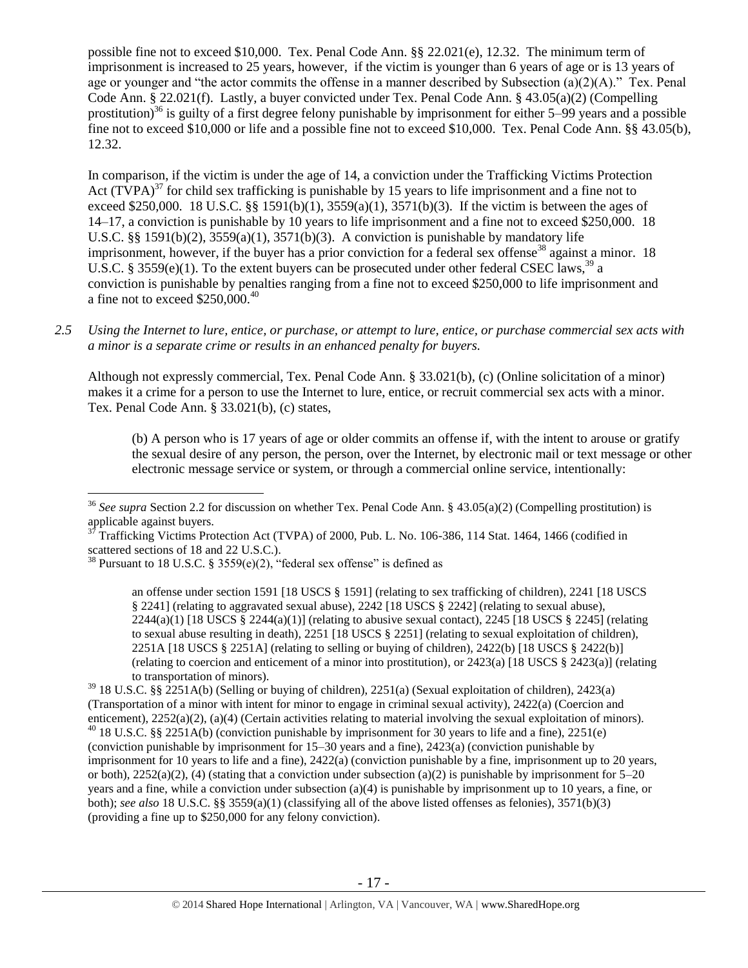possible fine not to exceed \$10,000. Tex. Penal Code Ann. §§ 22.021(e), 12.32. The minimum term of imprisonment is increased to 25 years, however, if the victim is younger than 6 years of age or is 13 years of age or younger and "the actor commits the offense in a manner described by Subsection (a)(2)(A)." Tex. Penal Code Ann. § 22.021(f). Lastly, a buyer convicted under Tex. Penal Code Ann. § 43.05(a)(2) (Compelling prostitution)<sup>36</sup> is guilty of a first degree felony punishable by imprisonment for either  $5-99$  years and a possible fine not to exceed \$10,000 or life and a possible fine not to exceed \$10,000. Tex. Penal Code Ann. §§ 43.05(b), 12.32.

<span id="page-16-0"></span>In comparison, if the victim is under the age of 14, a conviction under the Trafficking Victims Protection Act  $(TVPA)^{37}$  for child sex trafficking is punishable by 15 years to life imprisonment and a fine not to exceed \$250,000. 18 U.S.C. §§ 1591(b)(1),  $3559(a)(1)$ ,  $3571(b)(3)$ . If the victim is between the ages of 14–17, a conviction is punishable by 10 years to life imprisonment and a fine not to exceed \$250,000. 18 U.S.C.  $\S$ § 1591(b)(2), 3559(a)(1), 3571(b)(3). A conviction is punishable by mandatory life imprisonment, however, if the buyer has a prior conviction for a federal sex offense<sup>38</sup> against a minor. 18 U.S.C. § 3559(e)(1). To the extent buyers can be prosecuted under other federal CSEC laws.<sup>39</sup> a conviction is punishable by penalties ranging from a fine not to exceed \$250,000 to life imprisonment and a fine not to exceed  $$250,000.<sup>40</sup>$ 

*2.5 Using the Internet to lure, entice, or purchase, or attempt to lure, entice, or purchase commercial sex acts with a minor is a separate crime or results in an enhanced penalty for buyers.*

Although not expressly commercial, Tex. Penal Code Ann. § 33.021(b), (c) (Online solicitation of a minor) makes it a crime for a person to use the Internet to lure, entice, or recruit commercial sex acts with a minor. Tex. Penal Code Ann. § 33.021(b), (c) states,

<span id="page-16-1"></span>(b) A person who is 17 years of age or older commits an offense if, with the intent to arouse or gratify the sexual desire of any person, the person, over the Internet, by electronic mail or text message or other electronic message service or system, or through a commercial online service, intentionally:

<sup>36</sup> *See supra* Section 2.2 for discussion on whether Tex. Penal Code Ann. § 43.05(a)(2) (Compelling prostitution) is applicable against buyers.

<sup>37</sup> Trafficking Victims Protection Act (TVPA) of 2000, Pub. L. No. 106-386, 114 Stat. 1464, 1466 (codified in scattered sections of 18 and 22 U.S.C.).

<sup>&</sup>lt;sup>38</sup> Pursuant to 18 U.S.C. § 3559(e)(2), "federal sex offense" is defined as

an offense under section 1591 [18 USCS § 1591] (relating to sex trafficking of children), 2241 [18 USCS § 2241] (relating to aggravated sexual abuse), 2242 [18 USCS § 2242] (relating to sexual abuse),  $2244(a)(1)$  [18 USCS §  $2244(a)(1)$ ] (relating to abusive sexual contact),  $2245$  [18 USCS § 2245] (relating to sexual abuse resulting in death), 2251 [18 USCS § 2251] (relating to sexual exploitation of children), 2251A [18 USCS § 2251A] (relating to selling or buying of children), 2422(b) [18 USCS § 2422(b)] (relating to coercion and enticement of a minor into prostitution), or 2423(a) [18 USCS § 2423(a)] (relating to transportation of minors).

 $39$  18 U.S.C. §§ 2251A(b) (Selling or buying of children), 2251(a) (Sexual exploitation of children), 2423(a) (Transportation of a minor with intent for minor to engage in criminal sexual activity), 2422(a) (Coercion and enticement), 2252(a)(2), (a)(4) (Certain activities relating to material involving the sexual exploitation of minors).  $^{40}$  18 U.S.C. §§ 2251A(b) (conviction punishable by imprisonment for 30 years to life and a fine), 2251(e) (conviction punishable by imprisonment for 15–30 years and a fine), 2423(a) (conviction punishable by imprisonment for 10 years to life and a fine), 2422(a) (conviction punishable by a fine, imprisonment up to 20 years, or both),  $2252(a)(2)$ , (4) (stating that a conviction under subsection (a)(2) is punishable by imprisonment for 5–20 years and a fine, while a conviction under subsection (a)(4) is punishable by imprisonment up to 10 years, a fine, or both); *see also* 18 U.S.C. §§ 3559(a)(1) (classifying all of the above listed offenses as felonies), 3571(b)(3) (providing a fine up to \$250,000 for any felony conviction).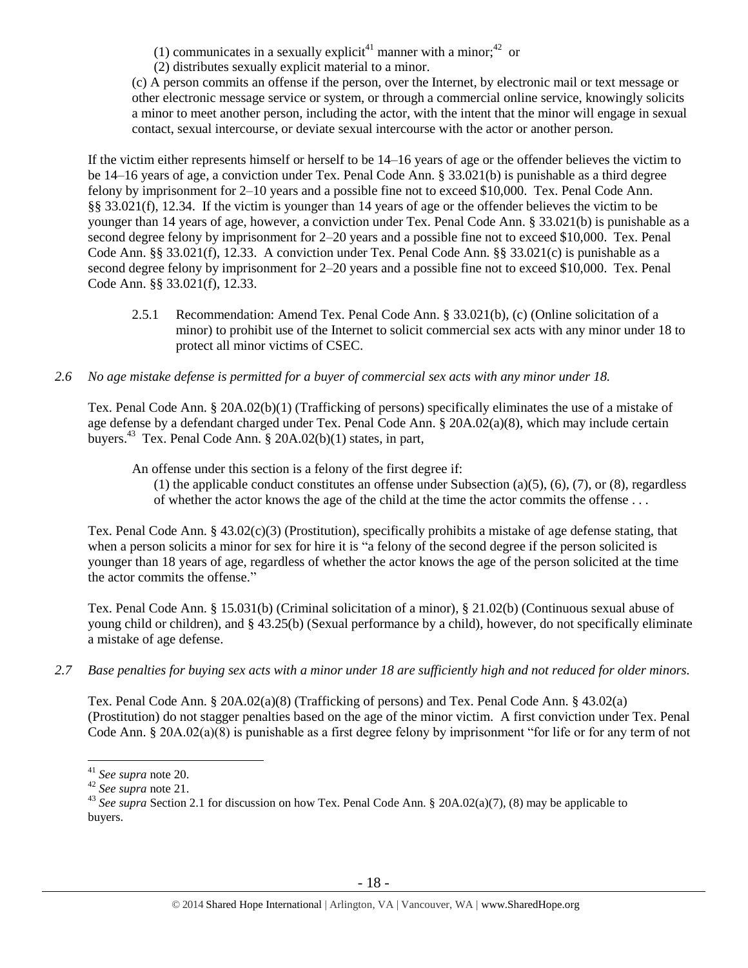(1) communicates in a sexually explicit<sup>41</sup> manner with a minor;<sup>42</sup> or

(2) distributes sexually explicit material to a minor.

(c) A person commits an offense if the person, over the Internet, by electronic mail or text message or other electronic message service or system, or through a commercial online service, knowingly solicits a minor to meet another person, including the actor, with the intent that the minor will engage in sexual contact, sexual intercourse, or deviate sexual intercourse with the actor or another person.

If the victim either represents himself or herself to be 14–16 years of age or the offender believes the victim to be 14–16 years of age, a conviction under Tex. Penal Code Ann. § 33.021(b) is punishable as a third degree felony by imprisonment for 2–10 years and a possible fine not to exceed \$10,000. Tex. Penal Code Ann. §§ 33.021(f), 12.34. If the victim is younger than 14 years of age or the offender believes the victim to be younger than 14 years of age, however, a conviction under Tex. Penal Code Ann. § 33.021(b) is punishable as a second degree felony by imprisonment for 2–20 years and a possible fine not to exceed \$10,000. Tex. Penal Code Ann. §§ 33.021(f), 12.33. A conviction under Tex. Penal Code Ann. §§ 33.021(c) is punishable as a second degree felony by imprisonment for 2–20 years and a possible fine not to exceed \$10,000. Tex. Penal Code Ann. §§ 33.021(f), 12.33.

- 2.5.1 Recommendation: Amend Tex. Penal Code Ann. § 33.021(b), (c) (Online solicitation of a minor) to prohibit use of the Internet to solicit commercial sex acts with any minor under 18 to protect all minor victims of CSEC.
- *2.6 No age mistake defense is permitted for a buyer of commercial sex acts with any minor under 18.*

Tex. Penal Code Ann. § 20A.02(b)(1) (Trafficking of persons) specifically eliminates the use of a mistake of age defense by a defendant charged under Tex. Penal Code Ann. § 20A.02(a)(8), which may include certain buyers.<sup>43</sup> Tex. Penal Code Ann. § 20A.02(b)(1) states, in part,

An offense under this section is a felony of the first degree if:

(1) the applicable conduct constitutes an offense under Subsection (a)(5), (6), (7), or (8), regardless of whether the actor knows the age of the child at the time the actor commits the offense . . .

Tex. Penal Code Ann. § 43.02(c)(3) (Prostitution), specifically prohibits a mistake of age defense stating, that when a person solicits a minor for sex for hire it is "a felony of the second degree if the person solicited is younger than 18 years of age, regardless of whether the actor knows the age of the person solicited at the time the actor commits the offense."

Tex. Penal Code Ann. § 15.031(b) (Criminal solicitation of a minor), § 21.02(b) (Continuous sexual abuse of young child or children), and § 43.25(b) (Sexual performance by a child), however, do not specifically eliminate a mistake of age defense.

*2.7 Base penalties for buying sex acts with a minor under 18 are sufficiently high and not reduced for older minors.*

Tex. Penal Code Ann. § 20A.02(a)(8) (Trafficking of persons) and Tex. Penal Code Ann. § 43.02(a) (Prostitution) do not stagger penalties based on the age of the minor victim. A first conviction under Tex. Penal Code Ann. § 20A.02(a)(8) is punishable as a first degree felony by imprisonment "for life or for any term of not

<sup>41</sup> *See supra* note [20.](#page-8-0) 

<sup>42</sup> *See supra* note [21.](#page-8-1) 

<sup>&</sup>lt;sup>43</sup> See supra Section 2.1 for discussion on how Tex. Penal Code Ann. § 20A.02(a)(7), (8) may be applicable to buyers.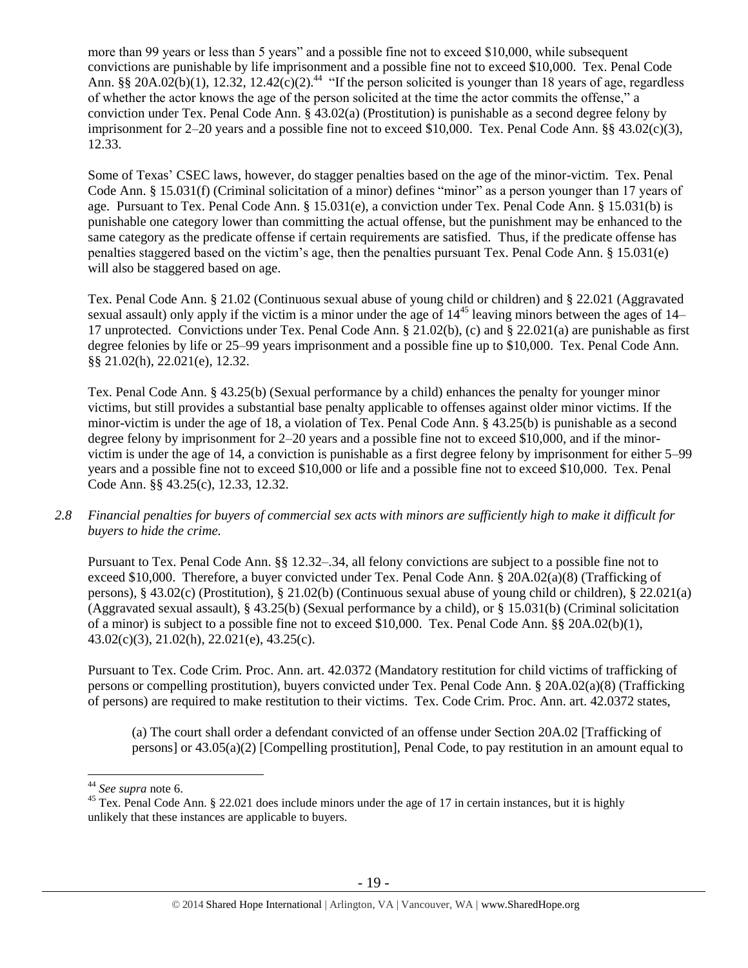more than 99 years or less than 5 years" and a possible fine not to exceed \$10,000, while subsequent convictions are punishable by life imprisonment and a possible fine not to exceed \$10,000. Tex. Penal Code Ann. §§ 20A.02(b)(1), 12.32, 12.42(c)(2).<sup>44</sup> "If the person solicited is younger than 18 years of age, regardless of whether the actor knows the age of the person solicited at the time the actor commits the offense," a conviction under Tex. Penal Code Ann. § 43.02(a) (Prostitution) is punishable as a second degree felony by imprisonment for 2–20 years and a possible fine not to exceed \$10,000. Tex. Penal Code Ann. §§ 43.02(c)(3), 12.33.

Some of Texas' CSEC laws, however, do stagger penalties based on the age of the minor-victim. Tex. Penal Code Ann. § 15.031(f) (Criminal solicitation of a minor) defines "minor" as a person younger than 17 years of age. Pursuant to Tex. Penal Code Ann. § 15.031(e), a conviction under Tex. Penal Code Ann. § 15.031(b) is punishable one category lower than committing the actual offense, but the punishment may be enhanced to the same category as the predicate offense if certain requirements are satisfied. Thus, if the predicate offense has penalties staggered based on the victim's age, then the penalties pursuant Tex. Penal Code Ann. § 15.031(e) will also be staggered based on age.

Tex. Penal Code Ann. § 21.02 (Continuous sexual abuse of young child or children) and § 22.021 (Aggravated sexual assault) only apply if the victim is a minor under the age of  $14^{45}$  leaving minors between the ages of 14– 17 unprotected. Convictions under Tex. Penal Code Ann. § 21.02(b), (c) and § 22.021(a) are punishable as first degree felonies by life or 25–99 years imprisonment and a possible fine up to \$10,000. Tex. Penal Code Ann. §§ 21.02(h), 22.021(e), 12.32.

Tex. Penal Code Ann. § 43.25(b) (Sexual performance by a child) enhances the penalty for younger minor victims, but still provides a substantial base penalty applicable to offenses against older minor victims. If the minor-victim is under the age of 18, a violation of Tex. Penal Code Ann. § 43.25(b) is punishable as a second degree felony by imprisonment for 2–20 years and a possible fine not to exceed \$10,000, and if the minorvictim is under the age of 14, a conviction is punishable as a first degree felony by imprisonment for either 5–99 years and a possible fine not to exceed \$10,000 or life and a possible fine not to exceed \$10,000. Tex. Penal Code Ann. §§ 43.25(c), 12.33, 12.32.

*2.8 Financial penalties for buyers of commercial sex acts with minors are sufficiently high to make it difficult for buyers to hide the crime.* 

Pursuant to Tex. Penal Code Ann. §§ 12.32–.34, all felony convictions are subject to a possible fine not to exceed \$10,000. Therefore, a buyer convicted under Tex. Penal Code Ann. § 20A.02(a)(8) (Trafficking of persons), § 43.02(c) (Prostitution), § 21.02(b) (Continuous sexual abuse of young child or children), § 22.021(a) (Aggravated sexual assault), § 43.25(b) (Sexual performance by a child), or § 15.031(b) (Criminal solicitation of a minor) is subject to a possible fine not to exceed \$10,000. Tex. Penal Code Ann. §§ 20A.02(b)(1), 43.02(c)(3), 21.02(h), 22.021(e), 43.25(c).

Pursuant to Tex. Code Crim. Proc. Ann. art. 42.0372 (Mandatory restitution for child victims of trafficking of persons or compelling prostitution), buyers convicted under Tex. Penal Code Ann. § 20A.02(a)(8) (Trafficking of persons) are required to make restitution to their victims. Tex. Code Crim. Proc. Ann. art. 42.0372 states,

(a) The court shall order a defendant convicted of an offense under Section 20A.02 [Trafficking of persons] or 43.05(a)(2) [Compelling prostitution], Penal Code, to pay restitution in an amount equal to

<sup>44</sup> *See supra* note [6.](#page-2-0)

<sup>&</sup>lt;sup>45</sup> Tex. Penal Code Ann. § 22.021 does include minors under the age of 17 in certain instances, but it is highly unlikely that these instances are applicable to buyers.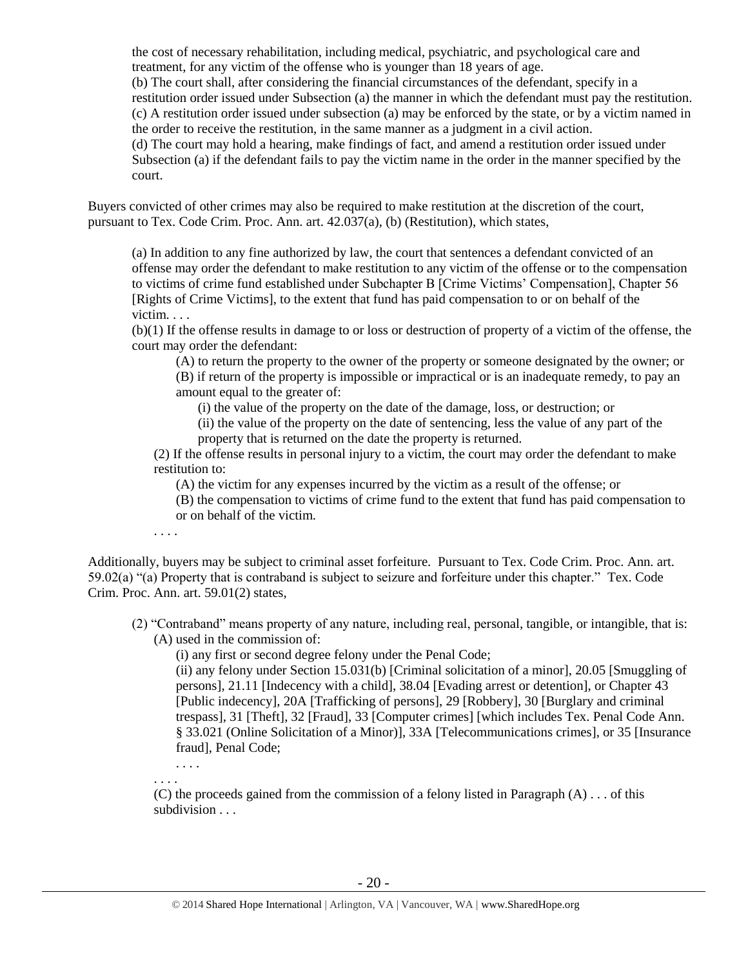the cost of necessary rehabilitation, including medical, psychiatric, and psychological care and treatment, for any victim of the offense who is younger than 18 years of age. (b) The court shall, after considering the financial circumstances of the defendant, specify in a restitution order issued under Subsection (a) the manner in which the defendant must pay the restitution. (c) A restitution order issued under subsection (a) may be enforced by the state, or by a victim named in the order to receive the restitution, in the same manner as a judgment in a civil action. (d) The court may hold a hearing, make findings of fact, and amend a restitution order issued under Subsection (a) if the defendant fails to pay the victim name in the order in the manner specified by the court.

Buyers convicted of other crimes may also be required to make restitution at the discretion of the court, pursuant to Tex. Code Crim. Proc. Ann. art. 42.037(a), (b) (Restitution), which states,

(a) In addition to any fine authorized by law, the court that sentences a defendant convicted of an offense may order the defendant to make restitution to any victim of the offense or to the compensation to victims of crime fund established under Subchapter B [Crime Victims' Compensation], Chapter 56 [Rights of Crime Victims], to the extent that fund has paid compensation to or on behalf of the victim. . . .

(b)(1) If the offense results in damage to or loss or destruction of property of a victim of the offense, the court may order the defendant:

(A) to return the property to the owner of the property or someone designated by the owner; or

(B) if return of the property is impossible or impractical or is an inadequate remedy, to pay an amount equal to the greater of:

(i) the value of the property on the date of the damage, loss, or destruction; or

(ii) the value of the property on the date of sentencing, less the value of any part of the property that is returned on the date the property is returned.

(2) If the offense results in personal injury to a victim, the court may order the defendant to make restitution to:

(A) the victim for any expenses incurred by the victim as a result of the offense; or

(B) the compensation to victims of crime fund to the extent that fund has paid compensation to or on behalf of the victim.

. . . .

Additionally, buyers may be subject to criminal asset forfeiture. Pursuant to Tex. Code Crim. Proc. Ann. art. 59.02(a) "(a) Property that is contraband is subject to seizure and forfeiture under this chapter." Tex. Code Crim. Proc. Ann. art. 59.01(2) states,

(2) "Contraband" means property of any nature, including real, personal, tangible, or intangible, that is: (A) used in the commission of:

(i) any first or second degree felony under the Penal Code;

(ii) any felony under Section 15.031(b) [Criminal solicitation of a minor], 20.05 [Smuggling of persons], 21.11 [Indecency with a child], 38.04 [Evading arrest or detention], or Chapter 43 [Public indecency], 20A [Trafficking of persons], 29 [Robbery], 30 [Burglary and criminal trespass], 31 [Theft], 32 [Fraud], 33 [Computer crimes] [which includes Tex. Penal Code Ann. § 33.021 (Online Solicitation of a Minor)], 33A [Telecommunications crimes], or 35 [Insurance fraud], Penal Code;

. . . . . . . .

(C) the proceeds gained from the commission of a felony listed in Paragraph  $(A) \dots$  of this subdivision . . .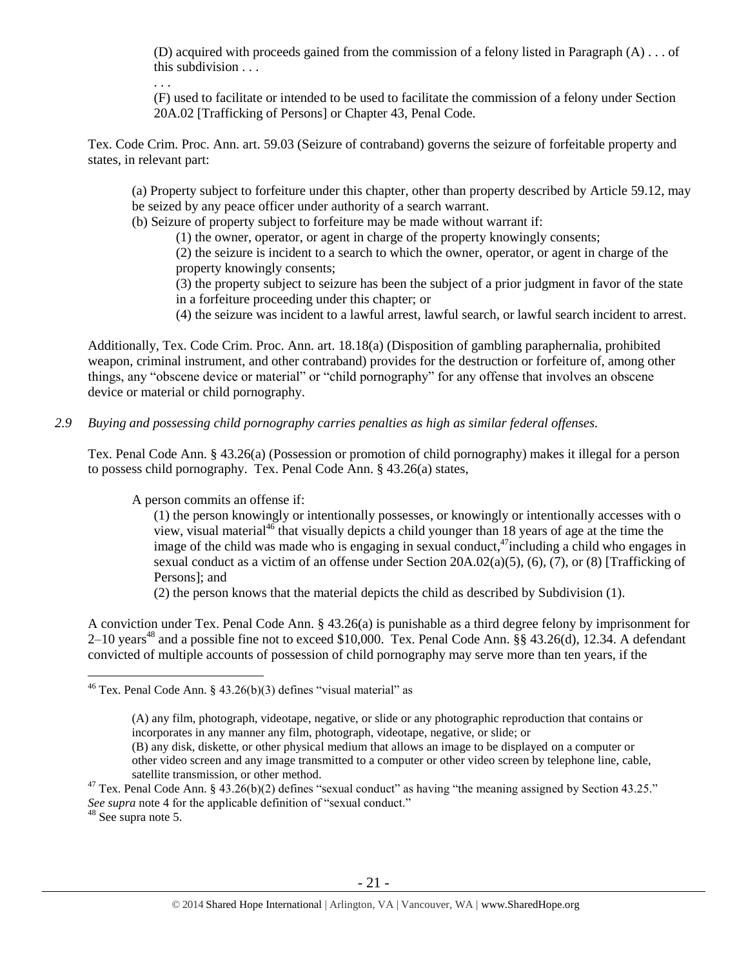(D) acquired with proceeds gained from the commission of a felony listed in Paragraph (A) . . . of this subdivision  $\ldots$ 

. . .

(F) used to facilitate or intended to be used to facilitate the commission of a felony under Section 20A.02 [Trafficking of Persons] or Chapter 43, Penal Code.

Tex. Code Crim. Proc. Ann. art. 59.03 (Seizure of contraband) governs the seizure of forfeitable property and states, in relevant part:

(a) Property subject to forfeiture under this chapter, other than property described by Article 59.12, may be seized by any peace officer under authority of a search warrant.

(b) Seizure of property subject to forfeiture may be made without warrant if:

(1) the owner, operator, or agent in charge of the property knowingly consents;

(2) the seizure is incident to a search to which the owner, operator, or agent in charge of the property knowingly consents;

(3) the property subject to seizure has been the subject of a prior judgment in favor of the state in a forfeiture proceeding under this chapter; or

(4) the seizure was incident to a lawful arrest, lawful search, or lawful search incident to arrest.

Additionally, Tex. Code Crim. Proc. Ann. art. 18.18(a) (Disposition of gambling paraphernalia, prohibited weapon, criminal instrument, and other contraband) provides for the destruction or forfeiture of, among other things, any "obscene device or material" or "child pornography" for any offense that involves an obscene device or material or child pornography.

*2.9 Buying and possessing child pornography carries penalties as high as similar federal offenses.*

Tex. Penal Code Ann. § 43.26(a) (Possession or promotion of child pornography) makes it illegal for a person to possess child pornography. Tex. Penal Code Ann. § 43.26(a) states,

A person commits an offense if:

<span id="page-20-0"></span>(1) the person knowingly or intentionally possesses, or knowingly or intentionally accesses with o view, visual material<sup>46</sup> that visually depicts a child younger than 18 years of age at the time the image of the child was made who is engaging in sexual conduct,<sup>47</sup>including a child who engages in sexual conduct as a victim of an offense under Section 20A.02(a)(5), (6), (7), or (8) [Trafficking of Persons]; and

(2) the person knows that the material depicts the child as described by Subdivision (1).

A conviction under Tex. Penal Code Ann. § 43.26(a) is punishable as a third degree felony by imprisonment for  $2-10$  years<sup>48</sup> and a possible fine not to exceed \$10,000. Tex. Penal Code Ann. §§ 43.26(d), 12.34. A defendant convicted of multiple accounts of possession of child pornography may serve more than ten years, if the

(B) any disk, diskette, or other physical medium that allows an image to be displayed on a computer or other video screen and any image transmitted to a computer or other video screen by telephone line, cable, satellite transmission, or other method.

<sup>48</sup> See supra note [5.](#page-1-0)

<sup>&</sup>lt;sup>46</sup> Tex. Penal Code Ann. § 43.26(b)(3) defines "visual material" as

<sup>(</sup>A) any film, photograph, videotape, negative, or slide or any photographic reproduction that contains or incorporates in any manner any film, photograph, videotape, negative, or slide; or

<sup>&</sup>lt;sup>47</sup> Tex. Penal Code Ann. § 43.26(b)(2) defines "sexual conduct" as having "the meaning assigned by Section 43.25." *See supra* note [4](#page-1-1) for the applicable definition of "sexual conduct."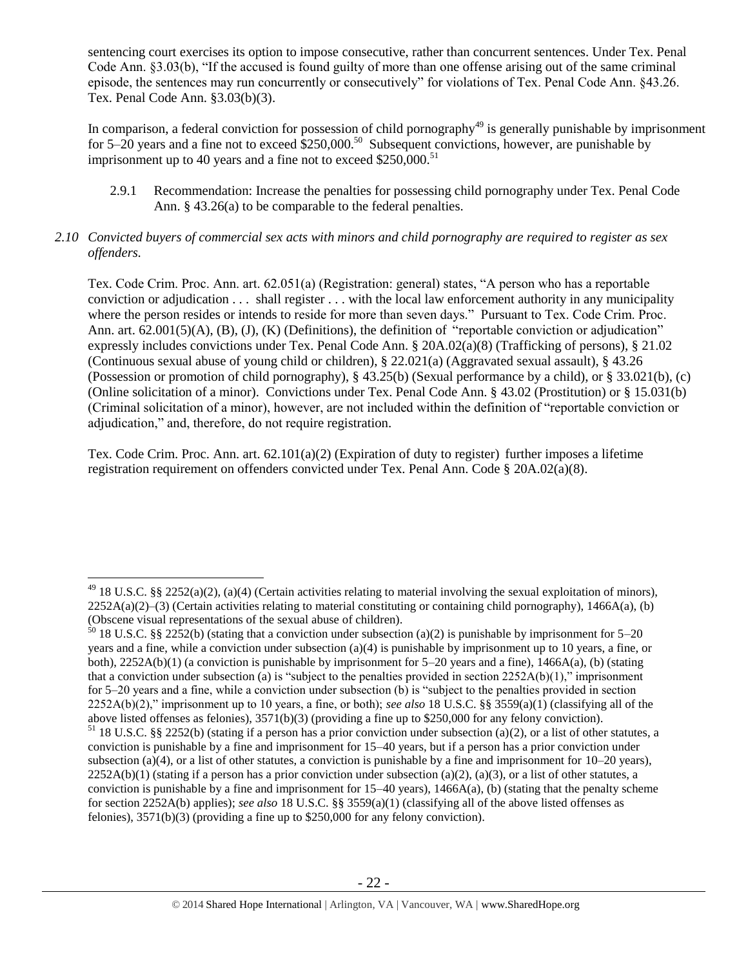sentencing court exercises its option to impose consecutive, rather than concurrent sentences. Under Tex. Penal Code Ann. §3.03(b), "If the accused is found guilty of more than one offense arising out of the same criminal episode, the sentences may run concurrently or consecutively" for violations of Tex. Penal Code Ann. §43.26. Tex. Penal Code Ann. §3.03(b)(3).

In comparison, a federal conviction for possession of child pornography<sup>49</sup> is generally punishable by imprisonment for 5–20 years and a fine not to exceed  $$250,000$ .<sup>50</sup> Subsequent convictions, however, are punishable by imprisonment up to 40 years and a fine not to exceed  $$250,000$ .<sup>51</sup>

2.9.1 Recommendation: Increase the penalties for possessing child pornography under Tex. Penal Code Ann. § 43.26(a) to be comparable to the federal penalties.

#### *2.10 Convicted buyers of commercial sex acts with minors and child pornography are required to register as sex offenders.*

Tex. Code Crim. Proc. Ann. art. 62.051(a) (Registration: general) states, "A person who has a reportable conviction or adjudication . . . shall register . . . with the local law enforcement authority in any municipality where the person resides or intends to reside for more than seven days." Pursuant to Tex. Code Crim. Proc. Ann. art. 62.001(5)(A), (B), (J), (K) (Definitions), the definition of "reportable conviction or adjudication" expressly includes convictions under Tex. Penal Code Ann. § 20A.02(a)(8) (Trafficking of persons), § 21.02 (Continuous sexual abuse of young child or children), § 22.021(a) (Aggravated sexual assault), § 43.26 (Possession or promotion of child pornography), § 43.25(b) (Sexual performance by a child), or § 33.021(b), (c) (Online solicitation of a minor). Convictions under Tex. Penal Code Ann. § 43.02 (Prostitution) or § 15.031(b) (Criminal solicitation of a minor), however, are not included within the definition of "reportable conviction or adjudication," and, therefore, do not require registration.

Tex. Code Crim. Proc. Ann. art. 62.101(a)(2) (Expiration of duty to register) further imposes a lifetime registration requirement on offenders convicted under Tex. Penal Ann. Code § 20A.02(a)(8).

 $\overline{a}$  $^{49}$  18 U.S.C. §§ 2252(a)(2), (a)(4) (Certain activities relating to material involving the sexual exploitation of minors),  $2252A(a)(2)$ –(3) (Certain activities relating to material constituting or containing child pornography), 1466A(a), (b) (Obscene visual representations of the sexual abuse of children).

<sup>&</sup>lt;sup>50</sup> 18 U.S.C. §§ 2252(b) (stating that a conviction under subsection (a)(2) is punishable by imprisonment for 5–20 years and a fine, while a conviction under subsection (a)(4) is punishable by imprisonment up to 10 years, a fine, or both), 2252A(b)(1) (a conviction is punishable by imprisonment for 5–20 years and a fine), 1466A(a), (b) (stating that a conviction under subsection (a) is "subject to the penalties provided in section  $2252A(b)(1)$ ," imprisonment for 5–20 years and a fine, while a conviction under subsection (b) is "subject to the penalties provided in section 2252A(b)(2)," imprisonment up to 10 years, a fine, or both); *see also* 18 U.S.C. §§ 3559(a)(1) (classifying all of the above listed offenses as felonies), 3571(b)(3) (providing a fine up to \$250,000 for any felony conviction).

 $51$  18 U.S.C. §§ 2252(b) (stating if a person has a prior conviction under subsection (a)(2), or a list of other statutes, a conviction is punishable by a fine and imprisonment for 15–40 years, but if a person has a prior conviction under subsection (a)(4), or a list of other statutes, a conviction is punishable by a fine and imprisonment for  $10-20$  years),  $2252A(b)(1)$  (stating if a person has a prior conviction under subsection (a)(2), (a)(3), or a list of other statutes, a conviction is punishable by a fine and imprisonment for  $15-40$  years),  $1466A(a)$ , (b) (stating that the penalty scheme for section 2252A(b) applies); *see also* 18 U.S.C. §§ 3559(a)(1) (classifying all of the above listed offenses as felonies), 3571(b)(3) (providing a fine up to \$250,000 for any felony conviction).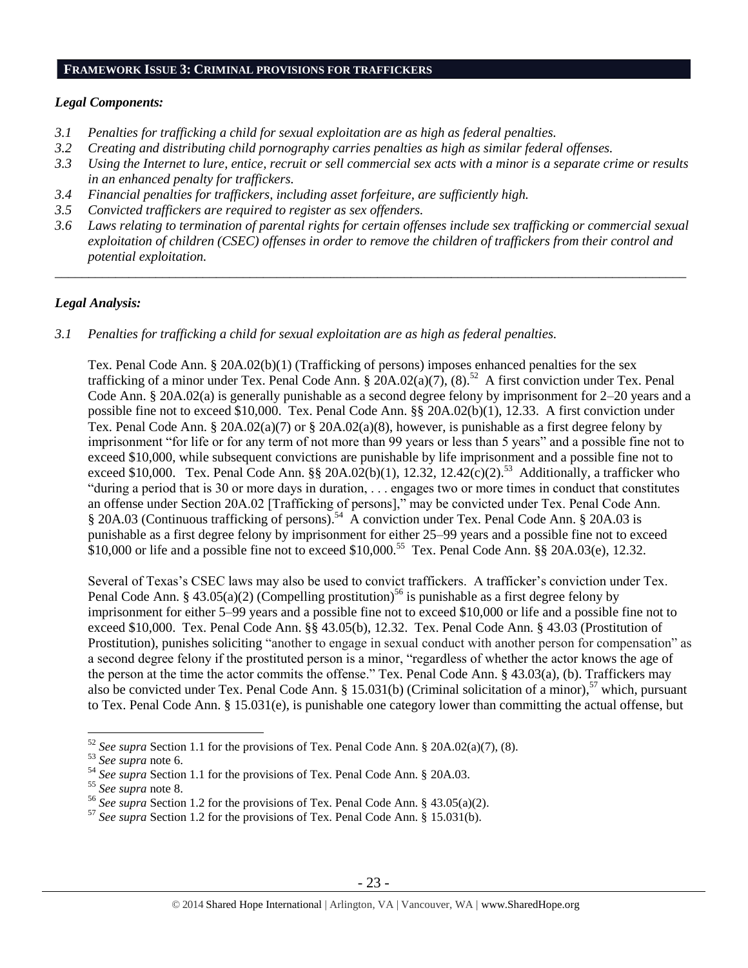#### **FRAMEWORK ISSUE 3: CRIMINAL PROVISIONS FOR TRAFFICKERS**

#### *Legal Components:*

- *3.1 Penalties for trafficking a child for sexual exploitation are as high as federal penalties.*
- *3.2 Creating and distributing child pornography carries penalties as high as similar federal offenses.*
- *3.3 Using the Internet to lure, entice, recruit or sell commercial sex acts with a minor is a separate crime or results in an enhanced penalty for traffickers.*
- *3.4 Financial penalties for traffickers, including asset forfeiture, are sufficiently high.*
- *3.5 Convicted traffickers are required to register as sex offenders.*
- *3.6 Laws relating to termination of parental rights for certain offenses include sex trafficking or commercial sexual exploitation of children (CSEC) offenses in order to remove the children of traffickers from their control and potential exploitation.*

\_\_\_\_\_\_\_\_\_\_\_\_\_\_\_\_\_\_\_\_\_\_\_\_\_\_\_\_\_\_\_\_\_\_\_\_\_\_\_\_\_\_\_\_\_\_\_\_\_\_\_\_\_\_\_\_\_\_\_\_\_\_\_\_\_\_\_\_\_\_\_\_\_\_\_\_\_\_\_\_\_\_\_\_\_\_\_\_\_\_\_\_\_\_

#### *Legal Analysis:*

*3.1 Penalties for trafficking a child for sexual exploitation are as high as federal penalties.* 

Tex. Penal Code Ann. § 20A.02(b)(1) (Trafficking of persons) imposes enhanced penalties for the sex trafficking of a minor under Tex. Penal Code Ann.  $\S$  20A.02(a)(7), (8).<sup>52</sup> A first conviction under Tex. Penal Code Ann. § 20A.02(a) is generally punishable as a second degree felony by imprisonment for 2–20 years and a possible fine not to exceed \$10,000. Tex. Penal Code Ann. §§ 20A.02(b)(1), 12.33. A first conviction under Tex. Penal Code Ann. § 20A.02(a)(7) or § 20A.02(a)(8), however, is punishable as a first degree felony by imprisonment "for life or for any term of not more than 99 years or less than 5 years" and a possible fine not to exceed \$10,000, while subsequent convictions are punishable by life imprisonment and a possible fine not to exceed \$10,000. Tex. Penal Code Ann. §§ 20A.02(b)(1), 12.32, 12.42(c)(2).<sup>53</sup> Additionally, a trafficker who "during a period that is 30 or more days in duration, . . . engages two or more times in conduct that constitutes an offense under Section 20A.02 [Trafficking of persons]," may be convicted under Tex. Penal Code Ann. § 20A.03 (Continuous trafficking of persons).<sup>54</sup> A conviction under Tex. Penal Code Ann. § 20A.03 is punishable as a first degree felony by imprisonment for either 25–99 years and a possible fine not to exceed  $$10,000$  or life and a possible fine not to exceed  $$10,000$ .<sup>55</sup> Tex. Penal Code Ann. §§ 20A.03(e), 12.32.

Several of Texas's CSEC laws may also be used to convict traffickers. A trafficker's conviction under Tex. Penal Code Ann. § 43.05(a)(2) (Compelling prostitution)<sup>56</sup> is punishable as a first degree felony by imprisonment for either 5–99 years and a possible fine not to exceed \$10,000 or life and a possible fine not to exceed \$10,000. Tex. Penal Code Ann. §§ 43.05(b), 12.32. Tex. Penal Code Ann. § 43.03 (Prostitution of Prostitution), punishes soliciting "another to engage in sexual conduct with another person for compensation" as a second degree felony if the prostituted person is a minor, "regardless of whether the actor knows the age of the person at the time the actor commits the offense." Tex. Penal Code Ann. § 43.03(a), (b). Traffickers may also be convicted under Tex. Penal Code Ann. § 15.031(b) (Criminal solicitation of a minor),<sup>57</sup> which, pursuant to Tex. Penal Code Ann. § 15.031(e), is punishable one category lower than committing the actual offense, but

<sup>52</sup> *See supra* Section 1.1 for the provisions of Tex. Penal Code Ann. § 20A.02(a)(7), (8).

<sup>53</sup> *See supra* note [6.](#page-2-0)

<sup>54</sup> *See supra* Section 1.1 for the provisions of Tex. Penal Code Ann. § 20A.03.

<sup>55</sup> *See supra* note [8.](#page-2-1)

<sup>56</sup> *See supra* Section 1.2 for the provisions of Tex. Penal Code Ann. § 43.05(a)(2).

<sup>57</sup> *See supra* Section 1.2 for the provisions of Tex. Penal Code Ann. § 15.031(b).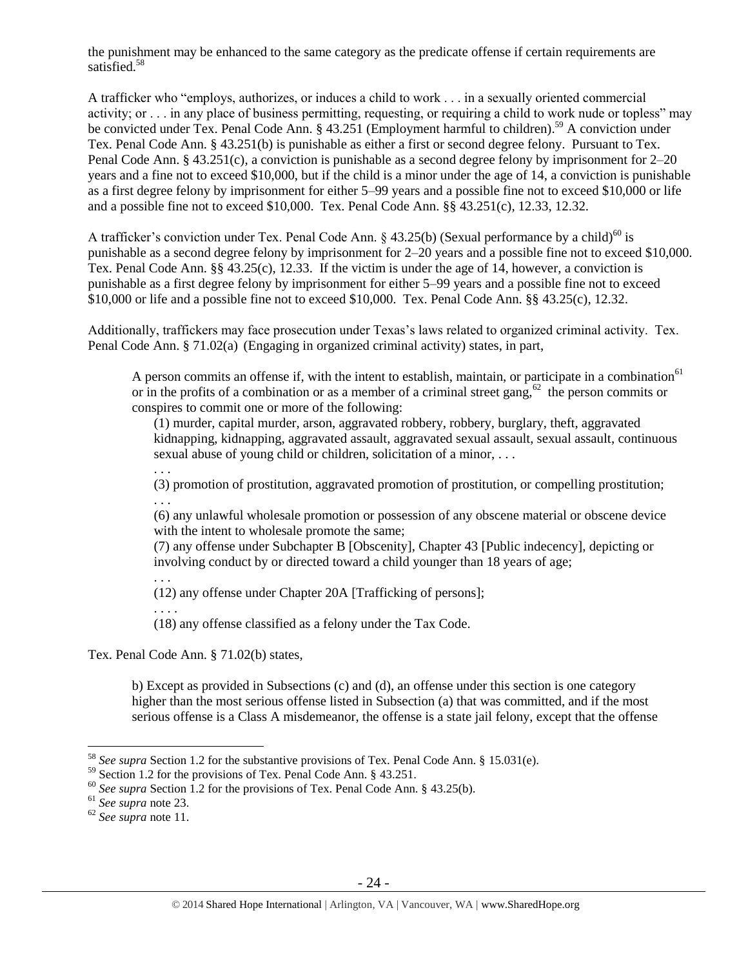the punishment may be enhanced to the same category as the predicate offense if certain requirements are satisfied.<sup>58</sup>

A trafficker who "employs, authorizes, or induces a child to work . . . in a sexually oriented commercial activity; or . . . in any place of business permitting, requesting, or requiring a child to work nude or topless" may be convicted under Tex. Penal Code Ann. § 43.251 (Employment harmful to children).<sup>59</sup> A conviction under Tex. Penal Code Ann. § 43.251(b) is punishable as either a first or second degree felony. Pursuant to Tex. Penal Code Ann. § 43.251(c), a conviction is punishable as a second degree felony by imprisonment for 2–20 years and a fine not to exceed \$10,000, but if the child is a minor under the age of 14, a conviction is punishable as a first degree felony by imprisonment for either 5–99 years and a possible fine not to exceed \$10,000 or life and a possible fine not to exceed \$10,000. Tex. Penal Code Ann. §§ 43.251(c), 12.33, 12.32.

A trafficker's conviction under Tex. Penal Code Ann. § 43.25(b) (Sexual performance by a child)<sup>60</sup> is punishable as a second degree felony by imprisonment for 2–20 years and a possible fine not to exceed \$10,000. Tex. Penal Code Ann. §§ 43.25(c), 12.33. If the victim is under the age of 14, however, a conviction is punishable as a first degree felony by imprisonment for either 5–99 years and a possible fine not to exceed \$10,000 or life and a possible fine not to exceed \$10,000. Tex. Penal Code Ann. §§ 43.25(c), 12.32.

Additionally, traffickers may face prosecution under Texas's laws related to organized criminal activity. Tex. Penal Code Ann. § 71.02(a) (Engaging in organized criminal activity) states, in part,

A person commits an offense if, with the intent to establish, maintain, or participate in a combination<sup>61</sup> or in the profits of a combination or as a member of a criminal street gang, $62$  the person commits or conspires to commit one or more of the following:

(1) murder, capital murder, arson, aggravated robbery, robbery, burglary, theft, aggravated kidnapping, kidnapping, aggravated assault, aggravated sexual assault, sexual assault, continuous sexual abuse of young child or children, solicitation of a minor, . . .

(3) promotion of prostitution, aggravated promotion of prostitution, or compelling prostitution; . . .

(6) any unlawful wholesale promotion or possession of any obscene material or obscene device with the intent to wholesale promote the same;

(7) any offense under Subchapter B [Obscenity], Chapter 43 [Public indecency], depicting or involving conduct by or directed toward a child younger than 18 years of age;

(12) any offense under Chapter 20A [Trafficking of persons];

. . . . (18) any offense classified as a felony under the Tax Code.

Tex. Penal Code Ann. § 71.02(b) states,

. . .

. . .

b) Except as provided in Subsections (c) and (d), an offense under this section is one category higher than the most serious offense listed in Subsection (a) that was committed, and if the most serious offense is a Class A misdemeanor, the offense is a state jail felony, except that the offense

<sup>58</sup> *See supra* Section 1.2 for the substantive provisions of Tex. Penal Code Ann. § 15.031(e).

 $59$  Section 1.2 for the provisions of Tex. Penal Code Ann. § 43.251.

<sup>60</sup> *See supra* Section 1.2 for the provisions of Tex. Penal Code Ann. § 43.25(b).

<sup>61</sup> *See supra* note [23.](#page-8-2)

<sup>62</sup> *See supra* note [11.](#page-4-0)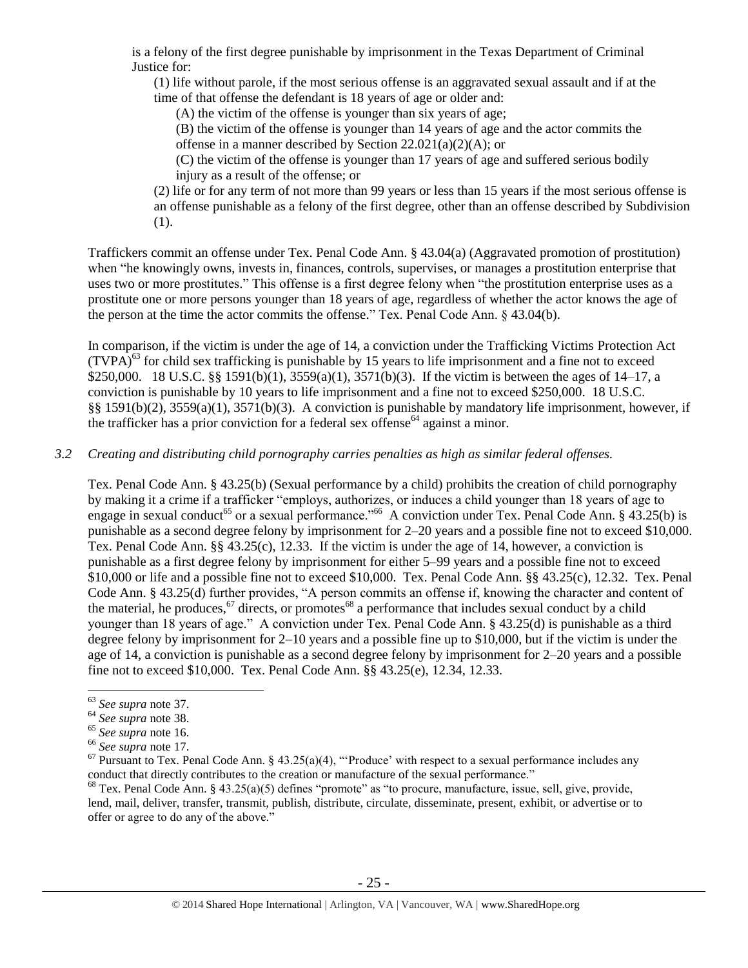is a felony of the first degree punishable by imprisonment in the Texas Department of Criminal Justice for:

(1) life without parole, if the most serious offense is an aggravated sexual assault and if at the time of that offense the defendant is 18 years of age or older and:

(A) the victim of the offense is younger than six years of age;

(B) the victim of the offense is younger than 14 years of age and the actor commits the offense in a manner described by Section 22.021(a)(2)(A); or

(C) the victim of the offense is younger than 17 years of age and suffered serious bodily injury as a result of the offense; or

(2) life or for any term of not more than 99 years or less than 15 years if the most serious offense is an offense punishable as a felony of the first degree, other than an offense described by Subdivision (1).

Traffickers commit an offense under Tex. Penal Code Ann. § 43.04(a) (Aggravated promotion of prostitution) when "he knowingly owns, invests in, finances, controls, supervises, or manages a prostitution enterprise that uses two or more prostitutes." This offense is a first degree felony when "the prostitution enterprise uses as a prostitute one or more persons younger than 18 years of age, regardless of whether the actor knows the age of the person at the time the actor commits the offense." Tex. Penal Code Ann.  $\S$  43.04(b).

In comparison, if the victim is under the age of 14, a conviction under the Trafficking Victims Protection Act  $(TVPA)<sup>63</sup>$  for child sex trafficking is punishable by 15 years to life imprisonment and a fine not to exceed \$250,000. 18 U.S.C. §§ 1591(b)(1), 3559(a)(1), 3571(b)(3). If the victim is between the ages of 14–17, a conviction is punishable by 10 years to life imprisonment and a fine not to exceed \$250,000. 18 U.S.C. §§ 1591(b)(2), 3559(a)(1), 3571(b)(3). A conviction is punishable by mandatory life imprisonment, however, if the trafficker has a prior conviction for a federal sex offense<sup>64</sup> against a minor.

#### *3.2 Creating and distributing child pornography carries penalties as high as similar federal offenses.*

Tex. Penal Code Ann. § 43.25(b) (Sexual performance by a child) prohibits the creation of child pornography by making it a crime if a trafficker "employs, authorizes, or induces a child younger than 18 years of age to engage in sexual conduct<sup>65</sup> or a sexual performance."<sup>66</sup> A conviction under Tex. Penal Code Ann. § 43.25(b) is punishable as a second degree felony by imprisonment for 2–20 years and a possible fine not to exceed \$10,000. Tex. Penal Code Ann. §§ 43.25(c), 12.33. If the victim is under the age of 14, however, a conviction is punishable as a first degree felony by imprisonment for either 5–99 years and a possible fine not to exceed \$10,000 or life and a possible fine not to exceed \$10,000. Tex. Penal Code Ann. §§ 43.25(c), 12.32. Tex. Penal Code Ann. § 43.25(d) further provides, "A person commits an offense if, knowing the character and content of the material, he produces,  $67$  directs, or promotes $68$  a performance that includes sexual conduct by a child younger than 18 years of age." A conviction under Tex. Penal Code Ann. § 43.25(d) is punishable as a third degree felony by imprisonment for 2–10 years and a possible fine up to \$10,000, but if the victim is under the age of 14, a conviction is punishable as a second degree felony by imprisonment for 2–20 years and a possible fine not to exceed \$10,000. Tex. Penal Code Ann. §§ 43.25(e), 12.34, 12.33.

<span id="page-24-0"></span><sup>63</sup> *See supra* note [37.](#page-16-0)

<sup>64</sup> *See supra* note [38.](#page-16-1)

<sup>65</sup> *See supra* note [16.](#page-6-0) 

<sup>66</sup> *See supra* note [17.](#page-6-1) 

 $67$  Pursuant to Tex. Penal Code Ann. § 43.25(a)(4), "Produce' with respect to a sexual performance includes any conduct that directly contributes to the creation or manufacture of the sexual performance."

 $68$  Tex. Penal Code Ann. § 43.25(a)(5) defines "promote" as "to procure, manufacture, issue, sell, give, provide, lend, mail, deliver, transfer, transmit, publish, distribute, circulate, disseminate, present, exhibit, or advertise or to offer or agree to do any of the above."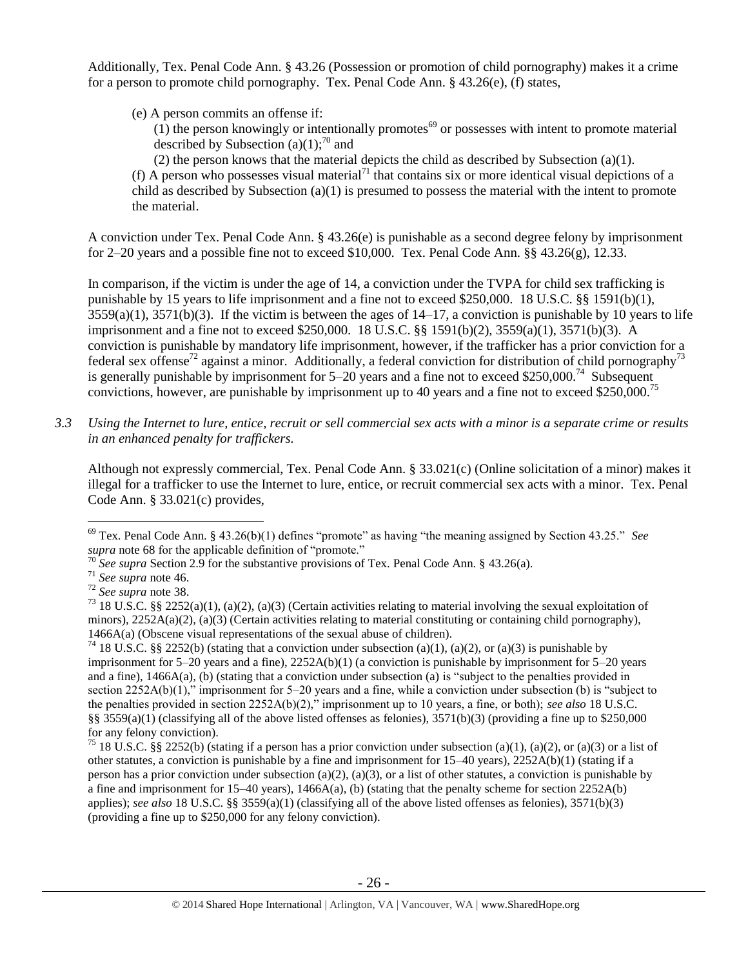Additionally, Tex. Penal Code Ann. § 43.26 (Possession or promotion of child pornography) makes it a crime for a person to promote child pornography. Tex. Penal Code Ann. § 43.26(e), (f) states,

(e) A person commits an offense if:

 $(1)$  the person knowingly or intentionally promotes<sup>69</sup> or possesses with intent to promote material described by Subsection (a)(1);<sup>70</sup> and

(2) the person knows that the material depicts the child as described by Subsection (a)(1). (f) A person who possesses visual material<sup>71</sup> that contains six or more identical visual depictions of a child as described by Subsection (a)(1) is presumed to possess the material with the intent to promote the material.

A conviction under Tex. Penal Code Ann. § 43.26(e) is punishable as a second degree felony by imprisonment for 2–20 years and a possible fine not to exceed \$10,000. Tex. Penal Code Ann. §§ 43.26(g), 12.33.

In comparison, if the victim is under the age of 14, a conviction under the TVPA for child sex trafficking is punishable by 15 years to life imprisonment and a fine not to exceed \$250,000. 18 U.S.C. §§ 1591(b)(1),  $3559(a)(1)$ ,  $3571(b)(3)$ . If the victim is between the ages of  $14-17$ , a conviction is punishable by 10 years to life imprisonment and a fine not to exceed \$250,000. 18 U.S.C. §§ 1591(b)(2), 3559(a)(1), 3571(b)(3). A conviction is punishable by mandatory life imprisonment, however, if the trafficker has a prior conviction for a federal sex offense<sup>72</sup> against a minor. Additionally, a federal conviction for distribution of child pornography<sup>73</sup> is generally punishable by imprisonment for  $5-20$  years and a fine not to exceed \$250,000.<sup>74</sup> Subsequent convictions, however, are punishable by imprisonment up to 40 years and a fine not to exceed \$250,000.<sup>75</sup>

*3.3 Using the Internet to lure, entice, recruit or sell commercial sex acts with a minor is a separate crime or results in an enhanced penalty for traffickers.*

Although not expressly commercial, Tex. Penal Code Ann. § 33.021(c) (Online solicitation of a minor) makes it illegal for a trafficker to use the Internet to lure, entice, or recruit commercial sex acts with a minor. Tex. Penal Code Ann. § 33.021(c) provides,

<sup>69</sup> Tex. Penal Code Ann. § 43.26(b)(1) defines "promote" as having "the meaning assigned by Section 43.25." *See supra* note [68](#page-24-0) for the applicable definition of "promote."

<sup>&</sup>lt;sup>70</sup> See supra Section 2.9 for the substantive provisions of Tex. Penal Code Ann. § 43.26(a).

<sup>71</sup> *See supra* note [46.](#page-20-0)

<sup>72</sup> *See supra* note [38.](#page-16-1) 

<sup>&</sup>lt;sup>73</sup> 18 U.S.C. §§ 2252(a)(1), (a)(2), (a)(3) (Certain activities relating to material involving the sexual exploitation of minors),  $2252A(a)(2)$ , (a)(3) (Certain activities relating to material constituting or containing child pornography), 1466A(a) (Obscene visual representations of the sexual abuse of children).

<sup>&</sup>lt;sup>74</sup> 18 U.S.C. §§ 2252(b) (stating that a conviction under subsection (a)(1), (a)(2), or (a)(3) is punishable by imprisonment for  $5-20$  years and a fine),  $2252A(b)(1)$  (a conviction is punishable by imprisonment for  $5-20$  years and a fine), 1466A(a), (b) (stating that a conviction under subsection (a) is "subject to the penalties provided in section 2252A(b)(1)," imprisonment for 5–20 years and a fine, while a conviction under subsection (b) is "subject to the penalties provided in section 2252A(b)(2)," imprisonment up to 10 years, a fine, or both); *see also* 18 U.S.C. §§ 3559(a)(1) (classifying all of the above listed offenses as felonies),  $3571(b)(3)$  (providing a fine up to \$250,000 for any felony conviction).

<sup>&</sup>lt;sup>75</sup> 18 U.S.C. §§ 2252(b) (stating if a person has a prior conviction under subsection (a)(1), (a)(2), or (a)(3) or a list of other statutes, a conviction is punishable by a fine and imprisonment for 15–40 years), 2252A(b)(1) (stating if a person has a prior conviction under subsection (a)(2), (a)(3), or a list of other statutes, a conviction is punishable by a fine and imprisonment for  $15-40$  years),  $1466A(a)$ , (b) (stating that the penalty scheme for section  $2252A(b)$ applies); *see also* 18 U.S.C. §§ 3559(a)(1) (classifying all of the above listed offenses as felonies), 3571(b)(3) (providing a fine up to \$250,000 for any felony conviction).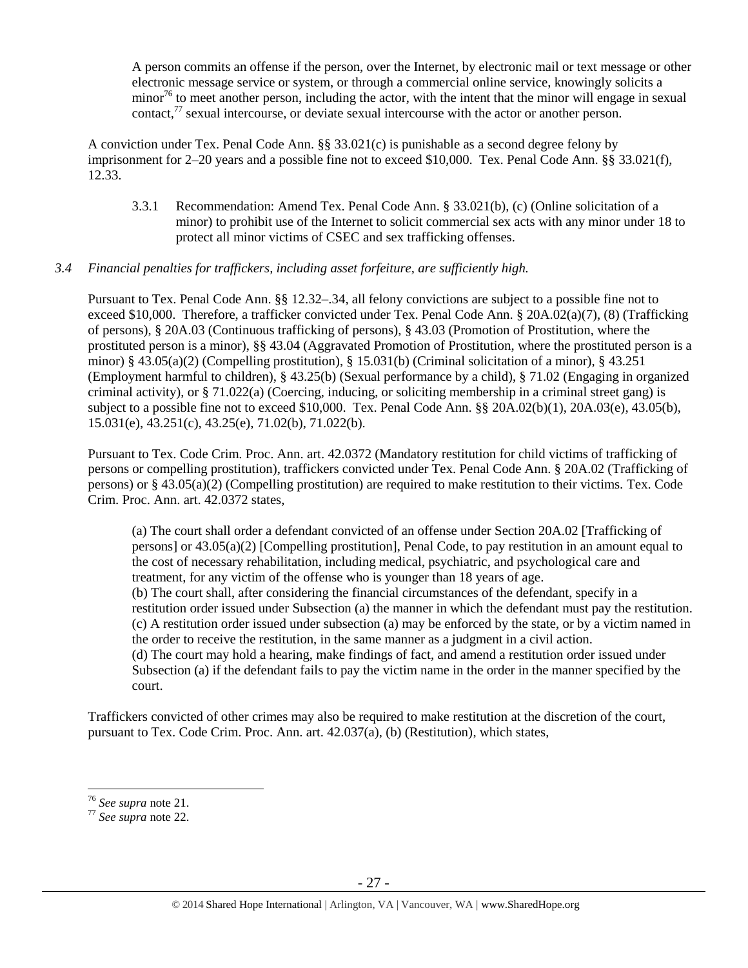A person commits an offense if the person, over the Internet, by electronic mail or text message or other electronic message service or system, or through a commercial online service, knowingly solicits a minor<sup>76</sup> to meet another person, including the actor, with the intent that the minor will engage in sexual contact,<sup>77</sup> sexual intercourse, or deviate sexual intercourse with the actor or another person.

A conviction under Tex. Penal Code Ann. §§ 33.021(c) is punishable as a second degree felony by imprisonment for 2–20 years and a possible fine not to exceed \$10,000. Tex. Penal Code Ann. §§ 33.021(f), 12.33.

3.3.1 Recommendation: Amend Tex. Penal Code Ann. § 33.021(b), (c) (Online solicitation of a minor) to prohibit use of the Internet to solicit commercial sex acts with any minor under 18 to protect all minor victims of CSEC and sex trafficking offenses.

#### *3.4 Financial penalties for traffickers, including asset forfeiture, are sufficiently high.*

Pursuant to Tex. Penal Code Ann. §§ 12.32–.34, all felony convictions are subject to a possible fine not to exceed \$10,000. Therefore, a trafficker convicted under Tex. Penal Code Ann. § 20A.02(a)(7), (8) (Trafficking of persons), § 20A.03 (Continuous trafficking of persons), § 43.03 (Promotion of Prostitution, where the prostituted person is a minor), §§ 43.04 (Aggravated Promotion of Prostitution, where the prostituted person is a minor) § 43.05(a)(2) (Compelling prostitution), § 15.031(b) (Criminal solicitation of a minor), § 43.251 (Employment harmful to children), § 43.25(b) (Sexual performance by a child), § 71.02 (Engaging in organized criminal activity), or § 71.022(a) (Coercing, inducing, or soliciting membership in a criminal street gang) is subject to a possible fine not to exceed \$10,000. Tex. Penal Code Ann. §§ 20A.02(b)(1), 20A.03(e), 43.05(b), 15.031(e), 43.251(c), 43.25(e), 71.02(b), 71.022(b).

Pursuant to Tex. Code Crim. Proc. Ann. art. 42.0372 (Mandatory restitution for child victims of trafficking of persons or compelling prostitution), traffickers convicted under Tex. Penal Code Ann. § 20A.02 (Trafficking of persons) or § 43.05(a)(2) (Compelling prostitution) are required to make restitution to their victims. Tex. Code Crim. Proc. Ann. art. 42.0372 states,

(a) The court shall order a defendant convicted of an offense under Section 20A.02 [Trafficking of persons] or 43.05(a)(2) [Compelling prostitution], Penal Code, to pay restitution in an amount equal to the cost of necessary rehabilitation, including medical, psychiatric, and psychological care and treatment, for any victim of the offense who is younger than 18 years of age. (b) The court shall, after considering the financial circumstances of the defendant, specify in a

restitution order issued under Subsection (a) the manner in which the defendant must pay the restitution. (c) A restitution order issued under subsection (a) may be enforced by the state, or by a victim named in the order to receive the restitution, in the same manner as a judgment in a civil action.

(d) The court may hold a hearing, make findings of fact, and amend a restitution order issued under Subsection (a) if the defendant fails to pay the victim name in the order in the manner specified by the court.

Traffickers convicted of other crimes may also be required to make restitution at the discretion of the court, pursuant to Tex. Code Crim. Proc. Ann. art. 42.037(a), (b) (Restitution), which states,

<sup>76</sup> *See supra* note [21.](#page-8-1) 

<sup>77</sup> *See supra* note [22.](#page-8-3)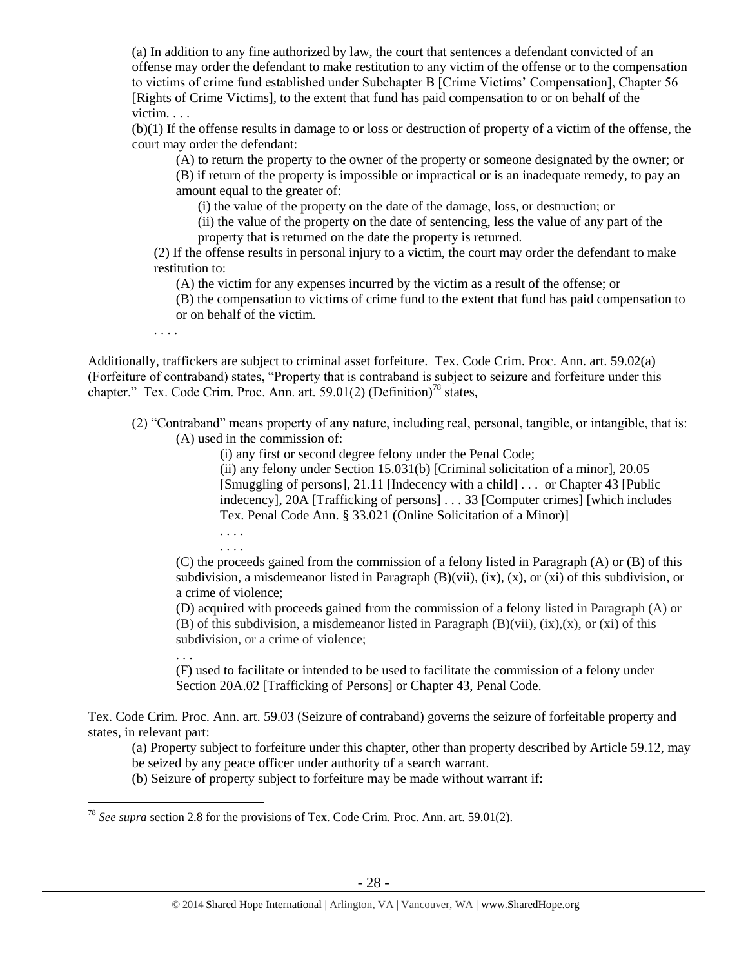(a) In addition to any fine authorized by law, the court that sentences a defendant convicted of an offense may order the defendant to make restitution to any victim of the offense or to the compensation to victims of crime fund established under Subchapter B [Crime Victims' Compensation], Chapter 56 [Rights of Crime Victims], to the extent that fund has paid compensation to or on behalf of the victim. . . .

(b)(1) If the offense results in damage to or loss or destruction of property of a victim of the offense, the court may order the defendant:

(A) to return the property to the owner of the property or someone designated by the owner; or

(B) if return of the property is impossible or impractical or is an inadequate remedy, to pay an amount equal to the greater of:

(i) the value of the property on the date of the damage, loss, or destruction; or

(ii) the value of the property on the date of sentencing, less the value of any part of the property that is returned on the date the property is returned.

(2) If the offense results in personal injury to a victim, the court may order the defendant to make restitution to:

(A) the victim for any expenses incurred by the victim as a result of the offense; or

(B) the compensation to victims of crime fund to the extent that fund has paid compensation to or on behalf of the victim.

. . . .

Additionally, traffickers are subject to criminal asset forfeiture. Tex. Code Crim. Proc. Ann. art. 59.02(a) (Forfeiture of contraband) states, "Property that is contraband is subject to seizure and forfeiture under this chapter." Tex. Code Crim. Proc. Ann. art. 59.01(2) (Definition)<sup>78</sup> states,

(2) "Contraband" means property of any nature, including real, personal, tangible, or intangible, that is: (A) used in the commission of:

(i) any first or second degree felony under the Penal Code;

(ii) any felony under Section 15.031(b) [Criminal solicitation of a minor], 20.05 [Smuggling of persons], 21.11 [Indecency with a child] . . . or Chapter 43 [Public indecency], 20A [Trafficking of persons] . . . 33 [Computer crimes] [which includes Tex. Penal Code Ann. § 33.021 (Online Solicitation of a Minor)]

. . . . . . . .

. . .

 $\overline{a}$ 

(C) the proceeds gained from the commission of a felony listed in Paragraph (A) or (B) of this subdivision, a misdemeanor listed in Paragraph  $(B)(vii)$ ,  $(ix)$ ,  $(x)$ ,  $(x)$  of this subdivision, or a crime of violence;

(D) acquired with proceeds gained from the commission of a felony listed in Paragraph (A) or (B) of this subdivision, a misdemeanor listed in Paragraph  $(B)(vii)$ ,  $(ix)$ ,  $(x)$ , or  $(xi)$  of this subdivision, or a crime of violence;

(F) used to facilitate or intended to be used to facilitate the commission of a felony under Section 20A.02 [Trafficking of Persons] or Chapter 43, Penal Code.

Tex. Code Crim. Proc. Ann. art. 59.03 (Seizure of contraband) governs the seizure of forfeitable property and states, in relevant part:

(a) Property subject to forfeiture under this chapter, other than property described by Article 59.12, may be seized by any peace officer under authority of a search warrant.

(b) Seizure of property subject to forfeiture may be made without warrant if:

<sup>78</sup> *See supra* section 2.8 for the provisions of Tex. Code Crim. Proc. Ann. art. 59.01(2).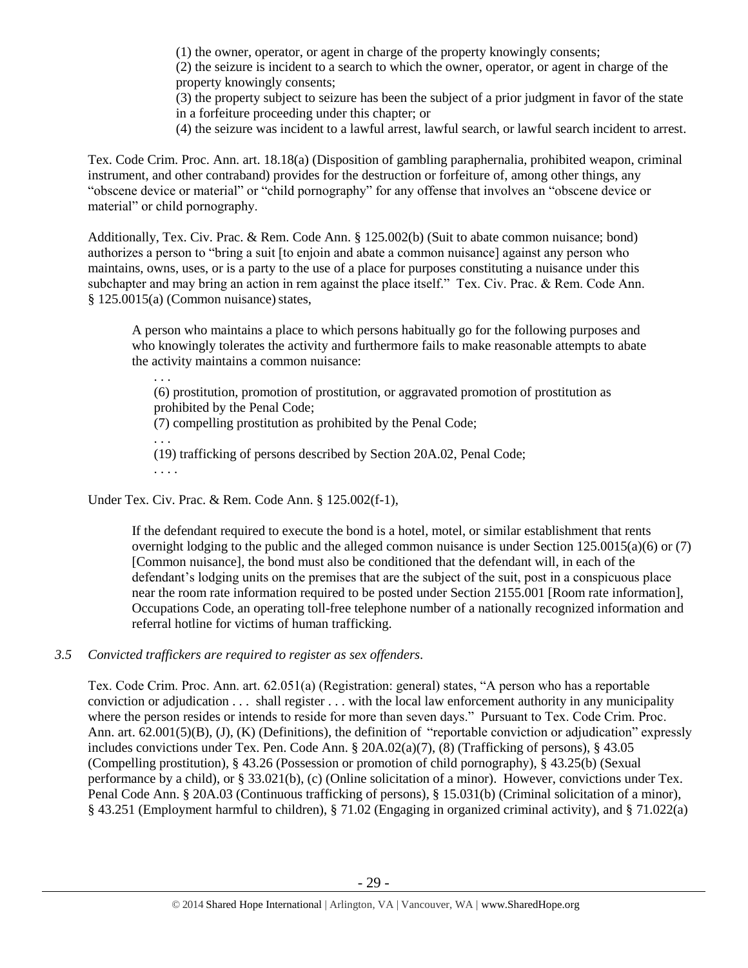(1) the owner, operator, or agent in charge of the property knowingly consents;

(2) the seizure is incident to a search to which the owner, operator, or agent in charge of the property knowingly consents;

(3) the property subject to seizure has been the subject of a prior judgment in favor of the state in a forfeiture proceeding under this chapter; or

(4) the seizure was incident to a lawful arrest, lawful search, or lawful search incident to arrest.

Tex. Code Crim. Proc. Ann. art. 18.18(a) (Disposition of gambling paraphernalia, prohibited weapon, criminal instrument, and other contraband) provides for the destruction or forfeiture of, among other things, any "obscene device or material" or "child pornography" for any offense that involves an "obscene device or material" or child pornography.

Additionally, Tex. Civ. Prac. & Rem. Code Ann. § 125.002(b) (Suit to abate common nuisance; bond) authorizes a person to "bring a suit [to enjoin and abate a common nuisance] against any person who maintains, owns, uses, or is a party to the use of a place for purposes constituting a nuisance under this subchapter and may bring an action in rem against the place itself." Tex. Civ. Prac. & Rem. Code Ann.  $§ 125.0015(a)$  (Common nuisance) states,

A person who maintains a place to which persons habitually go for the following purposes and who knowingly tolerates the activity and furthermore fails to make reasonable attempts to abate the activity maintains a common nuisance:

. . . (6) prostitution, promotion of prostitution, or aggravated promotion of prostitution as prohibited by the Penal Code; (7) compelling prostitution as prohibited by the Penal Code; . . . (19) trafficking of persons described by Section 20A.02, Penal Code; . . . .

Under Tex. Civ. Prac. & Rem. Code Ann. § 125.002(f-1),

If the defendant required to execute the bond is a hotel, motel, or similar establishment that rents overnight lodging to the public and the alleged common nuisance is under Section 125.0015(a)(6) or (7) [Common nuisance], the bond must also be conditioned that the defendant will, in each of the defendant's lodging units on the premises that are the subject of the suit, post in a conspicuous place near the room rate information required to be posted under Section 2155.001 [Room rate information], Occupations Code, an operating toll-free telephone number of a nationally recognized information and referral hotline for victims of human trafficking.

## *3.5 Convicted traffickers are required to register as sex offenders.*

Tex. Code Crim. Proc. Ann. art. 62.051(a) (Registration: general) states, "A person who has a reportable conviction or adjudication . . . shall register . . . with the local law enforcement authority in any municipality where the person resides or intends to reside for more than seven days." Pursuant to Tex. Code Crim. Proc. Ann. art. 62.001(5)(B), (J), (K) (Definitions), the definition of "reportable conviction or adjudication" expressly includes convictions under Tex. Pen. Code Ann. § 20A.02(a)(7), (8) (Trafficking of persons), § 43.05 (Compelling prostitution), § 43.26 (Possession or promotion of child pornography), § 43.25(b) (Sexual performance by a child), or § 33.021(b), (c) (Online solicitation of a minor). However, convictions under Tex. Penal Code Ann. § 20A.03 (Continuous trafficking of persons), § 15.031(b) (Criminal solicitation of a minor), § 43.251 (Employment harmful to children), § 71.02 (Engaging in organized criminal activity), and § 71.022(a)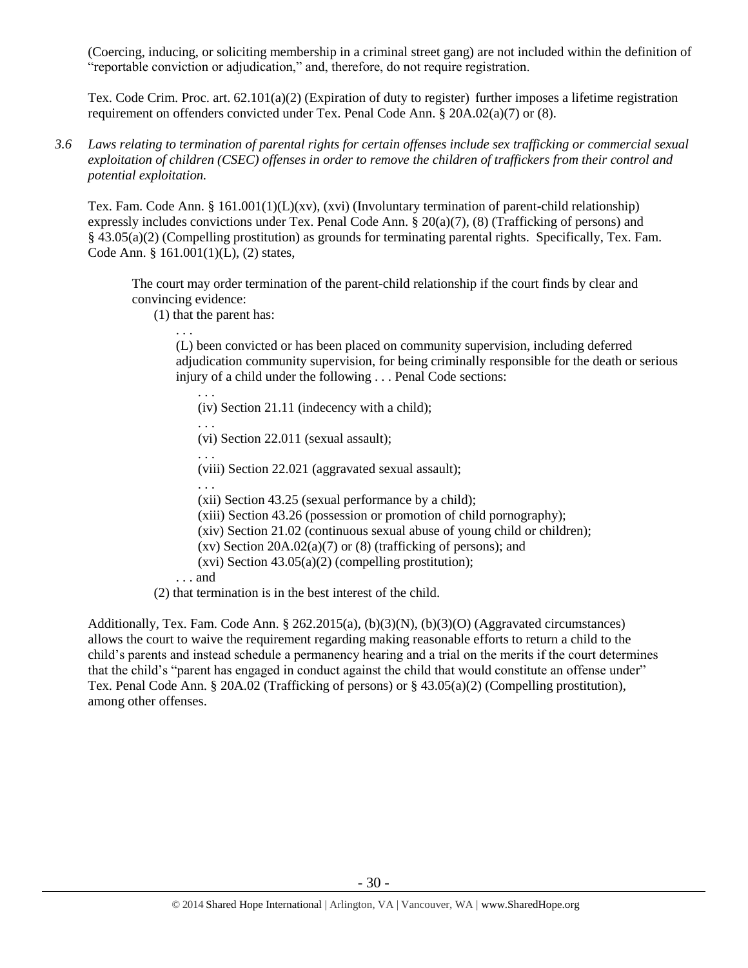(Coercing, inducing, or soliciting membership in a criminal street gang) are not included within the definition of "reportable conviction or adjudication," and, therefore, do not require registration.

Tex. Code Crim. Proc. art. 62.101(a)(2) (Expiration of duty to register) further imposes a lifetime registration requirement on offenders convicted under Tex. Penal Code Ann. § 20A.02(a)(7) or (8).

*3.6 Laws relating to termination of parental rights for certain offenses include sex trafficking or commercial sexual exploitation of children (CSEC) offenses in order to remove the children of traffickers from their control and potential exploitation.* 

Tex. Fam. Code Ann. § 161.001(1)(L)(xv), (xvi) (Involuntary termination of parent-child relationship) expressly includes convictions under Tex. Penal Code Ann. § 20(a)(7), (8) (Trafficking of persons) and § 43.05(a)(2) (Compelling prostitution) as grounds for terminating parental rights. Specifically, Tex. Fam. Code Ann. § 161.001(1)(L), (2) states,

The court may order termination of the parent-child relationship if the court finds by clear and convincing evidence:

(1) that the parent has:

. . .

(L) been convicted or has been placed on community supervision, including deferred adjudication community supervision, for being criminally responsible for the death or serious injury of a child under the following . . . Penal Code sections:

. . . (iv) Section 21.11 (indecency with a child);

. . . (vi) Section 22.011 (sexual assault);

. . .

(viii) Section 22.021 (aggravated sexual assault);

. . . (xii) Section 43.25 (sexual performance by a child);

(xiii) Section 43.26 (possession or promotion of child pornography);

(xiv) Section 21.02 (continuous sexual abuse of young child or children);

(xv) Section  $20A.02(a)(7)$  or  $(8)$  (trafficking of persons); and

 $(xvi)$  Section 43.05(a)(2) (compelling prostitution);

. . . and

(2) that termination is in the best interest of the child.

Additionally, Tex. Fam. Code Ann. § 262.2015(a), (b)(3)(N), (b)(3)(O) (Aggravated circumstances) allows the court to waive the requirement regarding making reasonable efforts to return a child to the child's parents and instead schedule a permanency hearing and a trial on the merits if the court determines that the child's "parent has engaged in conduct against the child that would constitute an offense under" Tex. Penal Code Ann. § 20A.02 (Trafficking of persons) or § 43.05(a)(2) (Compelling prostitution), among other offenses.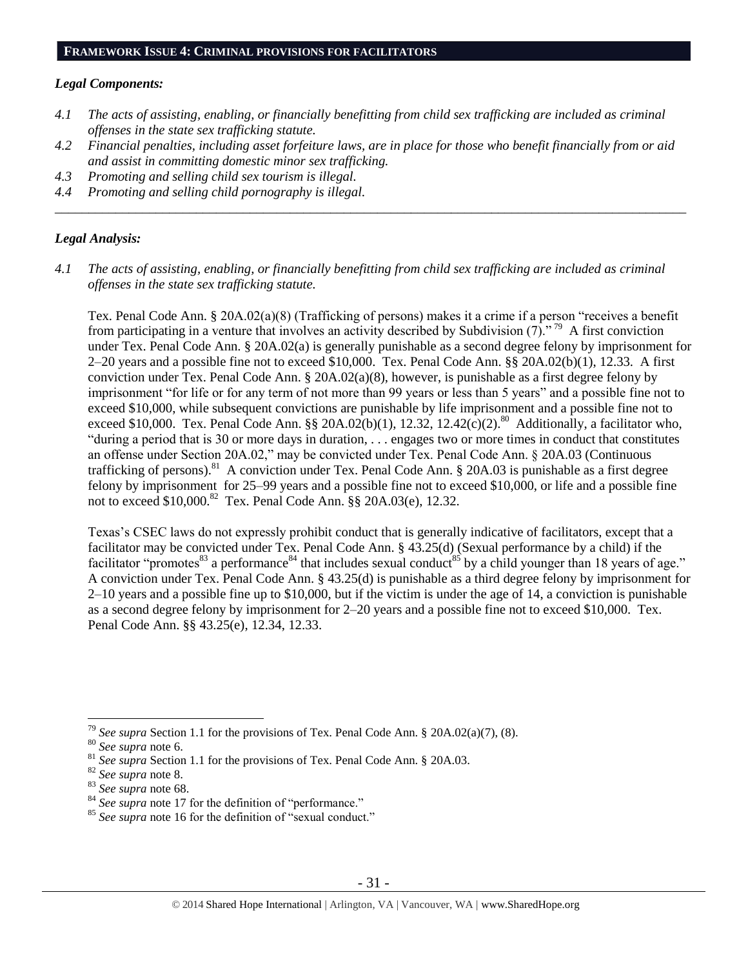#### **FRAMEWORK ISSUE 4: CRIMINAL PROVISIONS FOR FACILITATORS**

#### *Legal Components:*

- *4.1 The acts of assisting, enabling, or financially benefitting from child sex trafficking are included as criminal offenses in the state sex trafficking statute.*
- *4.2 Financial penalties, including asset forfeiture laws, are in place for those who benefit financially from or aid and assist in committing domestic minor sex trafficking.*

\_\_\_\_\_\_\_\_\_\_\_\_\_\_\_\_\_\_\_\_\_\_\_\_\_\_\_\_\_\_\_\_\_\_\_\_\_\_\_\_\_\_\_\_\_\_\_\_\_\_\_\_\_\_\_\_\_\_\_\_\_\_\_\_\_\_\_\_\_\_\_\_\_\_\_\_\_\_\_\_\_\_\_\_\_\_\_\_\_\_\_\_\_\_

- *4.3 Promoting and selling child sex tourism is illegal.*
- *4.4 Promoting and selling child pornography is illegal.*

#### *Legal Analysis:*

*4.1 The acts of assisting, enabling, or financially benefitting from child sex trafficking are included as criminal offenses in the state sex trafficking statute.*

Tex. Penal Code Ann. § 20A.02(a)(8) (Trafficking of persons) makes it a crime if a person "receives a benefit from participating in a venture that involves an activity described by Subdivision  $(7)$ ."<sup>79</sup> A first conviction under Tex. Penal Code Ann. § 20A.02(a) is generally punishable as a second degree felony by imprisonment for 2–20 years and a possible fine not to exceed \$10,000. Tex. Penal Code Ann. §§ 20A.02(b)(1), 12.33. A first conviction under Tex. Penal Code Ann. §  $20A.02(a)(8)$ , however, is punishable as a first degree felony by imprisonment "for life or for any term of not more than 99 years or less than 5 years" and a possible fine not to exceed \$10,000, while subsequent convictions are punishable by life imprisonment and a possible fine not to exceed \$10,000. Tex. Penal Code Ann. §§ 20A.02(b)(1), 12.32, 12.42(c)(2).<sup>80</sup> Additionally, a facilitator who, "during a period that is 30 or more days in duration, . . . engages two or more times in conduct that constitutes an offense under Section 20A.02," may be convicted under Tex. Penal Code Ann. § 20A.03 (Continuous trafficking of persons).<sup>81</sup> A conviction under Tex. Penal Code Ann. § 20A.03 is punishable as a first degree felony by imprisonment for 25–99 years and a possible fine not to exceed \$10,000, or life and a possible fine not to exceed \$10,000.<sup>82</sup> Tex. Penal Code Ann. §§ 20A.03(e), 12.32.

Texas's CSEC laws do not expressly prohibit conduct that is generally indicative of facilitators, except that a facilitator may be convicted under Tex. Penal Code Ann. § 43.25(d) (Sexual performance by a child) if the facilitator "promotes<sup>83</sup> a performance<sup>84</sup> that includes sexual conduct<sup>85</sup> by a child younger than 18 years of age." A conviction under Tex. Penal Code Ann. § 43.25(d) is punishable as a third degree felony by imprisonment for 2–10 years and a possible fine up to \$10,000, but if the victim is under the age of 14, a conviction is punishable as a second degree felony by imprisonment for 2–20 years and a possible fine not to exceed \$10,000. Tex. Penal Code Ann. §§ 43.25(e), 12.34, 12.33.

<sup>79</sup> *See supra* Section 1.1 for the provisions of Tex. Penal Code Ann. § 20A.02(a)(7), (8).

<sup>80</sup> *See supra* note [6.](#page-2-0)

<sup>&</sup>lt;sup>81</sup> See supra Section 1.1 for the provisions of Tex. Penal Code Ann. § 20A.03.

<sup>82</sup> *See supra* note [8.](#page-2-1)

<sup>83</sup> *See supra* note [68.](#page-24-0) 

<sup>&</sup>lt;sup>84</sup> See supra note [17](#page-6-1) for the definition of "performance."

<sup>&</sup>lt;sup>85</sup> See supra note [16](#page-6-0) for the definition of "sexual conduct."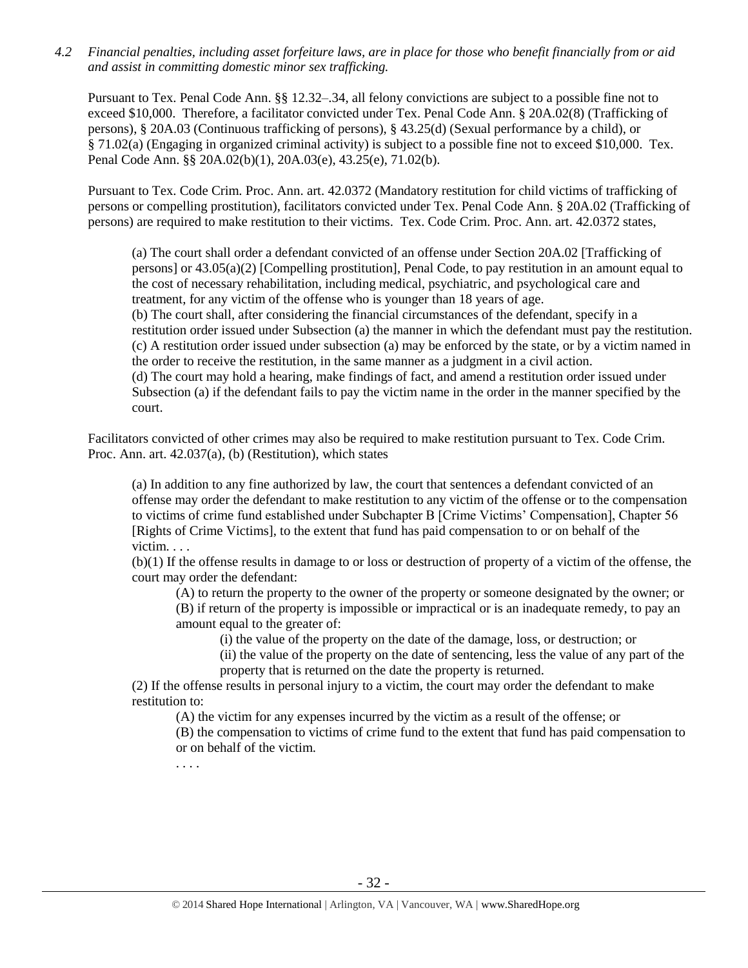*4.2 Financial penalties, including asset forfeiture laws, are in place for those who benefit financially from or aid and assist in committing domestic minor sex trafficking.*

Pursuant to Tex. Penal Code Ann. §§ 12.32–.34, all felony convictions are subject to a possible fine not to exceed \$10,000. Therefore, a facilitator convicted under Tex. Penal Code Ann. § 20A.02(8) (Trafficking of persons), § 20A.03 (Continuous trafficking of persons), § 43.25(d) (Sexual performance by a child), or § 71.02(a) (Engaging in organized criminal activity) is subject to a possible fine not to exceed \$10,000. Tex. Penal Code Ann. §§ 20A.02(b)(1), 20A.03(e), 43.25(e), 71.02(b).

Pursuant to Tex. Code Crim. Proc. Ann. art. 42.0372 (Mandatory restitution for child victims of trafficking of persons or compelling prostitution), facilitators convicted under Tex. Penal Code Ann. § 20A.02 (Trafficking of persons) are required to make restitution to their victims. Tex. Code Crim. Proc. Ann. art. 42.0372 states,

(a) The court shall order a defendant convicted of an offense under Section 20A.02 [Trafficking of persons] or 43.05(a)(2) [Compelling prostitution], Penal Code, to pay restitution in an amount equal to the cost of necessary rehabilitation, including medical, psychiatric, and psychological care and treatment, for any victim of the offense who is younger than 18 years of age. (b) The court shall, after considering the financial circumstances of the defendant, specify in a restitution order issued under Subsection (a) the manner in which the defendant must pay the restitution. (c) A restitution order issued under subsection (a) may be enforced by the state, or by a victim named in the order to receive the restitution, in the same manner as a judgment in a civil action. (d) The court may hold a hearing, make findings of fact, and amend a restitution order issued under Subsection (a) if the defendant fails to pay the victim name in the order in the manner specified by the court.

Facilitators convicted of other crimes may also be required to make restitution pursuant to Tex. Code Crim. Proc. Ann. art. 42.037(a), (b) (Restitution), which states

(a) In addition to any fine authorized by law, the court that sentences a defendant convicted of an offense may order the defendant to make restitution to any victim of the offense or to the compensation to victims of crime fund established under Subchapter B [Crime Victims' Compensation], Chapter 56 [Rights of Crime Victims], to the extent that fund has paid compensation to or on behalf of the victim. . . .

(b)(1) If the offense results in damage to or loss or destruction of property of a victim of the offense, the court may order the defendant:

(A) to return the property to the owner of the property or someone designated by the owner; or (B) if return of the property is impossible or impractical or is an inadequate remedy, to pay an amount equal to the greater of:

(i) the value of the property on the date of the damage, loss, or destruction; or

(ii) the value of the property on the date of sentencing, less the value of any part of the property that is returned on the date the property is returned.

(2) If the offense results in personal injury to a victim, the court may order the defendant to make restitution to:

(A) the victim for any expenses incurred by the victim as a result of the offense; or (B) the compensation to victims of crime fund to the extent that fund has paid compensation to or on behalf of the victim.

. . . .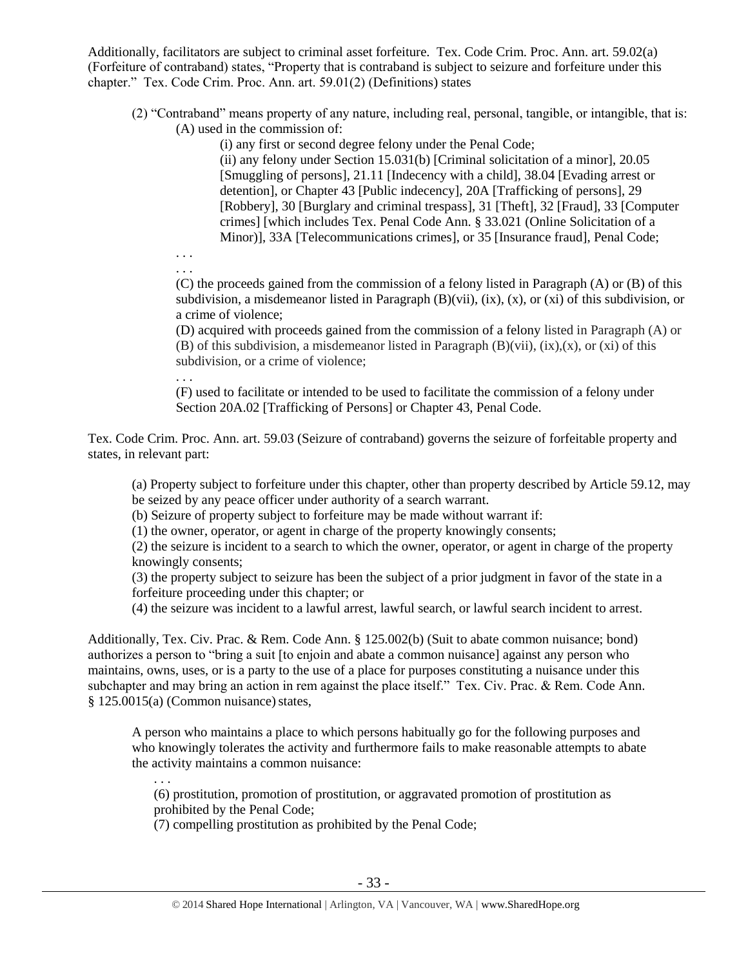Additionally, facilitators are subject to criminal asset forfeiture. Tex. Code Crim. Proc. Ann. art. 59.02(a) (Forfeiture of contraband) states, "Property that is contraband is subject to seizure and forfeiture under this chapter." Tex. Code Crim. Proc. Ann. art. 59.01(2) (Definitions) states

(2) "Contraband" means property of any nature, including real, personal, tangible, or intangible, that is: (A) used in the commission of:

(i) any first or second degree felony under the Penal Code;

(ii) any felony under Section 15.031(b) [Criminal solicitation of a minor], 20.05 [Smuggling of persons], 21.11 [Indecency with a child], 38.04 [Evading arrest or detention], or Chapter 43 [Public indecency], 20A [Trafficking of persons], 29 [Robbery], 30 [Burglary and criminal trespass], 31 [Theft], 32 [Fraud], 33 [Computer crimes] [which includes Tex. Penal Code Ann. § 33.021 (Online Solicitation of a Minor)], 33A [Telecommunications crimes], or 35 [Insurance fraud], Penal Code;

. . . . . .

> (C) the proceeds gained from the commission of a felony listed in Paragraph (A) or (B) of this subdivision, a misdemeanor listed in Paragraph  $(B)(vii)$ ,  $(ix)$ ,  $(x)$ ,  $(x)$  of this subdivision, or a crime of violence;

> (D) acquired with proceeds gained from the commission of a felony listed in Paragraph (A) or (B) of this subdivision, a misdemeanor listed in Paragraph  $(B)(vii)$ ,  $(ix)$ ,  $(x)$ , or  $(xi)$  of this subdivision, or a crime of violence;

. . . (F) used to facilitate or intended to be used to facilitate the commission of a felony under Section 20A.02 [Trafficking of Persons] or Chapter 43, Penal Code.

Tex. Code Crim. Proc. Ann. art. 59.03 (Seizure of contraband) governs the seizure of forfeitable property and states, in relevant part:

(a) Property subject to forfeiture under this chapter, other than property described by Article 59.12, may be seized by any peace officer under authority of a search warrant.

(b) Seizure of property subject to forfeiture may be made without warrant if:

(1) the owner, operator, or agent in charge of the property knowingly consents;

(2) the seizure is incident to a search to which the owner, operator, or agent in charge of the property knowingly consents;

(3) the property subject to seizure has been the subject of a prior judgment in favor of the state in a forfeiture proceeding under this chapter; or

(4) the seizure was incident to a lawful arrest, lawful search, or lawful search incident to arrest.

Additionally, Tex. Civ. Prac. & Rem. Code Ann. § 125.002(b) (Suit to abate common nuisance; bond) authorizes a person to "bring a suit [to enjoin and abate a common nuisance] against any person who maintains, owns, uses, or is a party to the use of a place for purposes constituting a nuisance under this subchapter and may bring an action in rem against the place itself." Tex. Civ. Prac. & Rem. Code Ann.  $§ 125.0015(a)$  (Common nuisance) states,

A person who maintains a place to which persons habitually go for the following purposes and who knowingly tolerates the activity and furthermore fails to make reasonable attempts to abate the activity maintains a common nuisance: . . .

(6) prostitution, promotion of prostitution, or aggravated promotion of prostitution as prohibited by the Penal Code;

(7) compelling prostitution as prohibited by the Penal Code;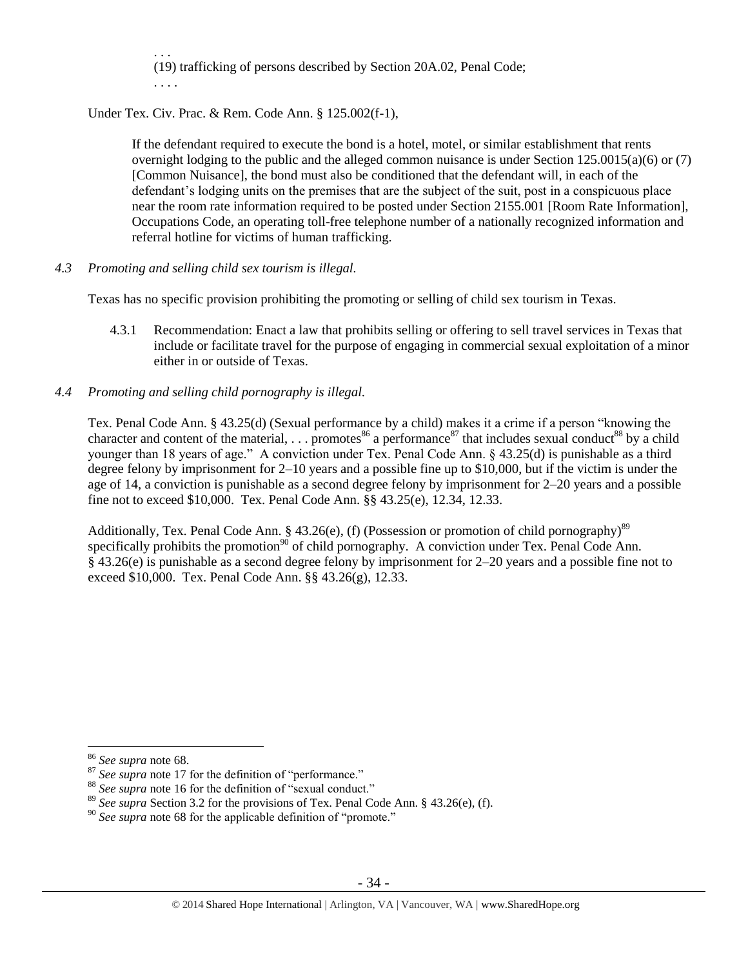. . . (19) trafficking of persons described by Section 20A.02, Penal Code; . . . .

Under Tex. Civ. Prac. & Rem. Code Ann. § 125.002(f-1),

If the defendant required to execute the bond is a hotel, motel, or similar establishment that rents overnight lodging to the public and the alleged common nuisance is under Section 125.0015(a)(6) or (7) [Common Nuisance], the bond must also be conditioned that the defendant will, in each of the defendant's lodging units on the premises that are the subject of the suit, post in a conspicuous place near the room rate information required to be posted under Section 2155.001 [Room Rate Information], Occupations Code, an operating toll-free telephone number of a nationally recognized information and referral hotline for victims of human trafficking.

*4.3 Promoting and selling child sex tourism is illegal.*

Texas has no specific provision prohibiting the promoting or selling of child sex tourism in Texas.

- 4.3.1 Recommendation: Enact a law that prohibits selling or offering to sell travel services in Texas that include or facilitate travel for the purpose of engaging in commercial sexual exploitation of a minor either in or outside of Texas.
- *4.4 Promoting and selling child pornography is illegal.*

Tex. Penal Code Ann. § 43.25(d) (Sexual performance by a child) makes it a crime if a person "knowing the character and content of the material, ... promotes<sup>86</sup> a performance<sup>87</sup> that includes sexual conduct<sup>88</sup> by a child younger than 18 years of age." A conviction under Tex. Penal Code Ann. § 43.25(d) is punishable as a third degree felony by imprisonment for 2–10 years and a possible fine up to \$10,000, but if the victim is under the age of 14, a conviction is punishable as a second degree felony by imprisonment for 2–20 years and a possible fine not to exceed \$10,000. Tex. Penal Code Ann. §§ 43.25(e), 12.34, 12.33.

Additionally, Tex. Penal Code Ann. § 43.26(e), (f) (Possession or promotion of child pornography)<sup>89</sup> specifically prohibits the promotion<sup>90</sup> of child pornography. A conviction under Tex. Penal Code Ann. § 43.26(e) is punishable as a second degree felony by imprisonment for 2–20 years and a possible fine not to exceed \$10,000. Tex. Penal Code Ann. §§ 43.26(g), 12.33.

<sup>86</sup> *See supra* note [68.](#page-24-0) 

<sup>&</sup>lt;sup>87</sup> See supra note [17](#page-6-1) for the definition of "performance."

<sup>&</sup>lt;sup>88</sup> See supra note [16](#page-6-0) for the definition of "sexual conduct."

<sup>89</sup> *See supra* Section 3.2 for the provisions of Tex. Penal Code Ann. § 43.26(e), (f).

<sup>90</sup> *See supra* note [68](#page-24-0) for the applicable definition of "promote."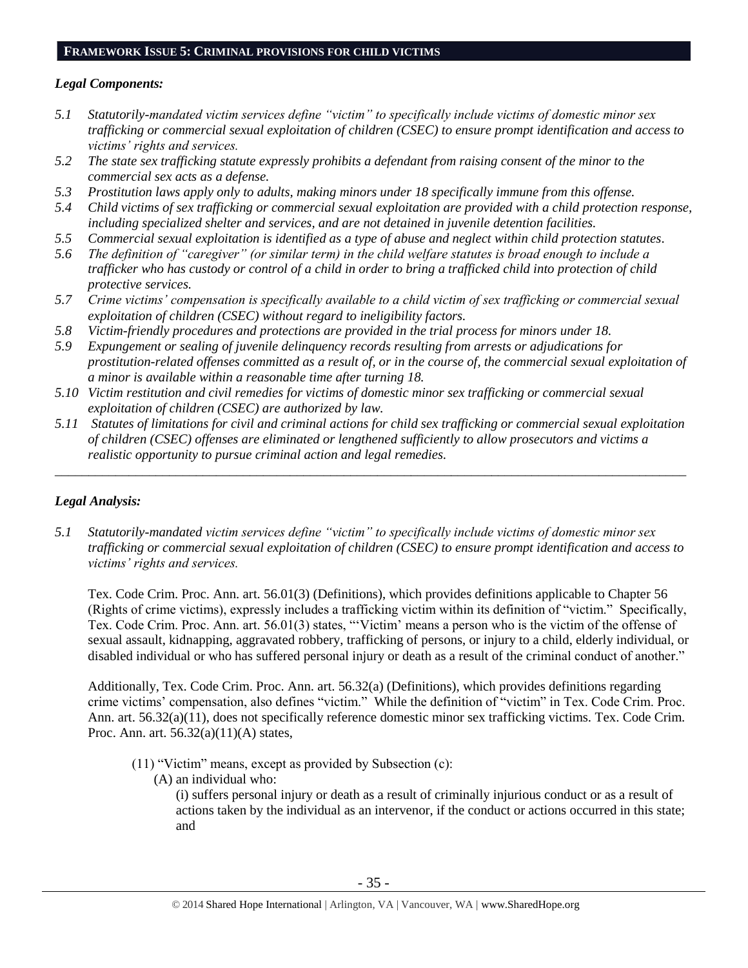#### **FRAMEWORK ISSUE 5: CRIMINAL PROVISIONS FOR CHILD VICTIMS**

#### *Legal Components:*

- *5.1 Statutorily-mandated victim services define "victim" to specifically include victims of domestic minor sex trafficking or commercial sexual exploitation of children (CSEC) to ensure prompt identification and access to victims' rights and services.*
- *5.2 The state sex trafficking statute expressly prohibits a defendant from raising consent of the minor to the commercial sex acts as a defense.*
- *5.3 Prostitution laws apply only to adults, making minors under 18 specifically immune from this offense.*
- *5.4 Child victims of sex trafficking or commercial sexual exploitation are provided with a child protection response, including specialized shelter and services, and are not detained in juvenile detention facilities.*
- *5.5 Commercial sexual exploitation is identified as a type of abuse and neglect within child protection statutes.*
- *5.6 The definition of "caregiver" (or similar term) in the child welfare statutes is broad enough to include a trafficker who has custody or control of a child in order to bring a trafficked child into protection of child protective services.*
- *5.7 Crime victims' compensation is specifically available to a child victim of sex trafficking or commercial sexual exploitation of children (CSEC) without regard to ineligibility factors.*
- *5.8 Victim-friendly procedures and protections are provided in the trial process for minors under 18.*
- *5.9 Expungement or sealing of juvenile delinquency records resulting from arrests or adjudications for prostitution-related offenses committed as a result of, or in the course of, the commercial sexual exploitation of a minor is available within a reasonable time after turning 18.*
- *5.10 Victim restitution and civil remedies for victims of domestic minor sex trafficking or commercial sexual exploitation of children (CSEC) are authorized by law.*
- *5.11 Statutes of limitations for civil and criminal actions for child sex trafficking or commercial sexual exploitation of children (CSEC) offenses are eliminated or lengthened sufficiently to allow prosecutors and victims a realistic opportunity to pursue criminal action and legal remedies.*

\_\_\_\_\_\_\_\_\_\_\_\_\_\_\_\_\_\_\_\_\_\_\_\_\_\_\_\_\_\_\_\_\_\_\_\_\_\_\_\_\_\_\_\_\_\_\_\_\_\_\_\_\_\_\_\_\_\_\_\_\_\_\_\_\_\_\_\_\_\_\_\_\_\_\_\_\_\_\_\_\_\_\_\_\_\_\_\_\_\_\_\_\_\_

## *Legal Analysis:*

*5.1 Statutorily-mandated victim services define "victim" to specifically include victims of domestic minor sex trafficking or commercial sexual exploitation of children (CSEC) to ensure prompt identification and access to victims' rights and services.* 

Tex. Code Crim. Proc. Ann. art. 56.01(3) (Definitions), which provides definitions applicable to Chapter 56 (Rights of crime victims), expressly includes a trafficking victim within its definition of "victim." Specifically, Tex. Code Crim. Proc. Ann. art. 56.01(3) states, "'Victim' means a person who is the victim of the offense of sexual assault, kidnapping, aggravated robbery, trafficking of persons, or injury to a child, elderly individual, or disabled individual or who has suffered personal injury or death as a result of the criminal conduct of another."

Additionally, Tex. Code Crim. Proc. Ann. art. 56.32(a) (Definitions), which provides definitions regarding crime victims' compensation, also defines "victim." While the definition of "victim" in Tex. Code Crim. Proc. Ann. art. 56.32(a)(11), does not specifically reference domestic minor sex trafficking victims. Tex. Code Crim. Proc. Ann. art. 56.32(a)(11)(A) states,

- (11) "Victim" means, except as provided by Subsection (c):
	- (A) an individual who:

(i) suffers personal injury or death as a result of criminally injurious conduct or as a result of actions taken by the individual as an intervenor, if the conduct or actions occurred in this state; and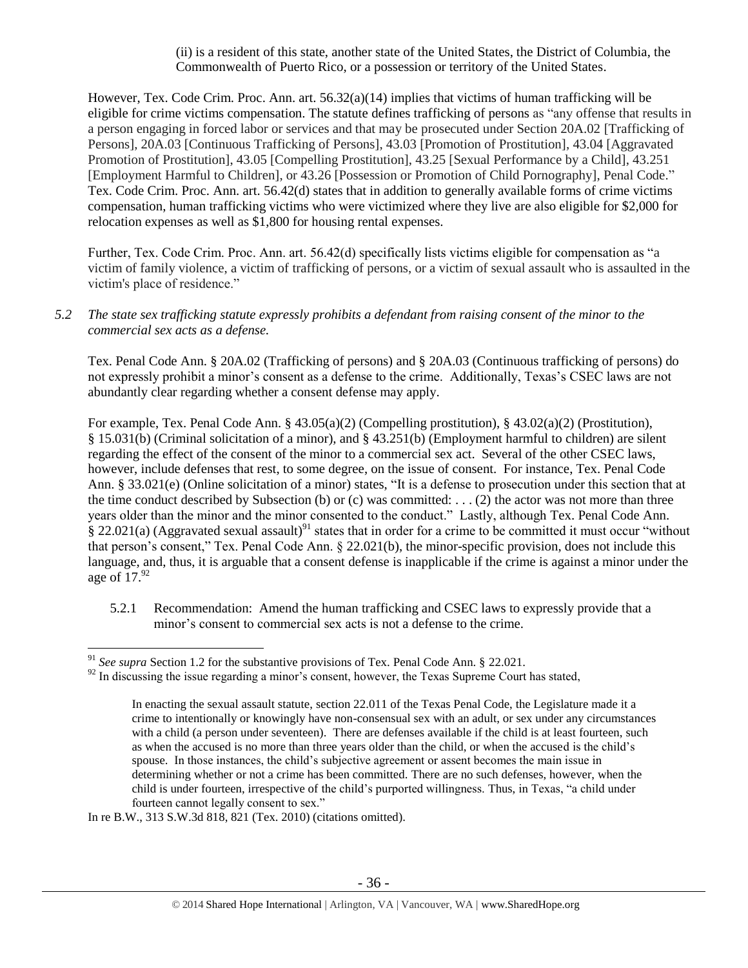(ii) is a resident of this state, another state of the United States, the District of Columbia, the Commonwealth of Puerto Rico, or a possession or territory of the United States.

However, Tex. Code Crim. Proc. Ann. art. 56.32(a)(14) implies that victims of human trafficking will be eligible for crime victims compensation. The statute defines trafficking of persons as "any offense that results in a person engaging in forced labor or services and that may be prosecuted under Section 20A.02 [Trafficking of Persons], 20A.03 [Continuous Trafficking of Persons], 43.03 [Promotion of Prostitution], 43.04 [Aggravated Promotion of Prostitution], 43.05 [Compelling Prostitution], 43.25 [Sexual Performance by a Child], 43.251 [Employment Harmful to Children], or 43.26 [Possession or Promotion of Child Pornography], Penal Code." Tex. Code Crim. Proc. Ann. art. 56.42(d) states that in addition to generally available forms of crime victims compensation, human trafficking victims who were victimized where they live are also eligible for \$2,000 for relocation expenses as well as \$1,800 for housing rental expenses.

Further, Tex. Code Crim. Proc. Ann. art. 56.42(d) specifically lists victims eligible for compensation as "a victim of family violence, a victim of trafficking of persons, or a victim of sexual assault who is assaulted in the victim's place of residence."

*5.2 The state sex trafficking statute expressly prohibits a defendant from raising consent of the minor to the commercial sex acts as a defense.*

Tex. Penal Code Ann. § 20A.02 (Trafficking of persons) and § 20A.03 (Continuous trafficking of persons) do not expressly prohibit a minor's consent as a defense to the crime. Additionally, Texas's CSEC laws are not abundantly clear regarding whether a consent defense may apply.

For example, Tex. Penal Code Ann. § 43.05(a)(2) (Compelling prostitution), § 43.02(a)(2) (Prostitution), § 15.031(b) (Criminal solicitation of a minor), and § 43.251(b) (Employment harmful to children) are silent regarding the effect of the consent of the minor to a commercial sex act. Several of the other CSEC laws, however, include defenses that rest, to some degree, on the issue of consent. For instance, Tex. Penal Code Ann. § 33.021(e) (Online solicitation of a minor) states, "It is a defense to prosecution under this section that at the time conduct described by Subsection (b) or (c) was committed: . . . (2) the actor was not more than three years older than the minor and the minor consented to the conduct." Lastly, although Tex. Penal Code Ann.  $\S$  22.021(a) (Aggravated sexual assault)<sup>91</sup> states that in order for a crime to be committed it must occur "without" that person's consent," Tex. Penal Code Ann. § 22.021(b), the minor-specific provision, does not include this language, and, thus, it is arguable that a consent defense is inapplicable if the crime is against a minor under the age of  $17.^{92}$ 

5.2.1 Recommendation: Amend the human trafficking and CSEC laws to expressly provide that a minor's consent to commercial sex acts is not a defense to the crime.

In re B.W., 313 S.W.3d 818, 821 (Tex. 2010) (citations omitted).

<sup>91</sup> *See supra* Section 1.2 for the substantive provisions of Tex. Penal Code Ann. § 22.021.

 $92$  In discussing the issue regarding a minor's consent, however, the Texas Supreme Court has stated,

In enacting the sexual assault statute, section 22.011 of the Texas Penal Code, the Legislature made it a crime to intentionally or knowingly have non-consensual sex with an adult, or sex under any circumstances with a child (a person under seventeen). There are defenses available if the child is at least fourteen, such as when the accused is no more than three years older than the child, or when the accused is the child's spouse. In those instances, the child's subjective agreement or assent becomes the main issue in determining whether or not a crime has been committed. There are no such defenses, however, when the child is under fourteen, irrespective of the child's purported willingness. Thus, in Texas, "a child under fourteen cannot legally consent to sex."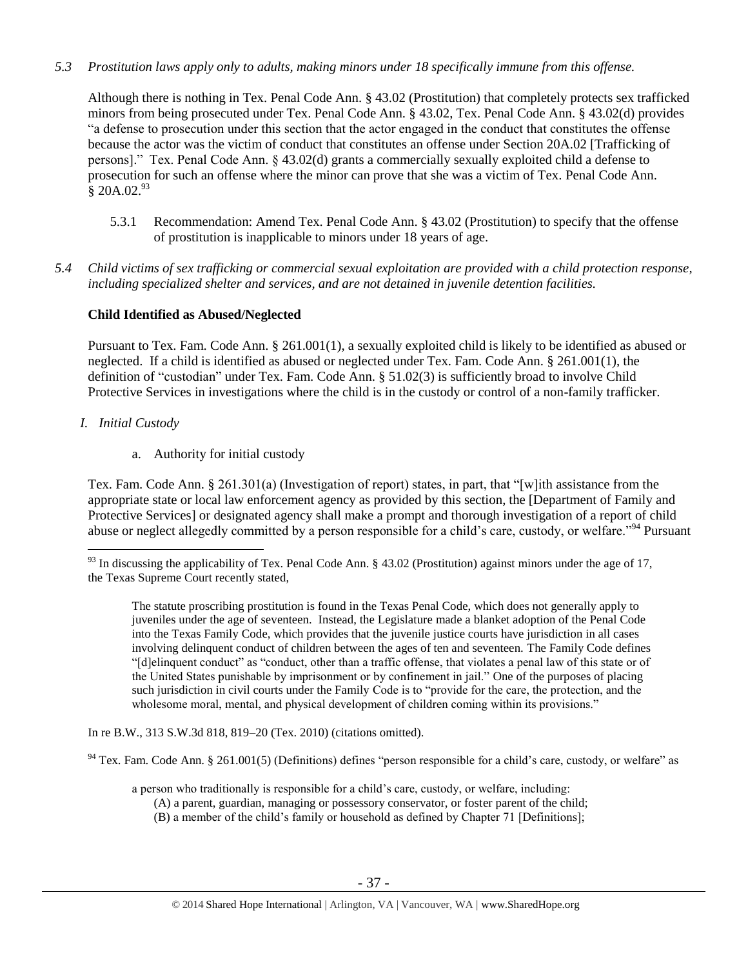*5.3 Prostitution laws apply only to adults, making minors under 18 specifically immune from this offense.*

Although there is nothing in Tex. Penal Code Ann. § 43.02 (Prostitution) that completely protects sex trafficked minors from being prosecuted under Tex. Penal Code Ann. § 43.02, Tex. Penal Code Ann. § 43.02(d) provides "a defense to prosecution under this section that the actor engaged in the conduct that constitutes the offense because the actor was the victim of conduct that constitutes an offense under Section 20A.02 [Trafficking of persons]." Tex. Penal Code Ann. § 43.02(d) grants a commercially sexually exploited child a defense to prosecution for such an offense where the minor can prove that she was a victim of Tex. Penal Code Ann.  $\bar{\text{8}}$  20A.02.<sup>93</sup>

- 5.3.1 Recommendation: Amend Tex. Penal Code Ann. § 43.02 (Prostitution) to specify that the offense of prostitution is inapplicable to minors under 18 years of age.
- *5.4 Child victims of sex trafficking or commercial sexual exploitation are provided with a child protection response, including specialized shelter and services, and are not detained in juvenile detention facilities.*

# **Child Identified as Abused/Neglected**

Pursuant to Tex. Fam. Code Ann. § 261.001(1), a sexually exploited child is likely to be identified as abused or neglected. If a child is identified as abused or neglected under Tex. Fam. Code Ann. § 261.001(1), the definition of "custodian" under Tex. Fam. Code Ann. § 51.02(3) is sufficiently broad to involve Child Protective Services in investigations where the child is in the custody or control of a non-family trafficker.

# *I. Initial Custody*

a. Authority for initial custody

Tex. Fam. Code Ann. § 261.301(a) (Investigation of report) states, in part, that "[w]ith assistance from the appropriate state or local law enforcement agency as provided by this section, the [Department of Family and Protective Services] or designated agency shall make a prompt and thorough investigation of a report of child abuse or neglect allegedly committed by a person responsible for a child's care, custody, or welfare."<sup>94</sup> Pursuant

The statute proscribing prostitution is found in the Texas Penal Code, which does not generally apply to juveniles under the age of seventeen. Instead, the Legislature made a blanket adoption of the Penal Code into the Texas Family Code, which provides that the juvenile justice courts have jurisdiction in all cases involving delinquent conduct of children between the ages of ten and seventeen. The Family Code defines "[d]elinquent conduct" as "conduct, other than a traffic offense, that violates a penal law of this state or of the United States punishable by imprisonment or by confinement in jail." One of the purposes of placing such jurisdiction in civil courts under the Family Code is to "provide for the care, the protection, and the wholesome moral, mental, and physical development of children coming within its provisions."

In re B.W., 313 S.W.3d 818, 819–20 (Tex. 2010) (citations omitted).

 $94$  Tex. Fam. Code Ann. § 261.001(5) (Definitions) defines "person responsible for a child's care, custody, or welfare" as

a person who traditionally is responsible for a child's care, custody, or welfare, including:

- (A) a parent, guardian, managing or possessory conservator, or foster parent of the child;
- (B) a member of the child's family or household as defined by Chapter 71 [Definitions];

 $\overline{a}$  $93$  In discussing the applicability of Tex. Penal Code Ann. § 43.02 (Prostitution) against minors under the age of 17, the Texas Supreme Court recently stated,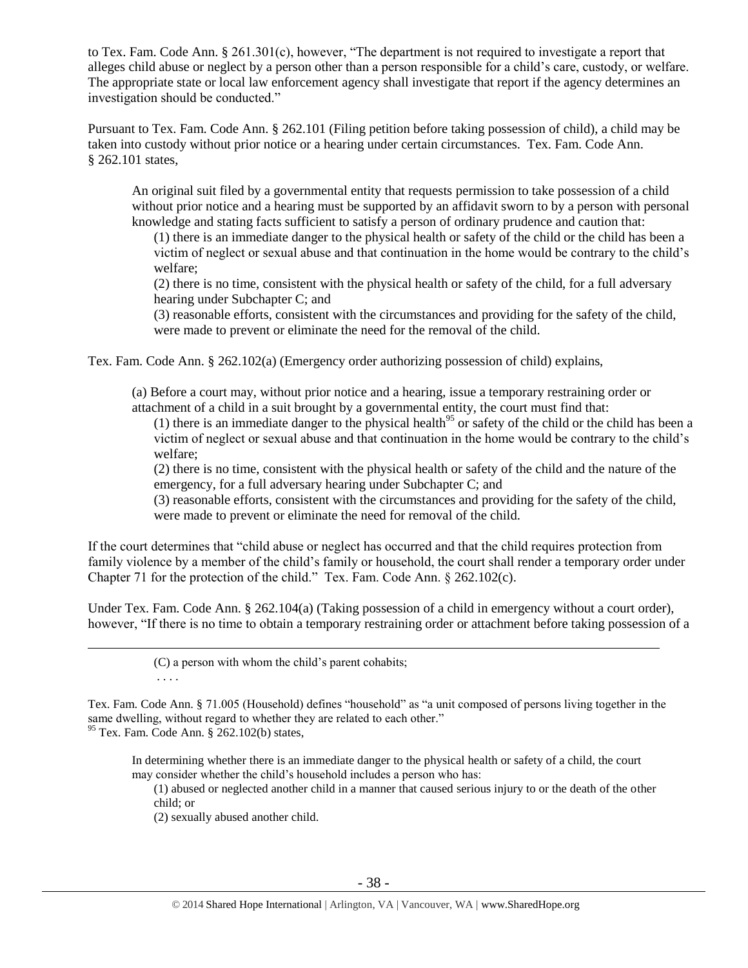to Tex. Fam. Code Ann. § 261.301(c), however, "The department is not required to investigate a report that alleges child abuse or neglect by a person other than a person responsible for a child's care, custody, or welfare. The appropriate state or local law enforcement agency shall investigate that report if the agency determines an investigation should be conducted."

Pursuant to Tex. Fam. Code Ann. § 262.101 (Filing petition before taking possession of child), a child may be taken into custody without prior notice or a hearing under certain circumstances. Tex. Fam. Code Ann. § 262.101 states,

An original suit filed by a governmental entity that requests permission to take possession of a child without prior notice and a hearing must be supported by an affidavit sworn to by a person with personal knowledge and stating facts sufficient to satisfy a person of ordinary prudence and caution that:

(1) there is an immediate danger to the physical health or safety of the child or the child has been a victim of neglect or sexual abuse and that continuation in the home would be contrary to the child's welfare;

(2) there is no time, consistent with the physical health or safety of the child, for a full adversary hearing under Subchapter C; and

(3) reasonable efforts, consistent with the circumstances and providing for the safety of the child, were made to prevent or eliminate the need for the removal of the child.

Tex. Fam. Code Ann. § 262.102(a) (Emergency order authorizing possession of child) explains,

(a) Before a court may, without prior notice and a hearing, issue a temporary restraining order or attachment of a child in a suit brought by a governmental entity, the court must find that:

(1) there is an immediate danger to the physical health<sup>95</sup> or safety of the child or the child has been a victim of neglect or sexual abuse and that continuation in the home would be contrary to the child's welfare;

(2) there is no time, consistent with the physical health or safety of the child and the nature of the emergency, for a full adversary hearing under Subchapter C; and

(3) reasonable efforts, consistent with the circumstances and providing for the safety of the child, were made to prevent or eliminate the need for removal of the child.

If the court determines that "child abuse or neglect has occurred and that the child requires protection from family violence by a member of the child's family or household, the court shall render a temporary order under Chapter 71 for the protection of the child." Tex. Fam. Code Ann. § 262.102(c).

Under Tex. Fam. Code Ann. § 262.104(a) (Taking possession of a child in emergency without a court order), however, "If there is no time to obtain a temporary restraining order or attachment before taking possession of a

> (C) a person with whom the child's parent cohabits; . . . .

Tex. Fam. Code Ann. § 71.005 (Household) defines "household" as "a unit composed of persons living together in the same dwelling, without regard to whether they are related to each other." <sup>95</sup> Tex. Fam. Code Ann. § 262.102(b) states,

In determining whether there is an immediate danger to the physical health or safety of a child, the court may consider whether the child's household includes a person who has:

(1) abused or neglected another child in a manner that caused serious injury to or the death of the other child; or

(2) sexually abused another child.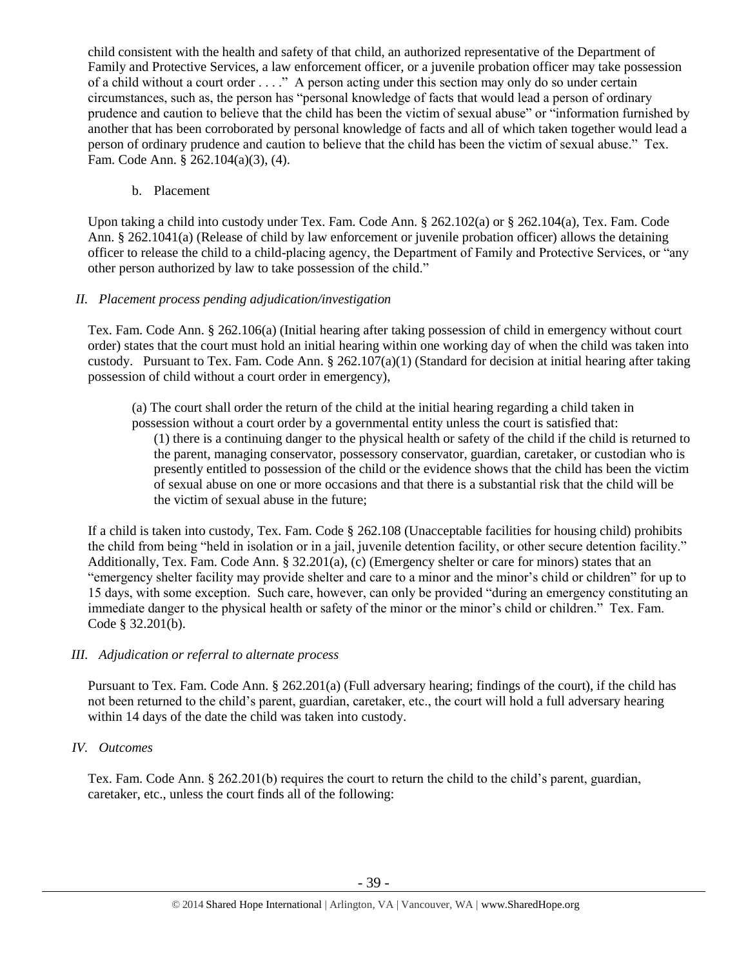child consistent with the health and safety of that child, an authorized representative of the Department of Family and Protective Services, a law enforcement officer, or a juvenile probation officer may take possession of a child without a court order . . . ." A person acting under this section may only do so under certain circumstances, such as, the person has "personal knowledge of facts that would lead a person of ordinary prudence and caution to believe that the child has been the victim of sexual abuse" or "information furnished by another that has been corroborated by personal knowledge of facts and all of which taken together would lead a person of ordinary prudence and caution to believe that the child has been the victim of sexual abuse." Tex. Fam. Code Ann. § 262.104(a)(3), (4).

## b. Placement

Upon taking a child into custody under Tex. Fam. Code Ann. § 262.102(a) or § 262.104(a), Tex. Fam. Code Ann. § 262.1041(a) (Release of child by law enforcement or juvenile probation officer) allows the detaining officer to release the child to a child-placing agency, the Department of Family and Protective Services, or "any other person authorized by law to take possession of the child."

# *II. Placement process pending adjudication/investigation*

Tex. Fam. Code Ann. § 262.106(a) (Initial hearing after taking possession of child in emergency without court order) states that the court must hold an initial hearing within one working day of when the child was taken into custody. Pursuant to Tex. Fam. Code Ann.  $\S 262.107(a)(1)$  (Standard for decision at initial hearing after taking possession of child without a court order in emergency),

(a) The court shall order the return of the child at the initial hearing regarding a child taken in possession without a court order by a governmental entity unless the court is satisfied that:

(1) there is a continuing danger to the physical health or safety of the child if the child is returned to the parent, managing conservator, possessory conservator, guardian, caretaker, or custodian who is presently entitled to possession of the child or the evidence shows that the child has been the victim of sexual abuse on one or more occasions and that there is a substantial risk that the child will be the victim of sexual abuse in the future;

If a child is taken into custody, Tex. Fam. Code § 262.108 (Unacceptable facilities for housing child) prohibits the child from being "held in isolation or in a jail, juvenile detention facility, or other secure detention facility." Additionally, Tex. Fam. Code Ann. § 32.201(a), (c) (Emergency shelter or care for minors) states that an "emergency shelter facility may provide shelter and care to a minor and the minor's child or children" for up to 15 days, with some exception. Such care, however, can only be provided "during an emergency constituting an immediate danger to the physical health or safety of the minor or the minor's child or children." Tex. Fam. Code § 32.201(b).

# *III. Adjudication or referral to alternate process*

Pursuant to Tex. Fam. Code Ann. § 262.201(a) (Full adversary hearing; findings of the court), if the child has not been returned to the child's parent, guardian, caretaker, etc., the court will hold a full adversary hearing within 14 days of the date the child was taken into custody.

# *IV. Outcomes*

Tex. Fam. Code Ann. § 262.201(b) requires the court to return the child to the child's parent, guardian, caretaker, etc., unless the court finds all of the following: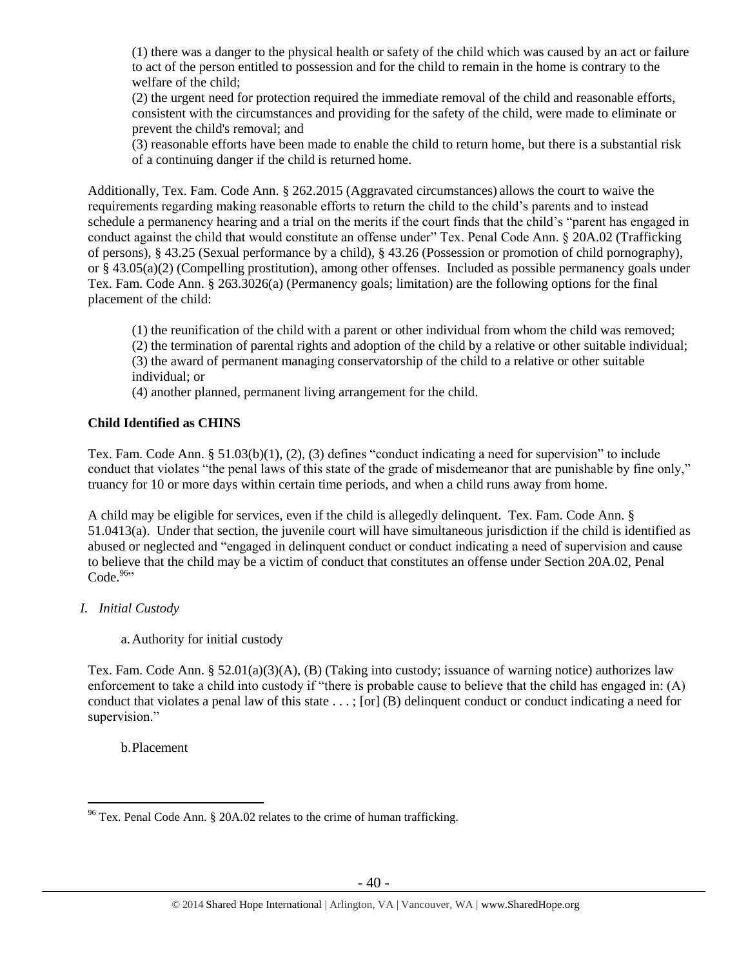(1) there was a danger to the physical health or safety of the child which was caused by an act or failure to act of the person entitled to possession and for the child to remain in the home is contrary to the welfare of the child;

(2) the urgent need for protection required the immediate removal of the child and reasonable efforts, consistent with the circumstances and providing for the safety of the child, were made to eliminate or prevent the child's removal; and

(3) reasonable efforts have been made to enable the child to return home, but there is a substantial risk of a continuing danger if the child is returned home.

Additionally, Tex. Fam. Code Ann. § 262.2015 (Aggravated circumstances) allows the court to waive the requirements regarding making reasonable efforts to return the child to the child's parents and to instead schedule a permanency hearing and a trial on the merits if the court finds that the child's "parent has engaged in conduct against the child that would constitute an offense under" Tex. Penal Code Ann. § 20A.02 (Trafficking of persons), § 43.25 (Sexual performance by a child), § 43.26 (Possession or promotion of child pornography), or § 43.05(a)(2) (Compelling prostitution), among other offenses. Included as possible permanency goals under Tex. Fam. Code Ann. § 263.3026(a) (Permanency goals; limitation) are the following options for the final placement of the child:

(1) the reunification of the child with a parent or other individual from whom the child was removed;

(2) the termination of parental rights and adoption of the child by a relative or other suitable individual;

(3) the award of permanent managing conservatorship of the child to a relative or other suitable individual; or

(4) another planned, permanent living arrangement for the child.

#### **Child Identified as CHINS**

Tex. Fam. Code Ann. § 51.03(b)(1), (2), (3) defines "conduct indicating a need for supervision" to include conduct that violates "the penal laws of this state of the grade of misdemeanor that are punishable by fine only," truancy for 10 or more days within certain time periods, and when a child runs away from home.

A child may be eligible for services, even if the child is allegedly delinquent. Tex. Fam. Code Ann. § 51.0413(a). Under that section, the juvenile court will have simultaneous jurisdiction if the child is identified as abused or neglected and "engaged in delinquent conduct or conduct indicating a need of supervision and cause to believe that the child may be a victim of conduct that constitutes an offense under Section 20A.02, Penal Code. $96$ 

## *I. Initial Custody*

a.Authority for initial custody

Tex. Fam. Code Ann. § 52.01(a)(3)(A), (B) (Taking into custody; issuance of warning notice) authorizes law enforcement to take a child into custody if "there is probable cause to believe that the child has engaged in: (A) conduct that violates a penal law of this state . . . ; [or] (B) delinquent conduct or conduct indicating a need for supervision."

b.Placement

 $\overline{a}$  $96$  Tex. Penal Code Ann. § 20A.02 relates to the crime of human trafficking.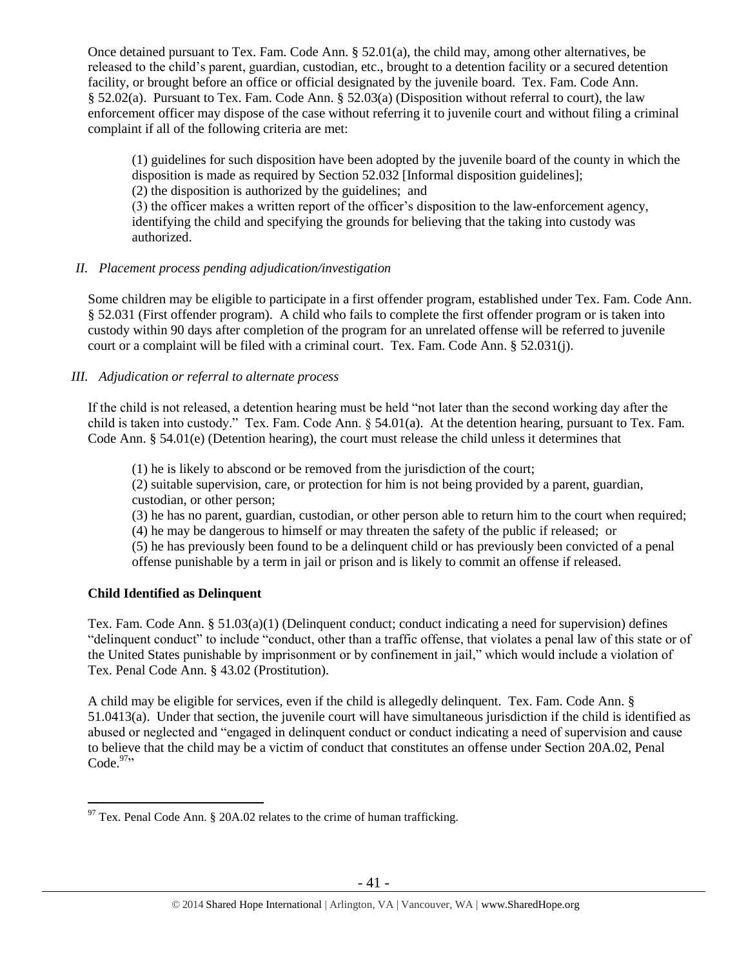Once detained pursuant to Tex. Fam. Code Ann.  $\S 52.01(a)$ , the child may, among other alternatives, be released to the child's parent, guardian, custodian, etc., brought to a detention facility or a secured detention facility, or brought before an office or official designated by the juvenile board. Tex. Fam. Code Ann. § 52.02(a). Pursuant to Tex. Fam. Code Ann. § 52.03(a) (Disposition without referral to court), the law enforcement officer may dispose of the case without referring it to juvenile court and without filing a criminal complaint if all of the following criteria are met:

(1) guidelines for such disposition have been adopted by the juvenile board of the county in which the disposition is made as required by Section 52.032 [Informal disposition guidelines];

(2) the disposition is authorized by the guidelines; and

(3) the officer makes a written report of the officer's disposition to the law-enforcement agency, identifying the child and specifying the grounds for believing that the taking into custody was authorized.

# *II. Placement process pending adjudication/investigation*

Some children may be eligible to participate in a first offender program, established under Tex. Fam. Code Ann. § 52.031 (First offender program). A child who fails to complete the first offender program or is taken into custody within 90 days after completion of the program for an unrelated offense will be referred to juvenile court or a complaint will be filed with a criminal court. Tex. Fam. Code Ann. § 52.031(j).

# *III. Adjudication or referral to alternate process*

If the child is not released, a detention hearing must be held "not later than the second working day after the child is taken into custody." Tex. Fam. Code Ann. § 54.01(a). At the detention hearing, pursuant to Tex. Fam. Code Ann. § 54.01(e) (Detention hearing), the court must release the child unless it determines that

(1) he is likely to abscond or be removed from the jurisdiction of the court;

(2) suitable supervision, care, or protection for him is not being provided by a parent, guardian, custodian, or other person;

(3) he has no parent, guardian, custodian, or other person able to return him to the court when required;

(4) he may be dangerous to himself or may threaten the safety of the public if released; or

(5) he has previously been found to be a delinquent child or has previously been convicted of a penal offense punishable by a term in jail or prison and is likely to commit an offense if released.

# **Child Identified as Delinquent**

Tex. Fam. Code Ann. § 51.03(a)(1) (Delinquent conduct; conduct indicating a need for supervision) defines "delinquent conduct" to include "conduct, other than a traffic offense, that violates a penal law of this state or of the United States punishable by imprisonment or by confinement in jail," which would include a violation of Tex. Penal Code Ann. § 43.02 (Prostitution).

A child may be eligible for services, even if the child is allegedly delinquent. Tex. Fam. Code Ann. § 51.0413(a). Under that section, the juvenile court will have simultaneous jurisdiction if the child is identified as abused or neglected and "engaged in delinquent conduct or conduct indicating a need of supervision and cause to believe that the child may be a victim of conduct that constitutes an offense under Section 20A.02, Penal Code. $97$ 

 $\overline{a}$  $97$  Tex. Penal Code Ann. § 20A.02 relates to the crime of human trafficking.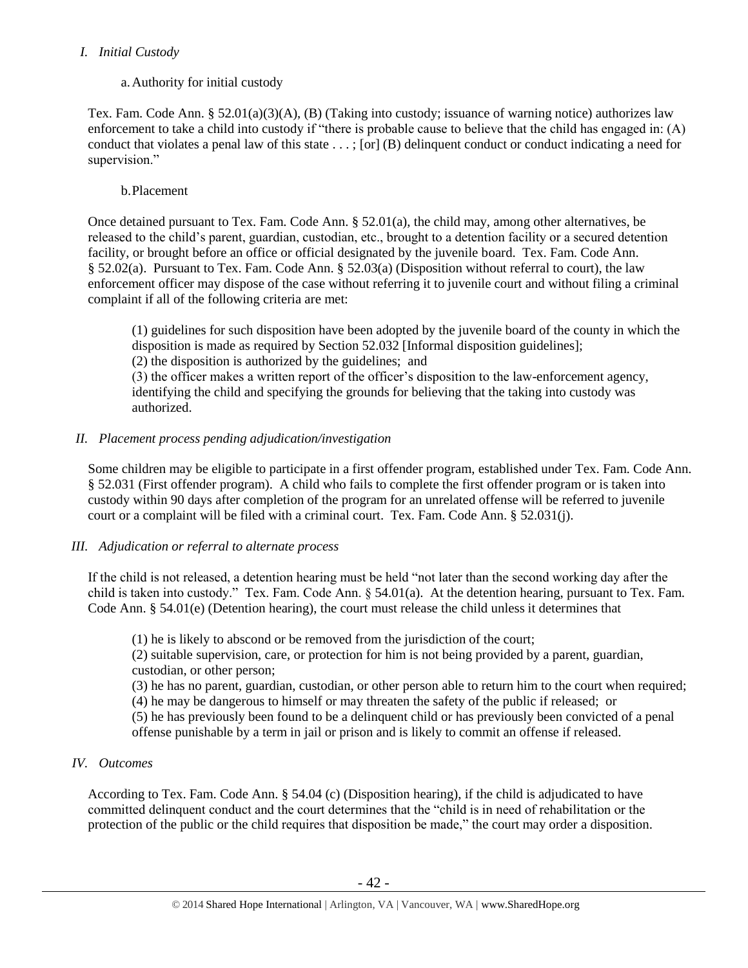## *I. Initial Custody*

# a.Authority for initial custody

Tex. Fam. Code Ann. § 52.01(a)(3)(A), (B) (Taking into custody; issuance of warning notice) authorizes law enforcement to take a child into custody if "there is probable cause to believe that the child has engaged in: (A) conduct that violates a penal law of this state . . . ; [or] (B) delinquent conduct or conduct indicating a need for supervision."

# b.Placement

Once detained pursuant to Tex. Fam. Code Ann. § 52.01(a), the child may, among other alternatives, be released to the child's parent, guardian, custodian, etc., brought to a detention facility or a secured detention facility, or brought before an office or official designated by the juvenile board. Tex. Fam. Code Ann. § 52.02(a). Pursuant to Tex. Fam. Code Ann. § 52.03(a) (Disposition without referral to court), the law enforcement officer may dispose of the case without referring it to juvenile court and without filing a criminal complaint if all of the following criteria are met:

(1) guidelines for such disposition have been adopted by the juvenile board of the county in which the disposition is made as required by Section 52.032 [Informal disposition guidelines]; (2) the disposition is authorized by the guidelines; and

(3) the officer makes a written report of the officer's disposition to the law-enforcement agency, identifying the child and specifying the grounds for believing that the taking into custody was authorized.

# *II. Placement process pending adjudication/investigation*

Some children may be eligible to participate in a first offender program, established under Tex. Fam. Code Ann. § 52.031 (First offender program). A child who fails to complete the first offender program or is taken into custody within 90 days after completion of the program for an unrelated offense will be referred to juvenile court or a complaint will be filed with a criminal court. Tex. Fam. Code Ann. § 52.031(j).

# *III. Adjudication or referral to alternate process*

If the child is not released, a detention hearing must be held "not later than the second working day after the child is taken into custody." Tex. Fam. Code Ann. § 54.01(a). At the detention hearing, pursuant to Tex. Fam. Code Ann. § 54.01(e) (Detention hearing), the court must release the child unless it determines that

(1) he is likely to abscond or be removed from the jurisdiction of the court;

(2) suitable supervision, care, or protection for him is not being provided by a parent, guardian, custodian, or other person;

(3) he has no parent, guardian, custodian, or other person able to return him to the court when required; (4) he may be dangerous to himself or may threaten the safety of the public if released; or (5) he has previously been found to be a delinquent child or has previously been convicted of a penal

offense punishable by a term in jail or prison and is likely to commit an offense if released.

# *IV. Outcomes*

According to Tex. Fam. Code Ann. § 54.04 (c) (Disposition hearing), if the child is adjudicated to have committed delinquent conduct and the court determines that the "child is in need of rehabilitation or the protection of the public or the child requires that disposition be made," the court may order a disposition.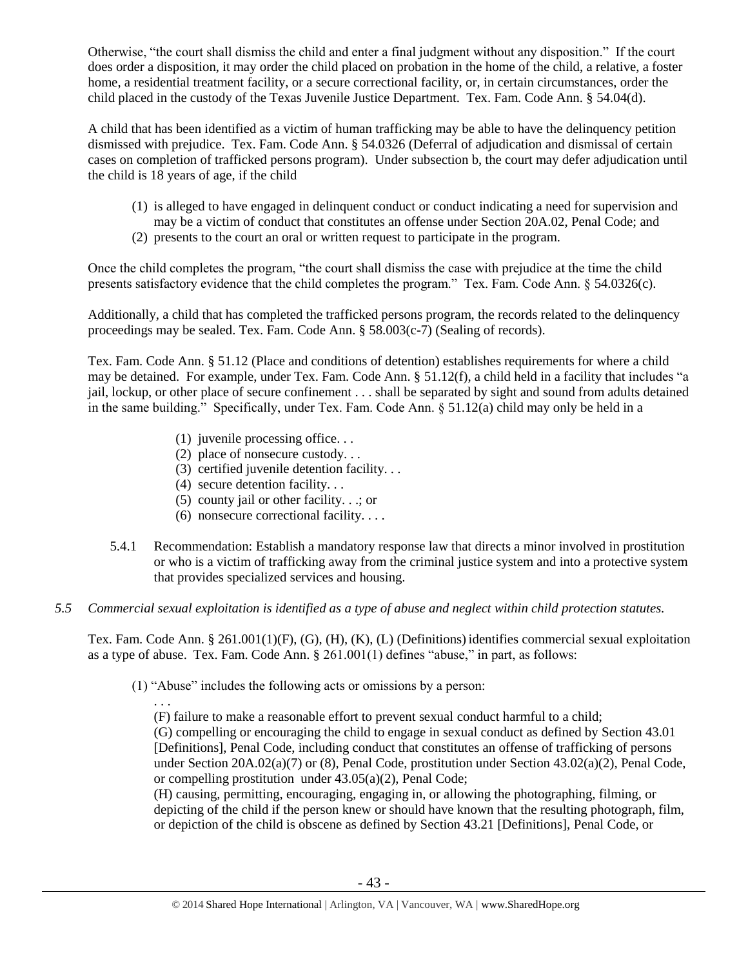Otherwise, "the court shall dismiss the child and enter a final judgment without any disposition." If the court does order a disposition, it may order the child placed on probation in the home of the child, a relative, a foster home, a residential treatment facility, or a secure correctional facility, or, in certain circumstances, order the child placed in the custody of the Texas Juvenile Justice Department. Tex. Fam. Code Ann. § 54.04(d).

A child that has been identified as a victim of human trafficking may be able to have the delinquency petition dismissed with prejudice. Tex. Fam. Code Ann. § 54.0326 (Deferral of adjudication and dismissal of certain cases on completion of trafficked persons program). Under subsection b, the court may defer adjudication until the child is 18 years of age, if the child

- (1) is alleged to have engaged in delinquent conduct or conduct indicating a need for supervision and may be a victim of conduct that constitutes an offense under Section 20A.02, Penal Code; and
- (2) presents to the court an oral or written request to participate in the program.

Once the child completes the program, "the court shall dismiss the case with prejudice at the time the child presents satisfactory evidence that the child completes the program." Tex. Fam. Code Ann. § 54.0326(c).

Additionally, a child that has completed the trafficked persons program, the records related to the delinquency proceedings may be sealed. Tex. Fam. Code Ann. § 58.003(c-7) (Sealing of records).

Tex. Fam. Code Ann. § 51.12 (Place and conditions of detention) establishes requirements for where a child may be detained. For example, under Tex. Fam. Code Ann. § 51.12(f), a child held in a facility that includes "a jail, lockup, or other place of secure confinement . . . shall be separated by sight and sound from adults detained in the same building." Specifically, under Tex. Fam. Code Ann. § 51.12(a) child may only be held in a

- (1) juvenile processing office. . .
- (2) place of nonsecure custody. . .
- (3) certified juvenile detention facility. . .
- (4) secure detention facility. . .

. . .

- (5) county jail or other facility. . .; or
- (6) nonsecure correctional facility. . . .
- 5.4.1 Recommendation: Establish a mandatory response law that directs a minor involved in prostitution or who is a victim of trafficking away from the criminal justice system and into a protective system that provides specialized services and housing.
- *5.5 Commercial sexual exploitation is identified as a type of abuse and neglect within child protection statutes.*

Tex. Fam. Code Ann. § 261.001(1)(F), (G), (H), (K), (L) (Definitions) identifies commercial sexual exploitation as a type of abuse. Tex. Fam. Code Ann. § 261.001(1) defines "abuse," in part, as follows:

(1) "Abuse" includes the following acts or omissions by a person:

(F) failure to make a reasonable effort to prevent sexual conduct harmful to a child; (G) compelling or encouraging the child to engage in sexual conduct as defined by [Section 43.01](https://www.lexis.com/research/buttonTFLink?_m=83b2ce932a1e7eac9e414c9f32828c7c&_xfercite=%3ccite%20cc%3d%22USA%22%3e%3c%21%5bCDATA%5bTex.%20Fam.%20Code%20%a7%20261.001%5d%5d%3e%3c%2fcite%3e&_butType=4&_butStat=0&_butNum=6&_butInline=1&_butinfo=TX%20PEN%2043.01&_fmtstr=FULL&docnum=1&_startdoc=1&wchp=dGLzVlz-zSkAA&_md5=778cc6ae4cf2b3ddb079250489f65ae2)  [\[Definitions\], Penal Code,](https://www.lexis.com/research/buttonTFLink?_m=83b2ce932a1e7eac9e414c9f32828c7c&_xfercite=%3ccite%20cc%3d%22USA%22%3e%3c%21%5bCDATA%5bTex.%20Fam.%20Code%20%a7%20261.001%5d%5d%3e%3c%2fcite%3e&_butType=4&_butStat=0&_butNum=6&_butInline=1&_butinfo=TX%20PEN%2043.01&_fmtstr=FULL&docnum=1&_startdoc=1&wchp=dGLzVlz-zSkAA&_md5=778cc6ae4cf2b3ddb079250489f65ae2) including conduct that constitutes an offense of trafficking of persons under Section 20A.02(a)(7) or (8), Penal Code, prostitution under Section 43.02(a)(2), Penal Code, or compelling prostitution under 43.05(a)(2), Penal Code;

(H) causing, permitting, encouraging, engaging in, or allowing the photographing, filming, or depicting of the child if the person knew or should have known that the resulting photograph, film, or depiction of the child is obscene as defined by Section 43.21 [Definitions], Penal Code, or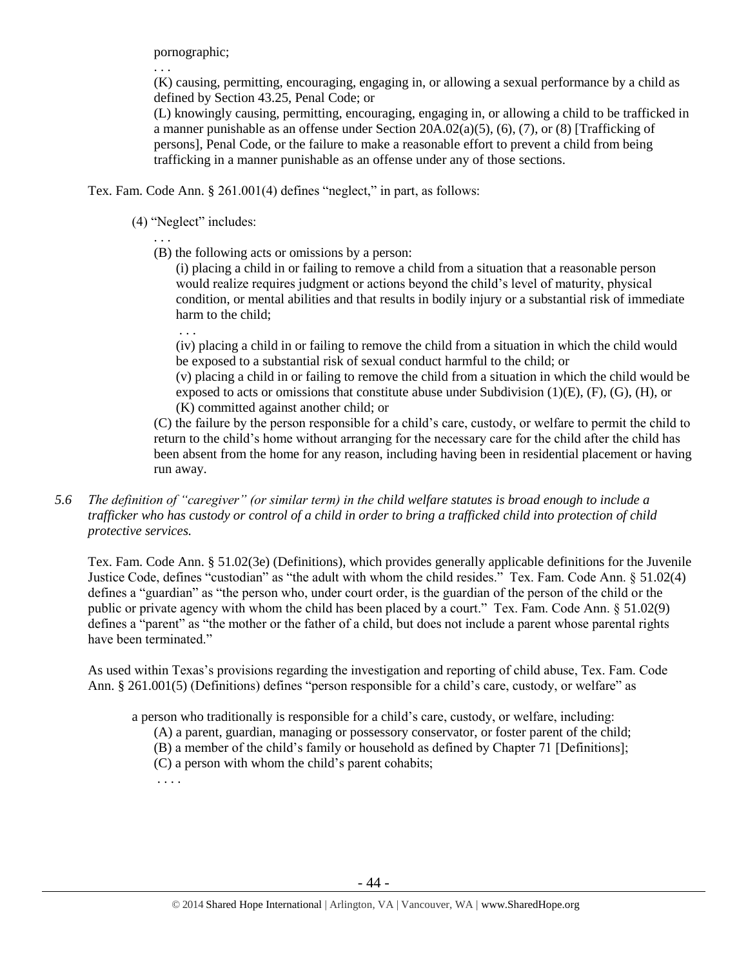pornographic;

. . .

(K) causing, permitting, encouraging, engaging in, or allowing a sexual performance by a child as defined by Section 43.25, Penal Code; or

(L) knowingly causing, permitting, encouraging, engaging in, or allowing a child to be trafficked in a manner punishable as an offense under Section 20A.02(a)(5), (6), (7), or (8) [Trafficking of persons], Penal Code, or the failure to make a reasonable effort to prevent a child from being trafficking in a manner punishable as an offense under any of those sections.

Tex. Fam. Code Ann. § 261.001(4) defines "neglect," in part, as follows:

(4) "Neglect" includes:

. . .

. . . (B) the following acts or omissions by a person:

(i) placing a child in or failing to remove a child from a situation that a reasonable person would realize requires judgment or actions beyond the child's level of maturity, physical condition, or mental abilities and that results in bodily injury or a substantial risk of immediate harm to the child;

(iv) placing a child in or failing to remove the child from a situation in which the child would be exposed to a substantial risk of sexual conduct harmful to the child; or

(v) placing a child in or failing to remove the child from a situation in which the child would be exposed to acts or omissions that constitute abuse under Subdivision  $(1)(E)$ ,  $(F)$ ,  $(G)$ ,  $(H)$ , or (K) committed against another child; or

(C) the failure by the person responsible for a child's care, custody, or welfare to permit the child to return to the child's home without arranging for the necessary care for the child after the child has been absent from the home for any reason, including having been in residential placement or having run away.

*5.6 The definition of "caregiver" (or similar term) in the child welfare statutes is broad enough to include a trafficker who has custody or control of a child in order to bring a trafficked child into protection of child protective services.*

Tex. Fam. Code Ann. § 51.02(3e) (Definitions), which provides generally applicable definitions for the Juvenile Justice Code, defines "custodian" as "the adult with whom the child resides." Tex. Fam. Code Ann. § 51.02(4) defines a "guardian" as "the person who, under court order, is the guardian of the person of the child or the public or private agency with whom the child has been placed by a court." Tex. Fam. Code Ann. § 51.02(9) defines a "parent" as "the mother or the father of a child, but does not include a parent whose parental rights have been terminated."

As used within Texas's provisions regarding the investigation and reporting of child abuse, Tex. Fam. Code Ann. § 261.001(5) (Definitions) defines "person responsible for a child's care, custody, or welfare" as

a person who traditionally is responsible for a child's care, custody, or welfare, including:

(A) a parent, guardian, managing or possessory conservator, or foster parent of the child;

(B) a member of the child's family or household as defined by Chapter 71 [Definitions];

(C) a person with whom the child's parent cohabits;

. . . .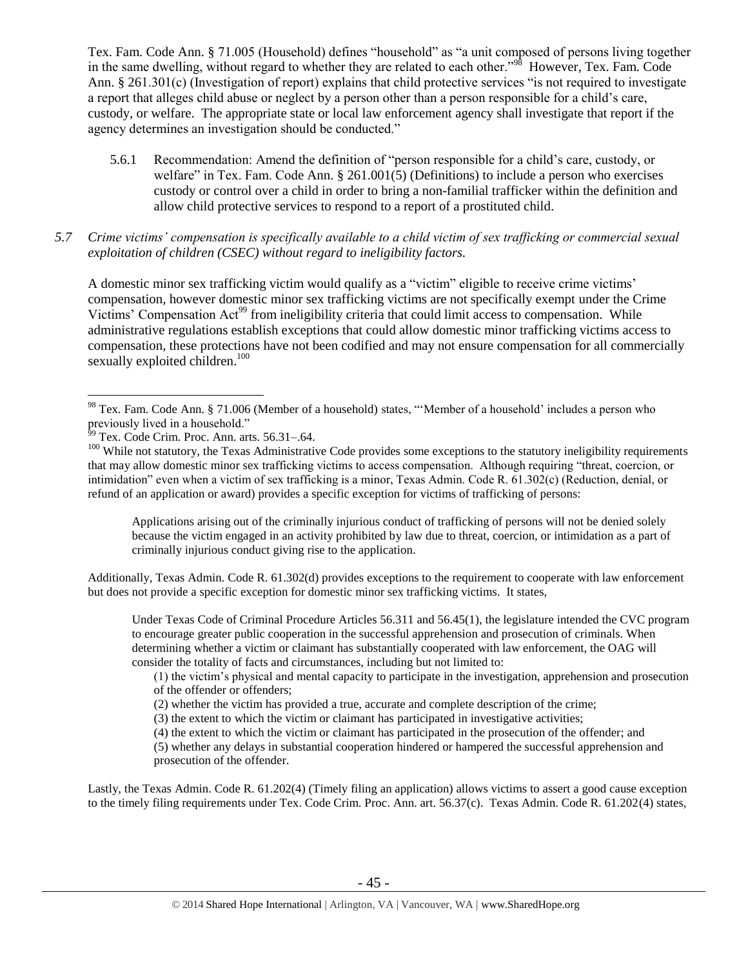Tex. Fam. Code Ann. § 71.005 (Household) defines "household" as "a unit composed of persons living together in the same dwelling, without regard to whether they are related to each other."<sup>98</sup> However, Tex. Fam. Code Ann. § 261.301(c) (Investigation of report) explains that child protective services "is not required to investigate a report that alleges child abuse or neglect by a person other than a person responsible for a child's care, custody, or welfare. The appropriate state or local law enforcement agency shall investigate that report if the agency determines an investigation should be conducted."

- 5.6.1 Recommendation: Amend the definition of "person responsible for a child's care, custody, or welfare" in Tex. Fam. Code Ann. § 261.001(5) (Definitions) to include a person who exercises custody or control over a child in order to bring a non-familial trafficker within the definition and allow child protective services to respond to a report of a prostituted child.
- *5.7 Crime victims' compensation is specifically available to a child victim of sex trafficking or commercial sexual exploitation of children (CSEC) without regard to ineligibility factors.*

A domestic minor sex trafficking victim would qualify as a "victim" eligible to receive crime victims' compensation, however domestic minor sex trafficking victims are not specifically exempt under the Crime Victims' Compensation Act<sup>99</sup> from ineligibility criteria that could limit access to compensation. While administrative regulations establish exceptions that could allow domestic minor trafficking victims access to compensation, these protections have not been codified and may not ensure compensation for all commercially sexually exploited children.<sup>100</sup>

 $\overline{a}$ 

Applications arising out of the criminally injurious conduct of trafficking of persons will not be denied solely because the victim engaged in an activity prohibited by law due to threat, coercion, or intimidation as a part of criminally injurious conduct giving rise to the application.

Additionally, Texas Admin. Code R. 61.302(d) provides exceptions to the requirement to cooperate with law enforcement but does not provide a specific exception for domestic minor sex trafficking victims. It states,

Under Texas Code of Criminal Procedure Articles 56.311 and 56.45(1), the legislature intended the CVC program to encourage greater public cooperation in the successful apprehension and prosecution of criminals. When determining whether a victim or claimant has substantially cooperated with law enforcement, the OAG will consider the totality of facts and circumstances, including but not limited to:

(1) the victim's physical and mental capacity to participate in the investigation, apprehension and prosecution of the offender or offenders;

(5) whether any delays in substantial cooperation hindered or hampered the successful apprehension and prosecution of the offender.

Lastly, the Texas Admin. Code R. 61.202(4) (Timely filing an application) allows victims to assert a good cause exception to the timely filing requirements under Tex. Code Crim. Proc. Ann. art. 56.37(c). Texas Admin. Code R. 61.202(4) states,

<sup>&</sup>lt;sup>98</sup> Tex. Fam. Code Ann. § 71.006 (Member of a household) states, "Member of a household' includes a person who previously lived in a household."

 $99$  Tex. Code Crim. Proc. Ann. arts. 56.31–.64.

<sup>&</sup>lt;sup>100</sup> While not statutory, the Texas Administrative Code provides some exceptions to the statutory ineligibility requirements that may allow domestic minor sex trafficking victims to access compensation. Although requiring "threat, coercion, or intimidation" even when a victim of sex trafficking is a minor, Texas Admin. Code R. 61.302(c) (Reduction, denial, or refund of an application or award) provides a specific exception for victims of trafficking of persons:

<sup>(2)</sup> whether the victim has provided a true, accurate and complete description of the crime;

<sup>(3)</sup> the extent to which the victim or claimant has participated in investigative activities;

<sup>(4)</sup> the extent to which the victim or claimant has participated in the prosecution of the offender; and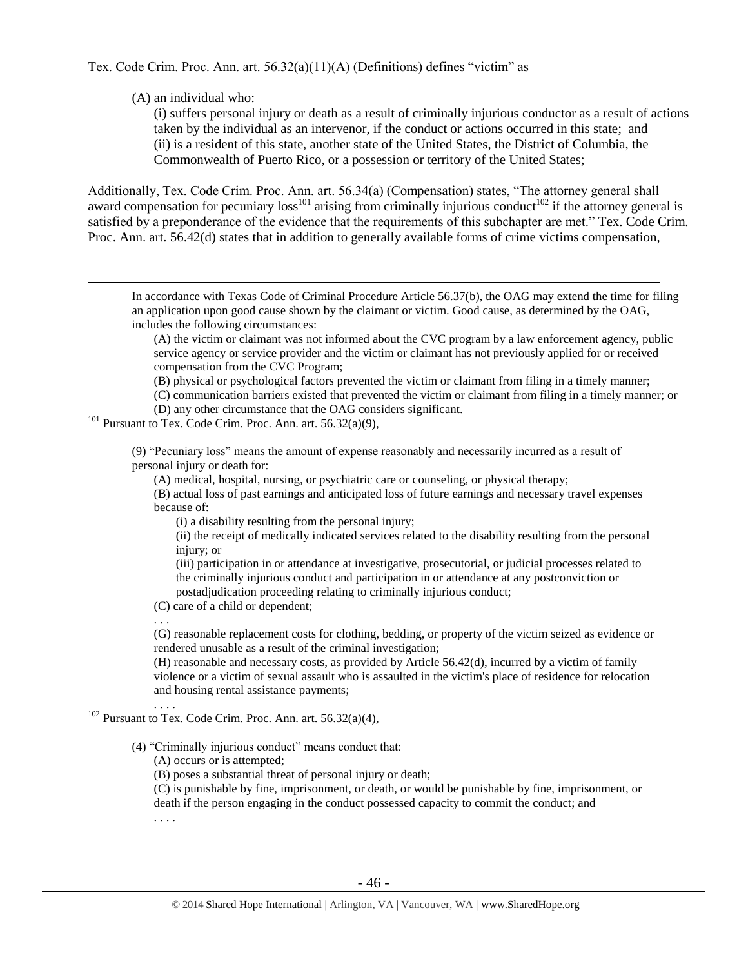Tex. Code Crim. Proc. Ann. art. 56.32(a)(11)(A) (Definitions) defines "victim" as

(A) an individual who:

(i) suffers personal injury or death as a result of criminally injurious conductor as a result of actions taken by the individual as an intervenor, if the conduct or actions occurred in this state; and (ii) is a resident of this state, another state of the United States, the District of Columbia, the Commonwealth of Puerto Rico, or a possession or territory of the United States;

Additionally, Tex. Code Crim. Proc. Ann. art. 56.34(a) (Compensation) states, "The attorney general shall award compensation for pecuniary  $loss^{101}$  arising from criminally injurious conduct<sup>102</sup> if the attorney general is satisfied by a preponderance of the evidence that the requirements of this subchapter are met." Tex. Code Crim. Proc. Ann. art. 56.42(d) states that in addition to generally available forms of crime victims compensation,

In accordance with Texas Code of Criminal Procedure Article 56.37(b), the OAG may extend the time for filing an application upon good cause shown by the claimant or victim. Good cause, as determined by the OAG, includes the following circumstances:

(A) the victim or claimant was not informed about the CVC program by a law enforcement agency, public service agency or service provider and the victim or claimant has not previously applied for or received compensation from the CVC Program;

(B) physical or psychological factors prevented the victim or claimant from filing in a timely manner;

(C) communication barriers existed that prevented the victim or claimant from filing in a timely manner; or (D) any other circumstance that the OAG considers significant.

 $101$  Pursuant to Tex. Code Crim. Proc. Ann. art. 56.32(a)(9),

(9) "Pecuniary loss" means the amount of expense reasonably and necessarily incurred as a result of personal injury or death for:

(A) medical, hospital, nursing, or psychiatric care or counseling, or physical therapy;

(B) actual loss of past earnings and anticipated loss of future earnings and necessary travel expenses because of:

(i) a disability resulting from the personal injury;

(ii) the receipt of medically indicated services related to the disability resulting from the personal injury; or

(iii) participation in or attendance at investigative, prosecutorial, or judicial processes related to the criminally injurious conduct and participation in or attendance at any postconviction or postadjudication proceeding relating to criminally injurious conduct;

(C) care of a child or dependent;

. . .

 $\overline{a}$ 

(G) reasonable replacement costs for clothing, bedding, or property of the victim seized as evidence or rendered unusable as a result of the criminal investigation;

(H) reasonable and necessary costs, as provided by Article 56.42(d), incurred by a victim of family violence or a victim of sexual assault who is assaulted in the victim's place of residence for relocation and housing rental assistance payments; . . . .

(4) "Criminally injurious conduct" means conduct that:

(A) occurs or is attempted;

(B) poses a substantial threat of personal injury or death;

(C) is punishable by fine, imprisonment, or death, or would be punishable by fine, imprisonment, or death if the person engaging in the conduct possessed capacity to commit the conduct; and

. . . .

 $102$  Pursuant to Tex. Code Crim. Proc. Ann. art. 56.32(a)(4),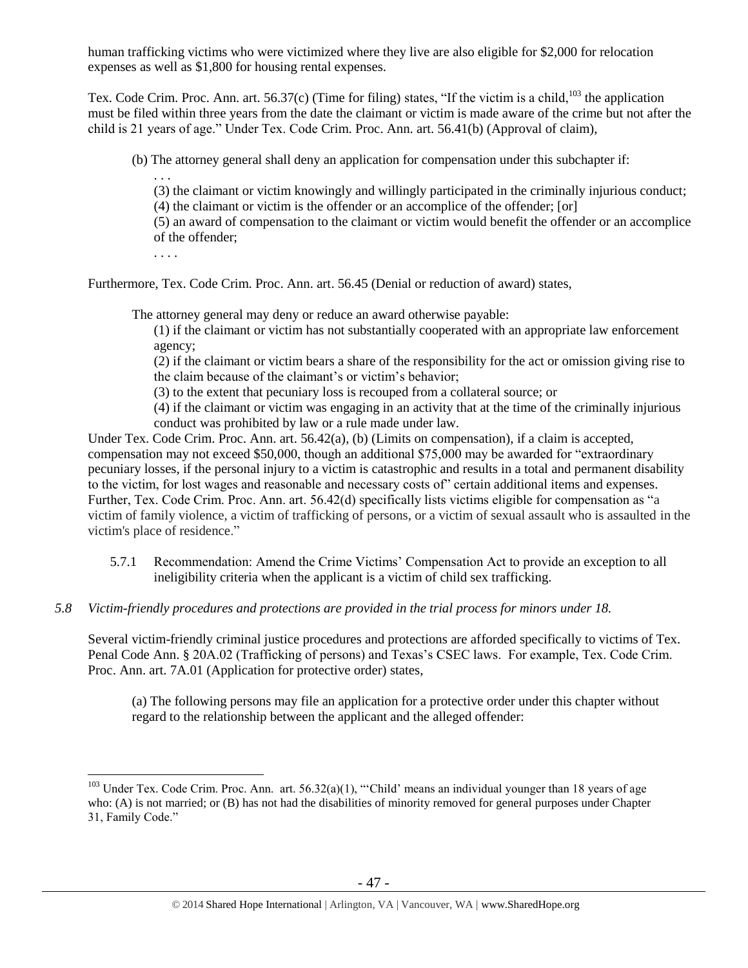human trafficking victims who were victimized where they live are also eligible for \$2,000 for relocation expenses as well as \$1,800 for housing rental expenses.

Tex. Code Crim. Proc. Ann. art. 56.37(c) (Time for filing) states, "If the victim is a child, $103$  the application must be filed within three years from the date the claimant or victim is made aware of the crime but not after the child is 21 years of age." Under Tex. Code Crim. Proc. Ann. art. 56.41(b) (Approval of claim),

(b) The attorney general shall deny an application for compensation under this subchapter if:

(3) the claimant or victim knowingly and willingly participated in the criminally injurious conduct; (4) the claimant or victim is the offender or an accomplice of the offender; [or]

(5) an award of compensation to the claimant or victim would benefit the offender or an accomplice of the offender;

. . . .

 $\overline{a}$ 

. . .

Furthermore, Tex. Code Crim. Proc. Ann. art. 56.45 (Denial or reduction of award) states,

The attorney general may deny or reduce an award otherwise payable:

(1) if the claimant or victim has not substantially cooperated with an appropriate law enforcement agency;

(2) if the claimant or victim bears a share of the responsibility for the act or omission giving rise to the claim because of the claimant's or victim's behavior;

(3) to the extent that pecuniary loss is recouped from a collateral source; or

(4) if the claimant or victim was engaging in an activity that at the time of the criminally injurious conduct was prohibited by law or a rule made under law.

Under Tex. Code Crim. Proc. Ann. art. 56.42(a), (b) (Limits on compensation), if a claim is accepted, compensation may not exceed \$50,000, though an additional \$75,000 may be awarded for "extraordinary pecuniary losses, if the personal injury to a victim is catastrophic and results in a total and permanent disability to the victim, for lost wages and reasonable and necessary costs of" certain additional items and expenses. Further, Tex. Code Crim. Proc. Ann. art. 56.42(d) specifically lists victims eligible for compensation as "a victim of family violence, a victim of trafficking of persons, or a victim of sexual assault who is assaulted in the victim's place of residence."

- 5.7.1 Recommendation: Amend the Crime Victims' Compensation Act to provide an exception to all ineligibility criteria when the applicant is a victim of child sex trafficking.
- *5.8 Victim-friendly procedures and protections are provided in the trial process for minors under 18.*

Several victim-friendly criminal justice procedures and protections are afforded specifically to victims of Tex. Penal Code Ann. § 20A.02 (Trafficking of persons) and Texas's CSEC laws. For example, Tex. Code Crim. Proc. Ann. art. 7A.01 (Application for protective order) states,

(a) The following persons may file an application for a protective order under this chapter without regard to the relationship between the applicant and the alleged offender:

<sup>&</sup>lt;sup>103</sup> Under Tex. Code Crim. Proc. Ann. art. 56.32(a)(1), "Child' means an individual younger than 18 years of age who: (A) is not married; or (B) has not had the disabilities of minority removed for general purposes under Chapter 31, Family Code."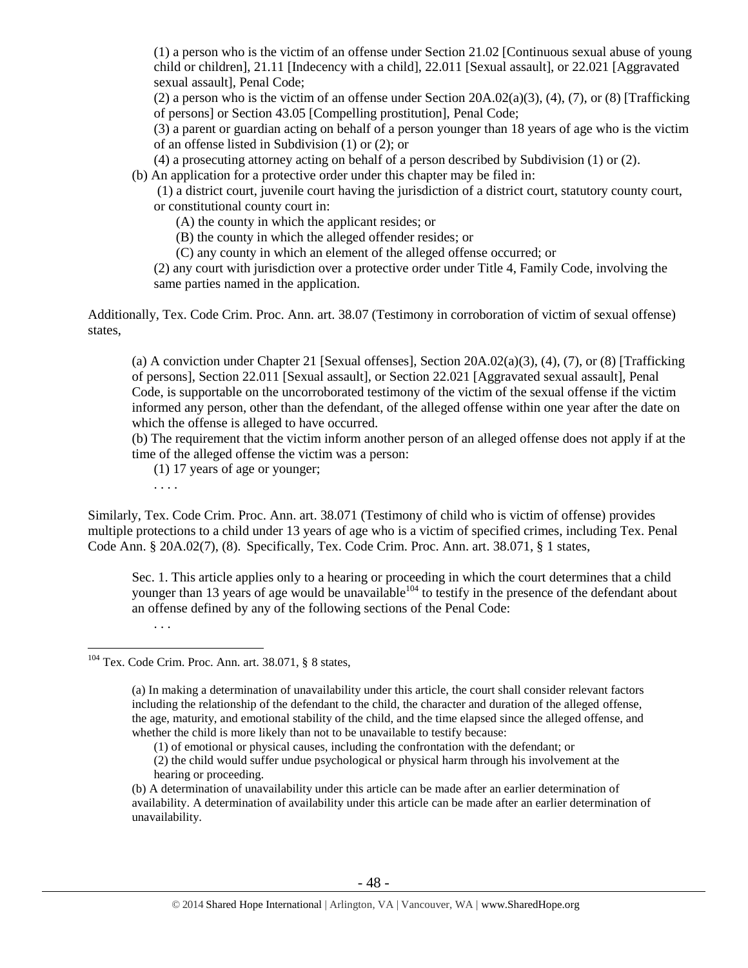(1) a person who is the victim of an offense under Section 21.02 [Continuous sexual abuse of young child or children], 21.11 [Indecency with a child], 22.011 [Sexual assault], or 22.021 [Aggravated sexual assault], Penal Code;

(2) a person who is the victim of an offense under Section  $20A.02(a)(3)$ , (4), (7), or (8) [Trafficking of persons] or Section 43.05 [Compelling prostitution], Penal Code;

(3) a parent or guardian acting on behalf of a person younger than 18 years of age who is the victim of an offense listed in Subdivision (1) or (2); or

(4) a prosecuting attorney acting on behalf of a person described by Subdivision (1) or (2).

(b) An application for a protective order under this chapter may be filed in:

(1) a district court, juvenile court having the jurisdiction of a district court, statutory county court, or constitutional county court in:

(A) the county in which the applicant resides; or

(B) the county in which the alleged offender resides; or

(C) any county in which an element of the alleged offense occurred; or

(2) any court with jurisdiction over a protective order under Title 4, Family Code, involving the same parties named in the application.

Additionally, Tex. Code Crim. Proc. Ann. art. 38.07 (Testimony in corroboration of victim of sexual offense) states,

(a) A conviction under Chapter 21 [Sexual offenses], Section 20A.02(a)(3), (4), (7), or (8) [Trafficking of persons], Section 22.011 [Sexual assault], or Section 22.021 [Aggravated sexual assault], Penal Code, is supportable on the uncorroborated testimony of the victim of the sexual offense if the victim informed any person, other than the defendant, of the alleged offense within one year after the date on which the offense is alleged to have occurred.

(b) The requirement that the victim inform another person of an alleged offense does not apply if at the time of the alleged offense the victim was a person:

(1) 17 years of age or younger;

. . . .

Similarly, Tex. Code Crim. Proc. Ann. art. 38.071 (Testimony of child who is victim of offense) provides multiple protections to a child under 13 years of age who is a victim of specified crimes, including Tex. Penal Code Ann. § 20A.02(7), (8). Specifically, Tex. Code Crim. Proc. Ann. art. 38.071, § 1 states,

Sec. 1. This article applies only to a hearing or proceeding in which the court determines that a child younger than 13 years of age would be unavailable<sup>104</sup> to testify in the presence of the defendant about an offense defined by any of the following sections of the Penal Code:

. . .

 $\overline{a}$ 

 $104$  Tex. Code Crim. Proc. Ann. art. 38.071, § 8 states,

(a) In making a determination of unavailability under this article, the court shall consider relevant factors including the relationship of the defendant to the child, the character and duration of the alleged offense, the age, maturity, and emotional stability of the child, and the time elapsed since the alleged offense, and whether the child is more likely than not to be unavailable to testify because:

(1) of emotional or physical causes, including the confrontation with the defendant; or

(2) the child would suffer undue psychological or physical harm through his involvement at the hearing or proceeding.

(b) A determination of unavailability under this article can be made after an earlier determination of availability. A determination of availability under this article can be made after an earlier determination of unavailability.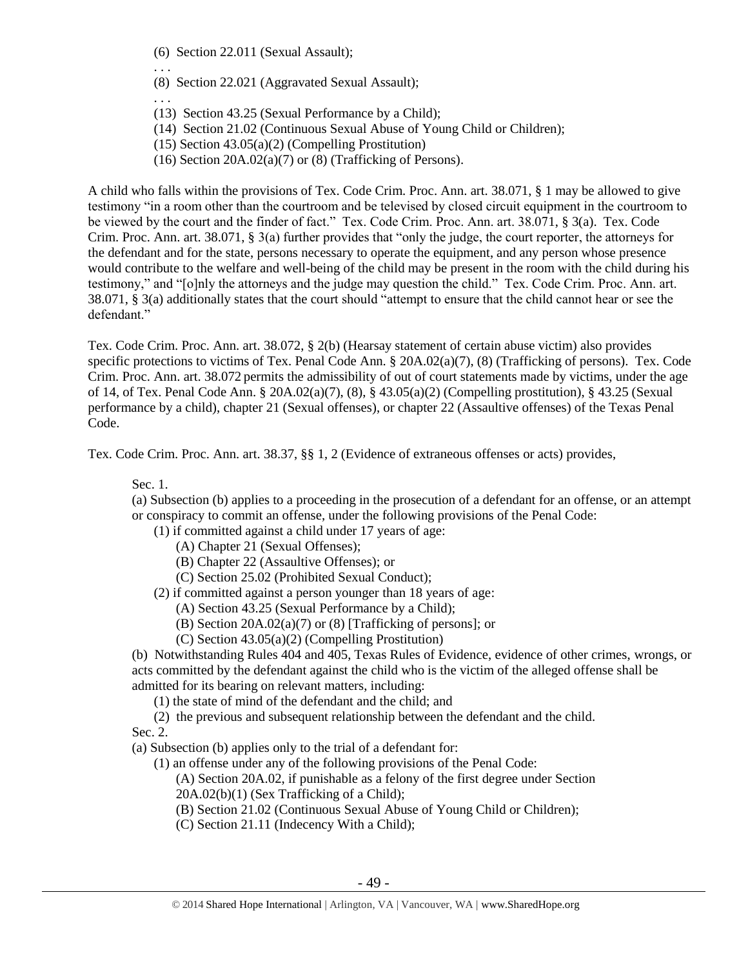(6) Section 22.011 (Sexual Assault);

. . .

- (8) Section 22.021 (Aggravated Sexual Assault);
- . . . (13) Section 43.25 (Sexual Performance by a Child);
- (14) Section 21.02 (Continuous Sexual Abuse of Young Child or Children);
- (15) Section 43.05(a)(2) (Compelling Prostitution)
- (16) Section  $20A.02(a)(7)$  or (8) (Trafficking of Persons).

A child who falls within the provisions of Tex. Code Crim. Proc. Ann. art. 38.071, § 1 may be allowed to give testimony "in a room other than the courtroom and be televised by closed circuit equipment in the courtroom to be viewed by the court and the finder of fact." Tex. Code Crim. Proc. Ann. art. 38.071, § 3(a). Tex. Code Crim. Proc. Ann. art. 38.071, § 3(a) further provides that "only the judge, the court reporter, the attorneys for the defendant and for the state, persons necessary to operate the equipment, and any person whose presence would contribute to the welfare and well-being of the child may be present in the room with the child during his testimony," and "[o]nly the attorneys and the judge may question the child." Tex. Code Crim. Proc. Ann. art. 38.071, § 3(a) additionally states that the court should "attempt to ensure that the child cannot hear or see the defendant."

Tex. Code Crim. Proc. Ann. art. 38.072, § 2(b) (Hearsay statement of certain abuse victim) also provides specific protections to victims of Tex. Penal Code Ann. § 20A.02(a)(7), (8) (Trafficking of persons). Tex. Code Crim. Proc. Ann. art. 38.072 permits the admissibility of out of court statements made by victims, under the age of 14, of Tex. Penal Code Ann. § 20A.02(a)(7), (8), § 43.05(a)(2) (Compelling prostitution), § 43.25 (Sexual performance by a child), chapter 21 (Sexual offenses), or chapter 22 (Assaultive offenses) of the Texas Penal Code.

Tex. Code Crim. Proc. Ann. art. 38.37, §§ 1, 2 (Evidence of extraneous offenses or acts) provides,

Sec. 1.

(a) Subsection (b) applies to a proceeding in the prosecution of a defendant for an offense, or an attempt or conspiracy to commit an offense, under the following provisions of the Penal Code:

(1) if committed against a child under 17 years of age:

- (A) Chapter 21 (Sexual Offenses);
- (B) Chapter 22 (Assaultive Offenses); or
- (C) Section 25.02 (Prohibited Sexual Conduct);

(2) if committed against a person younger than 18 years of age:

- (A) Section 43.25 (Sexual Performance by a Child);
- (B) Section 20A.02(a)(7) or (8) [Trafficking of persons]; or
- (C) Section 43.05(a)(2) (Compelling Prostitution)

(b) Notwithstanding Rules 404 and 405, Texas Rules of Evidence, evidence of other crimes, wrongs, or acts committed by the defendant against the child who is the victim of the alleged offense shall be admitted for its bearing on relevant matters, including:

(1) the state of mind of the defendant and the child; and

(2) the previous and subsequent relationship between the defendant and the child.

Sec. 2.

(a) Subsection (b) applies only to the trial of a defendant for:

(1) an offense under any of the following provisions of the Penal Code:

(A) Section 20A.02, if punishable as a felony of the first degree under Section 20A.02(b)(1) (Sex Trafficking of a Child);

(B) Section 21.02 (Continuous Sexual Abuse of Young Child or Children);

(C) Section 21.11 (Indecency With a Child);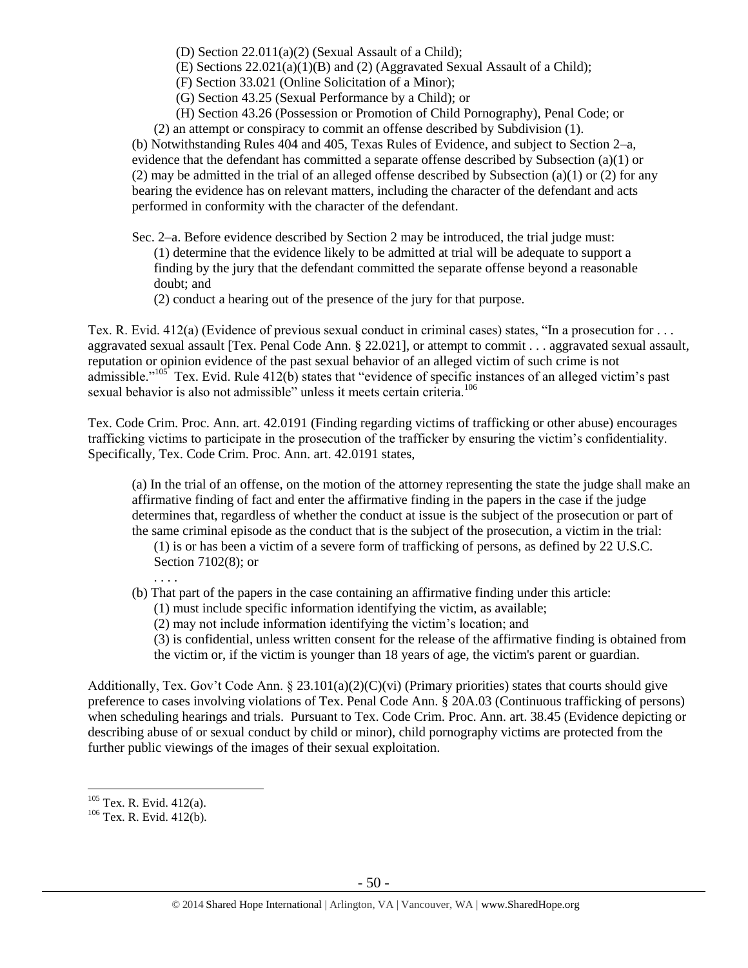(D) Section 22.011(a)(2) (Sexual Assault of a Child);

(E) Sections 22.021(a)(1)(B) and (2) (Aggravated Sexual Assault of a Child);

(F) Section 33.021 (Online Solicitation of a Minor);

(G) Section 43.25 (Sexual Performance by a Child); or

(H) Section 43.26 (Possession or Promotion of Child Pornography), Penal Code; or

(2) an attempt or conspiracy to commit an offense described by Subdivision (1).

(b) Notwithstanding Rules 404 and 405, Texas Rules of Evidence, and subject to Section 2–a, evidence that the defendant has committed a separate offense described by Subsection (a)(1) or (2) may be admitted in the trial of an alleged offense described by Subsection (a)(1) or (2) for any bearing the evidence has on relevant matters, including the character of the defendant and acts performed in conformity with the character of the defendant.

Sec. 2–a. Before evidence described by Section 2 may be introduced, the trial judge must: (1) determine that the evidence likely to be admitted at trial will be adequate to support a finding by the jury that the defendant committed the separate offense beyond a reasonable doubt; and

(2) conduct a hearing out of the presence of the jury for that purpose.

Tex. R. Evid. 412(a) (Evidence of previous sexual conduct in criminal cases) states, "In a prosecution for . . . aggravated sexual assault [Tex. Penal Code Ann. § 22.021], or attempt to commit . . . aggravated sexual assault, reputation or opinion evidence of the past sexual behavior of an alleged victim of such crime is not admissible."<sup>105</sup> Tex. Evid. Rule 412(b) states that "evidence of specific instances of an alleged victim's past sexual behavior is also not admissible" unless it meets certain criteria.<sup>106</sup>

Tex. Code Crim. Proc. Ann. art. 42.0191 (Finding regarding victims of trafficking or other abuse) encourages trafficking victims to participate in the prosecution of the trafficker by ensuring the victim's confidentiality. Specifically, Tex. Code Crim. Proc. Ann. art. 42.0191 states,

(a) In the trial of an offense, on the motion of the attorney representing the state the judge shall make an affirmative finding of fact and enter the affirmative finding in the papers in the case if the judge determines that, regardless of whether the conduct at issue is the subject of the prosecution or part of the same criminal episode as the conduct that is the subject of the prosecution, a victim in the trial:

(1) is or has been a victim of a severe form of trafficking of persons, as defined by 22 U.S.C. Section 7102(8); or

. . . .

(b) That part of the papers in the case containing an affirmative finding under this article:

(1) must include specific information identifying the victim, as available;

(2) may not include information identifying the victim's location; and

(3) is confidential, unless written consent for the release of the affirmative finding is obtained from the victim or, if the victim is younger than 18 years of age, the victim's parent or guardian.

Additionally, Tex. Gov't Code Ann. § 23.101(a)(2)(C)(vi) (Primary priorities) states that courts should give preference to cases involving violations of Tex. Penal Code Ann. § 20A.03 (Continuous trafficking of persons) when scheduling hearings and trials. Pursuant to Tex. Code Crim. Proc. Ann. art. 38.45 (Evidence depicting or describing abuse of or sexual conduct by child or minor), child pornography victims are protected from the further public viewings of the images of their sexual exploitation.

<sup>&</sup>lt;sup>105</sup> Tex. R. Evid. 412(a).

<sup>106</sup> Tex. R. Evid. 412(b).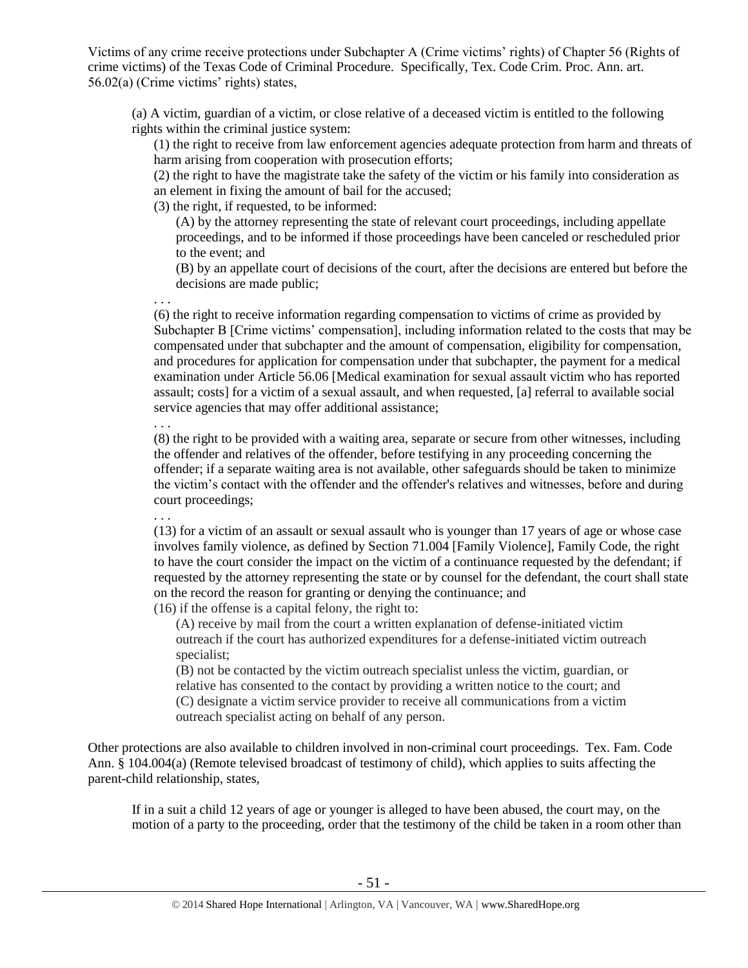Victims of any crime receive protections under Subchapter A (Crime victims' rights) of Chapter 56 (Rights of crime victims) of the Texas Code of Criminal Procedure. Specifically, Tex. Code Crim. Proc. Ann. art. 56.02(a) (Crime victims' rights) states,

(a) A victim, guardian of a victim, or close relative of a deceased victim is entitled to the following rights within the criminal justice system:

(1) the right to receive from law enforcement agencies adequate protection from harm and threats of harm arising from cooperation with prosecution efforts;

(2) the right to have the magistrate take the safety of the victim or his family into consideration as an element in fixing the amount of bail for the accused;

(3) the right, if requested, to be informed:

(A) by the attorney representing the state of relevant court proceedings, including appellate proceedings, and to be informed if those proceedings have been canceled or rescheduled prior to the event; and

(B) by an appellate court of decisions of the court, after the decisions are entered but before the decisions are made public;

. . .

(6) the right to receive information regarding compensation to victims of crime as provided by Subchapter B [Crime victims' compensation], including information related to the costs that may be compensated under that subchapter and the amount of compensation, eligibility for compensation, and procedures for application for compensation under that subchapter, the payment for a medical examination under Article 56.06 [Medical examination for sexual assault victim who has reported assault; costs] for a victim of a sexual assault, and when requested, [a] referral to available social service agencies that may offer additional assistance;

. . .

(8) the right to be provided with a waiting area, separate or secure from other witnesses, including the offender and relatives of the offender, before testifying in any proceeding concerning the offender; if a separate waiting area is not available, other safeguards should be taken to minimize the victim's contact with the offender and the offender's relatives and witnesses, before and during court proceedings;

. . .

(13) for a victim of an assault or sexual assault who is younger than 17 years of age or whose case involves family violence, as defined by Section 71.004 [Family Violence], Family Code, the right to have the court consider the impact on the victim of a continuance requested by the defendant; if requested by the attorney representing the state or by counsel for the defendant, the court shall state on the record the reason for granting or denying the continuance; and

(16) if the offense is a capital felony, the right to:

(A) receive by mail from the court a written explanation of defense-initiated victim outreach if the court has authorized expenditures for a defense-initiated victim outreach specialist;

(B) not be contacted by the victim outreach specialist unless the victim, guardian, or relative has consented to the contact by providing a written notice to the court; and (C) designate a victim service provider to receive all communications from a victim outreach specialist acting on behalf of any person.

Other protections are also available to children involved in non-criminal court proceedings. Tex. Fam. Code Ann. § 104.004(a) (Remote televised broadcast of testimony of child), which applies to suits affecting the parent-child relationship, states,

If in a suit a child 12 years of age or younger is alleged to have been abused, the court may, on the motion of a party to the proceeding, order that the testimony of the child be taken in a room other than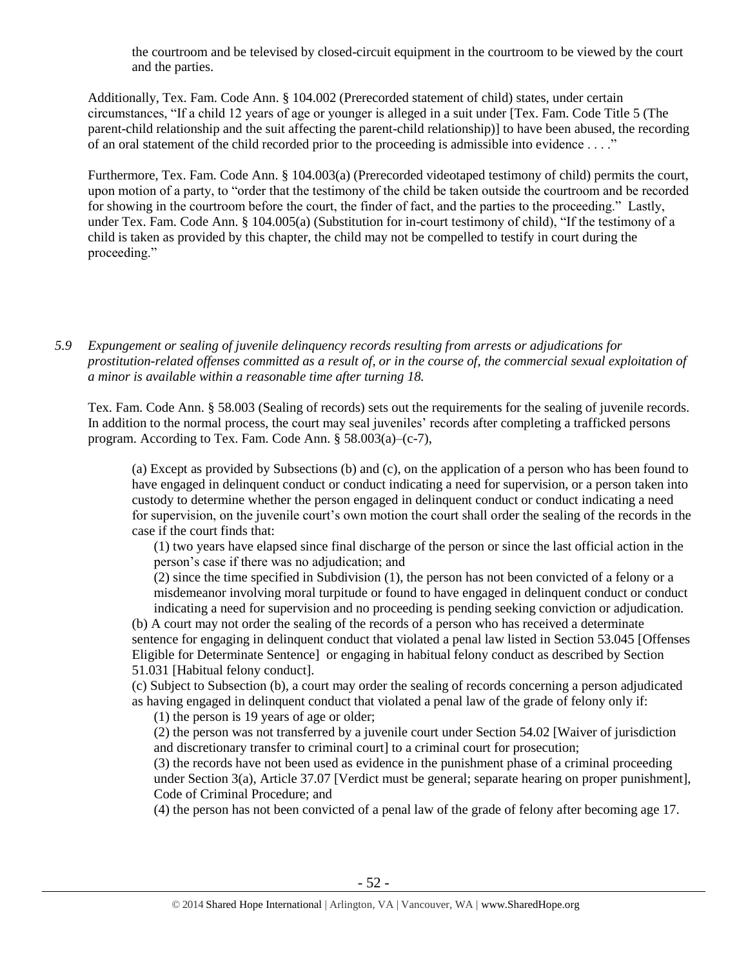the courtroom and be televised by closed-circuit equipment in the courtroom to be viewed by the court and the parties.

Additionally, Tex. Fam. Code Ann. § 104.002 (Prerecorded statement of child) states, under certain circumstances, "If a child 12 years of age or younger is alleged in a suit under [Tex. Fam. Code Title 5 (The parent-child relationship and the suit affecting the parent-child relationship)] to have been abused, the recording of an oral statement of the child recorded prior to the proceeding is admissible into evidence . . . ."

Furthermore, Tex. Fam. Code Ann. § 104.003(a) (Prerecorded videotaped testimony of child) permits the court, upon motion of a party, to "order that the testimony of the child be taken outside the courtroom and be recorded for showing in the courtroom before the court, the finder of fact, and the parties to the proceeding." Lastly, under Tex. Fam. Code Ann. § 104.005(a) (Substitution for in-court testimony of child), "If the testimony of a child is taken as provided by this chapter, the child may not be compelled to testify in court during the proceeding."

*5.9 Expungement or sealing of juvenile delinquency records resulting from arrests or adjudications for prostitution-related offenses committed as a result of, or in the course of, the commercial sexual exploitation of a minor is available within a reasonable time after turning 18.*

Tex. Fam. Code Ann. § 58.003 (Sealing of records) sets out the requirements for the sealing of juvenile records. In addition to the normal process, the court may seal juveniles' records after completing a trafficked persons program. According to Tex. Fam. Code Ann. § 58.003(a)–(c-7),

(a) Except as provided by Subsections (b) and (c), on the application of a person who has been found to have engaged in delinquent conduct or conduct indicating a need for supervision, or a person taken into custody to determine whether the person engaged in delinquent conduct or conduct indicating a need for supervision, on the juvenile court's own motion the court shall order the sealing of the records in the case if the court finds that:

(1) two years have elapsed since final discharge of the person or since the last official action in the person's case if there was no adjudication; and

(2) since the time specified in Subdivision (1), the person has not been convicted of a felony or a misdemeanor involving moral turpitude or found to have engaged in delinquent conduct or conduct indicating a need for supervision and no proceeding is pending seeking conviction or adjudication.

(b) A court may not order the sealing of the records of a person who has received a determinate sentence for engaging in delinquent conduct that violated a penal law listed in Section 53.045 [Offenses Eligible for Determinate Sentence] or engaging in habitual felony conduct as described by Section 51.031 [Habitual felony conduct].

(c) Subject to Subsection (b), a court may order the sealing of records concerning a person adjudicated as having engaged in delinquent conduct that violated a penal law of the grade of felony only if:

(1) the person is 19 years of age or older;

(2) the person was not transferred by a juvenile court under Section 54.02 [Waiver of jurisdiction and discretionary transfer to criminal court] to a criminal court for prosecution;

(3) the records have not been used as evidence in the punishment phase of a criminal proceeding under Section 3(a), Article 37.07 [Verdict must be general; separate hearing on proper punishment], Code of Criminal Procedure; and

(4) the person has not been convicted of a penal law of the grade of felony after becoming age 17.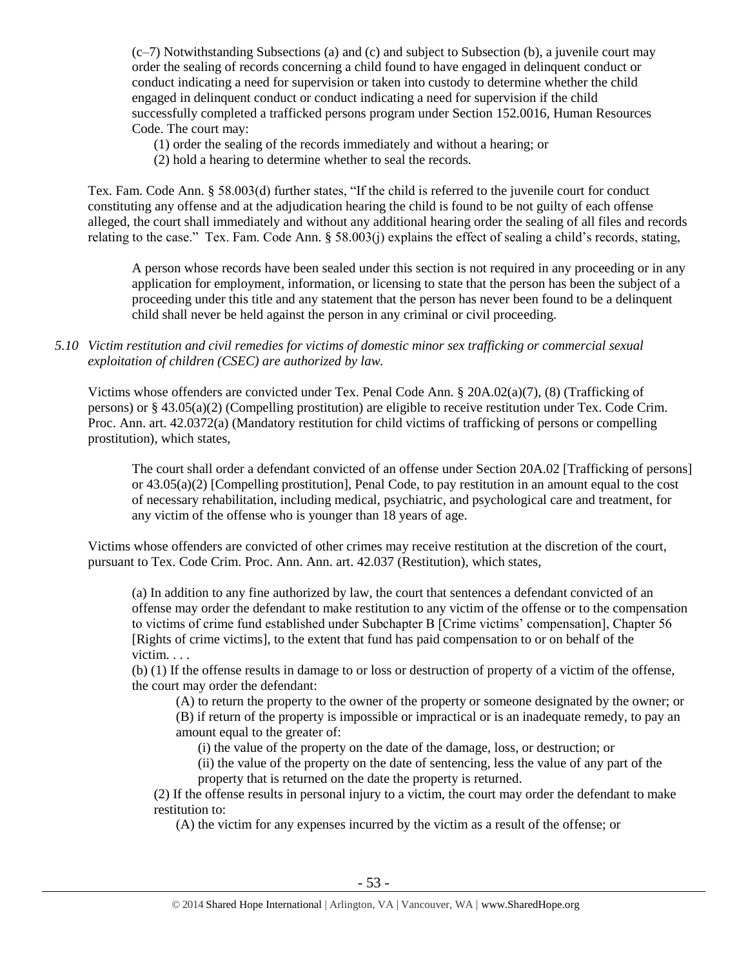$(c-7)$  Notwithstanding Subsections (a) and (c) and subject to Subsection (b), a juvenile court may order the sealing of records concerning a child found to have engaged in delinquent conduct or conduct indicating a need for supervision or taken into custody to determine whether the child engaged in delinquent conduct or conduct indicating a need for supervision if the child successfully completed a trafficked persons program under Section 152.0016, Human Resources Code. The court may:

(1) order the sealing of the records immediately and without a hearing; or

(2) hold a hearing to determine whether to seal the records.

Tex. Fam. Code Ann. § 58.003(d) further states, "If the child is referred to the juvenile court for conduct constituting any offense and at the adjudication hearing the child is found to be not guilty of each offense alleged, the court shall immediately and without any additional hearing order the sealing of all files and records relating to the case." Tex. Fam. Code Ann. § 58.003(j) explains the effect of sealing a child's records, stating,

A person whose records have been sealed under this section is not required in any proceeding or in any application for employment, information, or licensing to state that the person has been the subject of a proceeding under this title and any statement that the person has never been found to be a delinquent child shall never be held against the person in any criminal or civil proceeding.

#### *5.10 Victim restitution and civil remedies for victims of domestic minor sex trafficking or commercial sexual exploitation of children (CSEC) are authorized by law.*

Victims whose offenders are convicted under Tex. Penal Code Ann. § 20A.02(a)(7), (8) (Trafficking of persons) or § 43.05(a)(2) (Compelling prostitution) are eligible to receive restitution under Tex. Code Crim. Proc. Ann. art. 42.0372(a) (Mandatory restitution for child victims of trafficking of persons or compelling prostitution), which states,

The court shall order a defendant convicted of an offense under Section 20A.02 [Trafficking of persons] or 43.05(a)(2) [Compelling prostitution], Penal Code, to pay restitution in an amount equal to the cost of necessary rehabilitation, including medical, psychiatric, and psychological care and treatment, for any victim of the offense who is younger than 18 years of age.

Victims whose offenders are convicted of other crimes may receive restitution at the discretion of the court, pursuant to Tex. Code Crim. Proc. Ann. Ann. art. 42.037 (Restitution), which states,

(a) In addition to any fine authorized by law, the court that sentences a defendant convicted of an offense may order the defendant to make restitution to any victim of the offense or to the compensation to victims of crime fund established under Subchapter B [Crime victims' compensation], Chapter 56 [Rights of crime victims], to the extent that fund has paid compensation to or on behalf of the victim. . . .

(b) (1) If the offense results in damage to or loss or destruction of property of a victim of the offense, the court may order the defendant:

(A) to return the property to the owner of the property or someone designated by the owner; or (B) if return of the property is impossible or impractical or is an inadequate remedy, to pay an amount equal to the greater of:

(i) the value of the property on the date of the damage, loss, or destruction; or

(ii) the value of the property on the date of sentencing, less the value of any part of the property that is returned on the date the property is returned.

(2) If the offense results in personal injury to a victim, the court may order the defendant to make restitution to:

(A) the victim for any expenses incurred by the victim as a result of the offense; or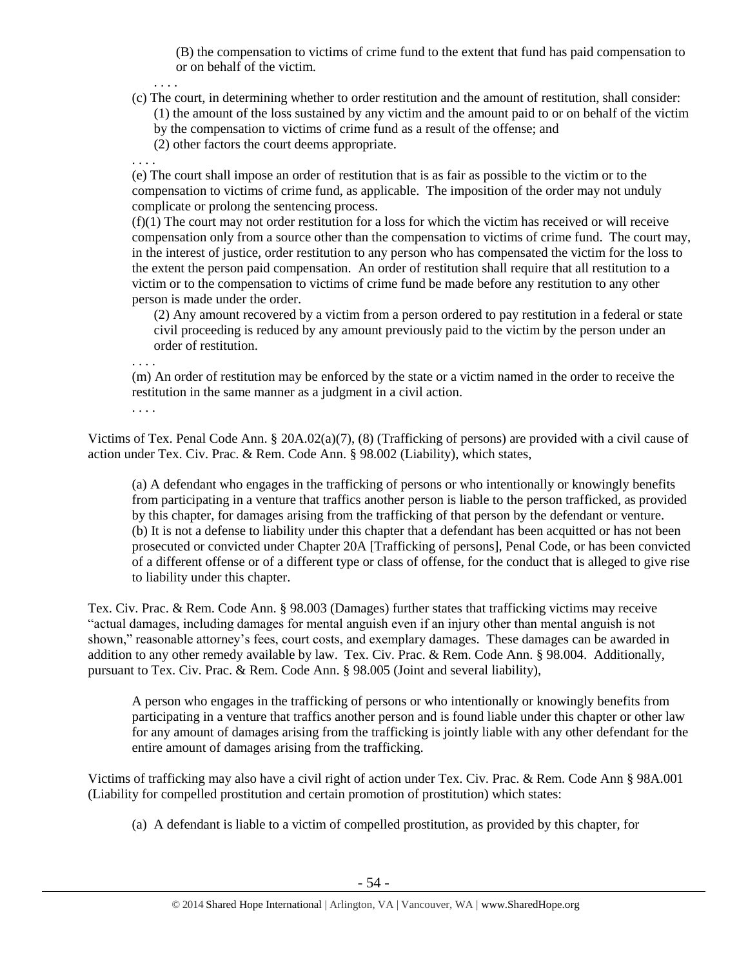(B) the compensation to victims of crime fund to the extent that fund has paid compensation to or on behalf of the victim.

- . . . .
- (c) The court, in determining whether to order restitution and the amount of restitution, shall consider: (1) the amount of the loss sustained by any victim and the amount paid to or on behalf of the victim by the compensation to victims of crime fund as a result of the offense; and
	- (2) other factors the court deems appropriate.

. . . .

(e) The court shall impose an order of restitution that is as fair as possible to the victim or to the compensation to victims of crime fund, as applicable. The imposition of the order may not unduly complicate or prolong the sentencing process.

 $(f)(1)$  The court may not order restitution for a loss for which the victim has received or will receive compensation only from a source other than the compensation to victims of crime fund. The court may, in the interest of justice, order restitution to any person who has compensated the victim for the loss to the extent the person paid compensation. An order of restitution shall require that all restitution to a victim or to the compensation to victims of crime fund be made before any restitution to any other person is made under the order.

(2) Any amount recovered by a victim from a person ordered to pay restitution in a federal or state civil proceeding is reduced by any amount previously paid to the victim by the person under an order of restitution.

. . . .

(m) An order of restitution may be enforced by the state or a victim named in the order to receive the restitution in the same manner as a judgment in a civil action.

. . . .

Victims of Tex. Penal Code Ann. § 20A.02(a)(7), (8) (Trafficking of persons) are provided with a civil cause of action under Tex. Civ. Prac. & Rem. Code Ann. § 98.002 (Liability), which states,

(a) A defendant who engages in the trafficking of persons or who intentionally or knowingly benefits from participating in a venture that traffics another person is liable to the person trafficked, as provided by this chapter, for damages arising from the trafficking of that person by the defendant or venture. (b) It is not a defense to liability under this chapter that a defendant has been acquitted or has not been prosecuted or convicted under Chapter 20A [Trafficking of persons], Penal Code, or has been convicted of a different offense or of a different type or class of offense, for the conduct that is alleged to give rise to liability under this chapter.

Tex. Civ. Prac. & Rem. Code Ann. § 98.003 (Damages) further states that trafficking victims may receive "actual damages, including damages for mental anguish even if an injury other than mental anguish is not shown," reasonable attorney's fees, court costs, and exemplary damages. These damages can be awarded in addition to any other remedy available by law. Tex. Civ. Prac. & Rem. Code Ann. § 98.004. Additionally, pursuant to Tex. Civ. Prac. & Rem. Code Ann. § 98.005 (Joint and several liability),

A person who engages in the trafficking of persons or who intentionally or knowingly benefits from participating in a venture that traffics another person and is found liable under this chapter or other law for any amount of damages arising from the trafficking is jointly liable with any other defendant for the entire amount of damages arising from the trafficking.

Victims of trafficking may also have a civil right of action under Tex. Civ. Prac. & Rem. Code Ann § 98A.001 (Liability for compelled prostitution and certain promotion of prostitution) which states:

(a) A defendant is liable to a victim of compelled prostitution, as provided by this chapter, for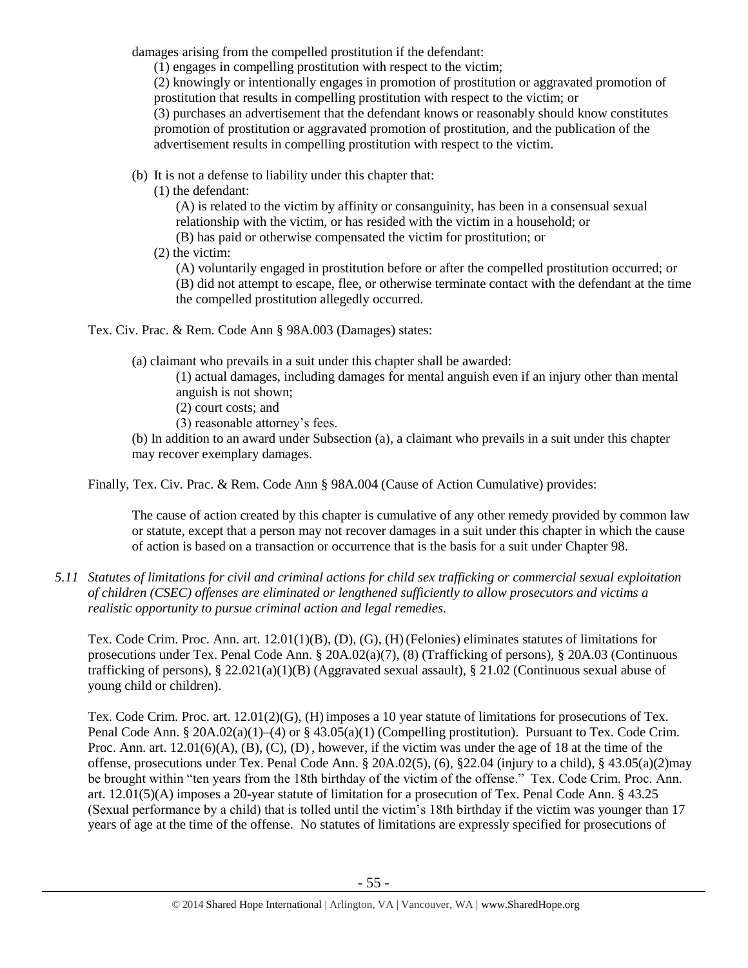damages arising from the compelled prostitution if the defendant:

(1) engages in compelling prostitution with respect to the victim;

(2) knowingly or intentionally engages in promotion of prostitution or aggravated promotion of prostitution that results in compelling prostitution with respect to the victim; or

(3) purchases an advertisement that the defendant knows or reasonably should know constitutes promotion of prostitution or aggravated promotion of prostitution, and the publication of the advertisement results in compelling prostitution with respect to the victim.

- (b) It is not a defense to liability under this chapter that:
	- (1) the defendant:

(A) is related to the victim by affinity or consanguinity, has been in a consensual sexual relationship with the victim, or has resided with the victim in a household; or

- (B) has paid or otherwise compensated the victim for prostitution; or
- (2) the victim:

(A) voluntarily engaged in prostitution before or after the compelled prostitution occurred; or (B) did not attempt to escape, flee, or otherwise terminate contact with the defendant at the time the compelled prostitution allegedly occurred.

Tex. Civ. Prac. & Rem. Code Ann § 98A.003 (Damages) states:

(a) claimant who prevails in a suit under this chapter shall be awarded:

(1) actual damages, including damages for mental anguish even if an injury other than mental anguish is not shown;

- (2) court costs; and
- (3) reasonable attorney's fees.

(b) In addition to an award under Subsection (a), a claimant who prevails in a suit under this chapter may recover exemplary damages.

Finally, Tex. Civ. Prac. & Rem. Code Ann § 98A.004 (Cause of Action Cumulative) provides:

The cause of action created by this chapter is cumulative of any other remedy provided by common law or statute, except that a person may not recover damages in a suit under this chapter in which the cause of action is based on a transaction or occurrence that is the basis for a suit under Chapter 98.

*5.11 Statutes of limitations for civil and criminal actions for child sex trafficking or commercial sexual exploitation of children (CSEC) offenses are eliminated or lengthened sufficiently to allow prosecutors and victims a realistic opportunity to pursue criminal action and legal remedies.*

Tex. Code Crim. Proc. Ann. art. 12.01(1)(B), (D), (G), (H)(Felonies) eliminates statutes of limitations for prosecutions under Tex. Penal Code Ann. § 20A.02(a)(7), (8) (Trafficking of persons), § 20A.03 (Continuous trafficking of persons), § 22.021(a)(1)(B) (Aggravated sexual assault), § 21.02 (Continuous sexual abuse of young child or children).

Tex. Code Crim. Proc. art. 12.01(2)(G), (H) imposes a 10 year statute of limitations for prosecutions of Tex. Penal Code Ann. § 20A.02(a)(1)–(4) or § 43.05(a)(1) (Compelling prostitution). Pursuant to Tex. Code Crim. Proc. Ann. art.  $12.01(6)(A)$ ,  $(B)$ ,  $(C)$ ,  $(D)$ , however, if the victim was under the age of 18 at the time of the offense, prosecutions under Tex. Penal Code Ann. § 20A.02(5), (6), §22.04 (injury to a child), § 43.05(a)(2)may be brought within "ten years from the 18th birthday of the victim of the offense." Tex. Code Crim. Proc. Ann. art. 12.01(5)(A) imposes a 20-year statute of limitation for a prosecution of Tex. Penal Code Ann. § 43.25 (Sexual performance by a child) that is tolled until the victim's 18th birthday if the victim was younger than 17 years of age at the time of the offense. No statutes of limitations are expressly specified for prosecutions of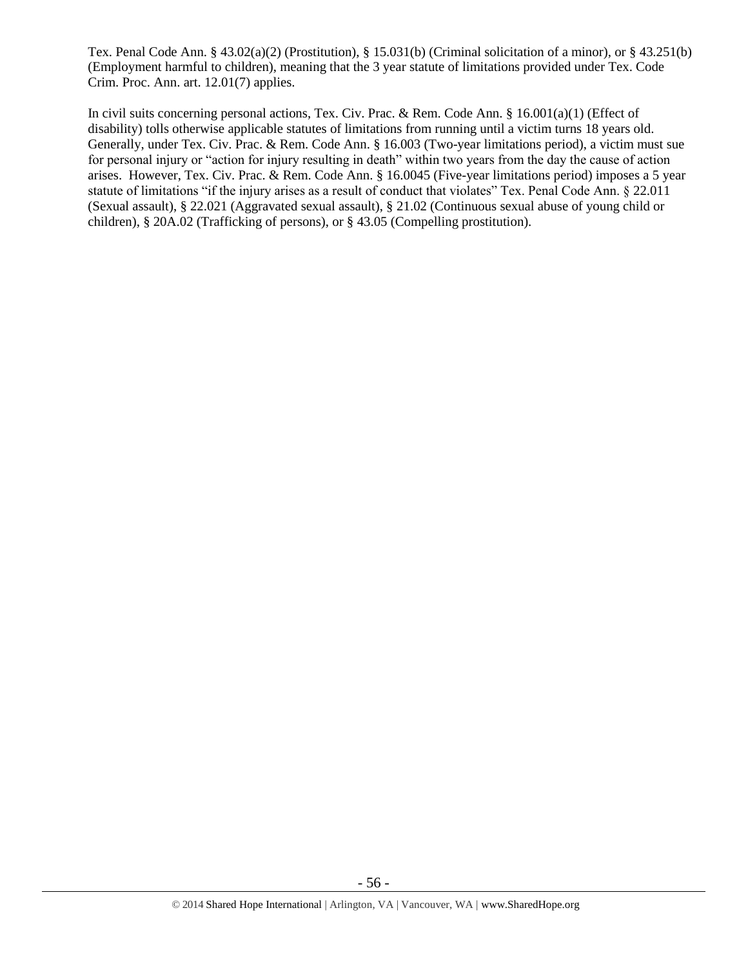Tex. Penal Code Ann. § 43.02(a)(2) (Prostitution), § 15.031(b) (Criminal solicitation of a minor), or § 43.251(b) (Employment harmful to children), meaning that the 3 year statute of limitations provided under Tex. Code Crim. Proc. Ann. art. 12.01(7) applies.

In civil suits concerning personal actions, Tex. Civ. Prac. & Rem. Code Ann. § 16.001(a)(1) (Effect of disability) tolls otherwise applicable statutes of limitations from running until a victim turns 18 years old. Generally, under Tex. Civ. Prac. & Rem. Code Ann. § 16.003 (Two-year limitations period), a victim must sue for personal injury or "action for injury resulting in death" within two years from the day the cause of action arises. However, Tex. Civ. Prac. & Rem. Code Ann. § 16.0045 (Five-year limitations period) imposes a 5 year statute of limitations "if the injury arises as a result of conduct that violates" Tex. Penal Code Ann. § 22.011 (Sexual assault), § 22.021 (Aggravated sexual assault), § 21.02 (Continuous sexual abuse of young child or children), § 20A.02 (Trafficking of persons), or § 43.05 (Compelling prostitution).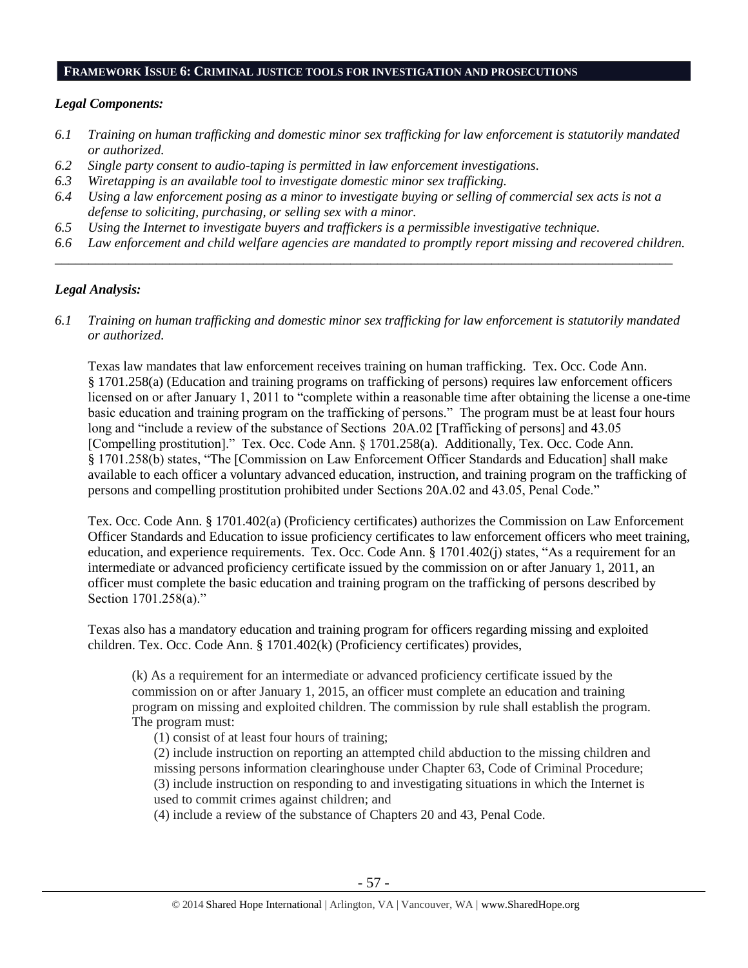#### **FRAMEWORK ISSUE 6: CRIMINAL JUSTICE TOOLS FOR INVESTIGATION AND PROSECUTIONS**

#### *Legal Components:*

- *6.1 Training on human trafficking and domestic minor sex trafficking for law enforcement is statutorily mandated or authorized.*
- *6.2 Single party consent to audio-taping is permitted in law enforcement investigations.*
- *6.3 Wiretapping is an available tool to investigate domestic minor sex trafficking.*
- *6.4 Using a law enforcement posing as a minor to investigate buying or selling of commercial sex acts is not a defense to soliciting, purchasing, or selling sex with a minor.*
- *6.5 Using the Internet to investigate buyers and traffickers is a permissible investigative technique.*
- *6.6 Law enforcement and child welfare agencies are mandated to promptly report missing and recovered children. \_\_\_\_\_\_\_\_\_\_\_\_\_\_\_\_\_\_\_\_\_\_\_\_\_\_\_\_\_\_\_\_\_\_\_\_\_\_\_\_\_\_\_\_\_\_\_\_\_\_\_\_\_\_\_\_\_\_\_\_\_\_\_\_\_\_\_\_\_\_\_\_\_\_\_\_\_\_\_\_\_\_\_\_\_\_\_\_\_\_\_\_*

## *Legal Analysis:*

*6.1 Training on human trafficking and domestic minor sex trafficking for law enforcement is statutorily mandated or authorized.*

Texas law mandates that law enforcement receives training on human trafficking. Tex. Occ. Code Ann. § 1701.258(a) (Education and training programs on trafficking of persons) requires law enforcement officers licensed on or after January 1, 2011 to "complete within a reasonable time after obtaining the license a one-time basic education and training program on the trafficking of persons." The program must be at least four hours long and "include a review of the substance of Sections 20A.02 [Trafficking of persons] and 43.05 [Compelling prostitution]." Tex. Occ. Code Ann. § 1701.258(a). Additionally, Tex. Occ. Code Ann. § 1701.258(b) states, "The [Commission on Law Enforcement Officer Standards and Education] shall make available to each officer a voluntary advanced education, instruction, and training program on the trafficking of persons and compelling prostitution prohibited under Sections 20A.02 and 43.05, Penal Code."

Tex. Occ. Code Ann. § 1701.402(a) (Proficiency certificates) authorizes the Commission on Law Enforcement Officer Standards and Education to issue proficiency certificates to law enforcement officers who meet training, education, and experience requirements. Tex. Occ. Code Ann. § 1701.402(j) states, "As a requirement for an intermediate or advanced proficiency certificate issued by the commission on or after January 1, 2011, an officer must complete the basic education and training program on the trafficking of persons described by Section 1701.258(a)."

Texas also has a mandatory education and training program for officers regarding missing and exploited children. Tex. Occ. Code Ann. § 1701.402(k) (Proficiency certificates) provides,

(k) As a requirement for an intermediate or advanced proficiency certificate issued by the commission on or after January 1, 2015, an officer must complete an education and training program on missing and exploited children. The commission by rule shall establish the program. The program must:

(1) consist of at least four hours of training;

(2) include instruction on reporting an attempted child abduction to the missing children and missing persons information clearinghouse under Chapter 63, Code of Criminal Procedure; (3) include instruction on responding to and investigating situations in which the Internet is used to commit crimes against children; and

(4) include a review of the substance of Chapters 20 and 43, Penal Code.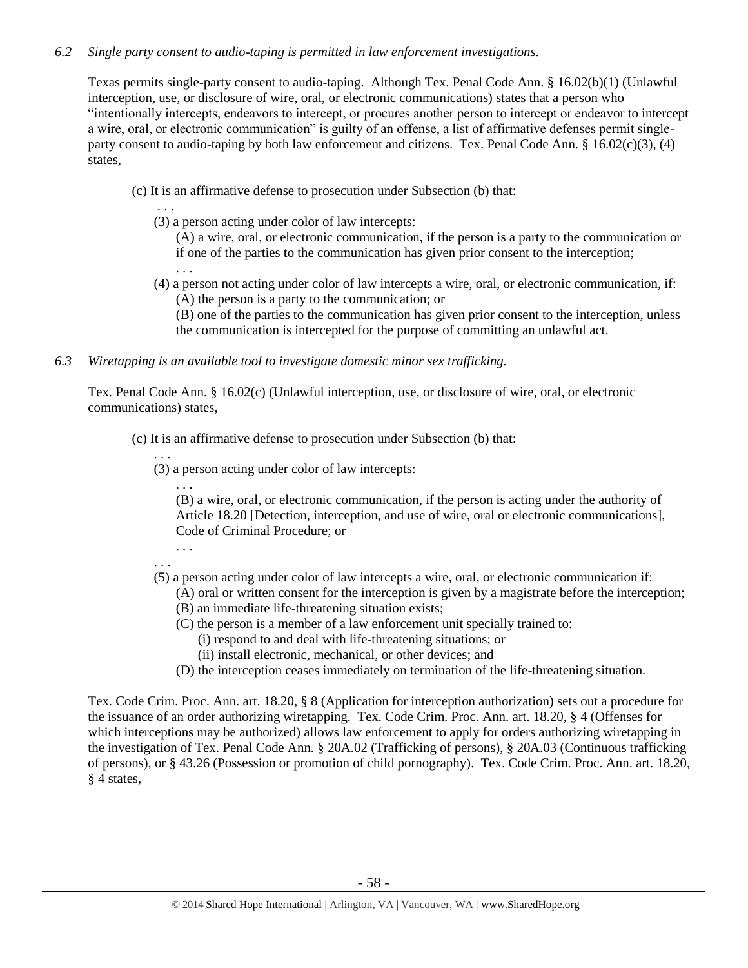#### *6.2 Single party consent to audio-taping is permitted in law enforcement investigations.*

Texas permits single-party consent to audio-taping. Although Tex. Penal Code Ann. § 16.02(b)(1) (Unlawful interception, use, or disclosure of wire, oral, or electronic communications) states that a person who "intentionally intercepts, endeavors to intercept, or procures another person to intercept or endeavor to intercept a wire, oral, or electronic communication" is guilty of an offense, a list of affirmative defenses permit singleparty consent to audio-taping by both law enforcement and citizens. Tex. Penal Code Ann. §  $16.02(c)(3)$ , (4) states,

- (c) It is an affirmative defense to prosecution under Subsection (b) that:
	- . . . (3) a person acting under color of law intercepts:
		- (A) a wire, oral, or electronic communication, if the person is a party to the communication or if one of the parties to the communication has given prior consent to the interception;
	- (4) a person not acting under color of law intercepts a wire, oral, or electronic communication, if: (A) the person is a party to the communication; or
		- (B) one of the parties to the communication has given prior consent to the interception, unless the communication is intercepted for the purpose of committing an unlawful act.
- *6.3 Wiretapping is an available tool to investigate domestic minor sex trafficking.*

Tex. Penal Code Ann. § 16.02(c) (Unlawful interception, use, or disclosure of wire, oral, or electronic communications) states,

- (c) It is an affirmative defense to prosecution under Subsection (b) that:
	- . . .

. . .

(3) a person acting under color of law intercepts:

. . . (B) a wire, oral, or electronic communication, if the person is acting under the authority of Article 18.20 [Detection, interception, and use of wire, oral or electronic communications], Code of Criminal Procedure; or

. . .

. . .

(5) a person acting under color of law intercepts a wire, oral, or electronic communication if:

(A) oral or written consent for the interception is given by a magistrate before the interception; (B) an immediate life-threatening situation exists;

- (C) the person is a member of a law enforcement unit specially trained to:
- (i) respond to and deal with life-threatening situations; or
	- (ii) install electronic, mechanical, or other devices; and
- (D) the interception ceases immediately on termination of the life-threatening situation.

Tex. Code Crim. Proc. Ann. art. 18.20, § 8 (Application for interception authorization) sets out a procedure for the issuance of an order authorizing wiretapping. Tex. Code Crim. Proc. Ann. art. 18.20, § 4 (Offenses for which interceptions may be authorized) allows law enforcement to apply for orders authorizing wiretapping in the investigation of Tex. Penal Code Ann. § 20A.02 (Trafficking of persons), § 20A.03 (Continuous trafficking of persons), or § 43.26 (Possession or promotion of child pornography). Tex. Code Crim. Proc. Ann. art. 18.20, § 4 states,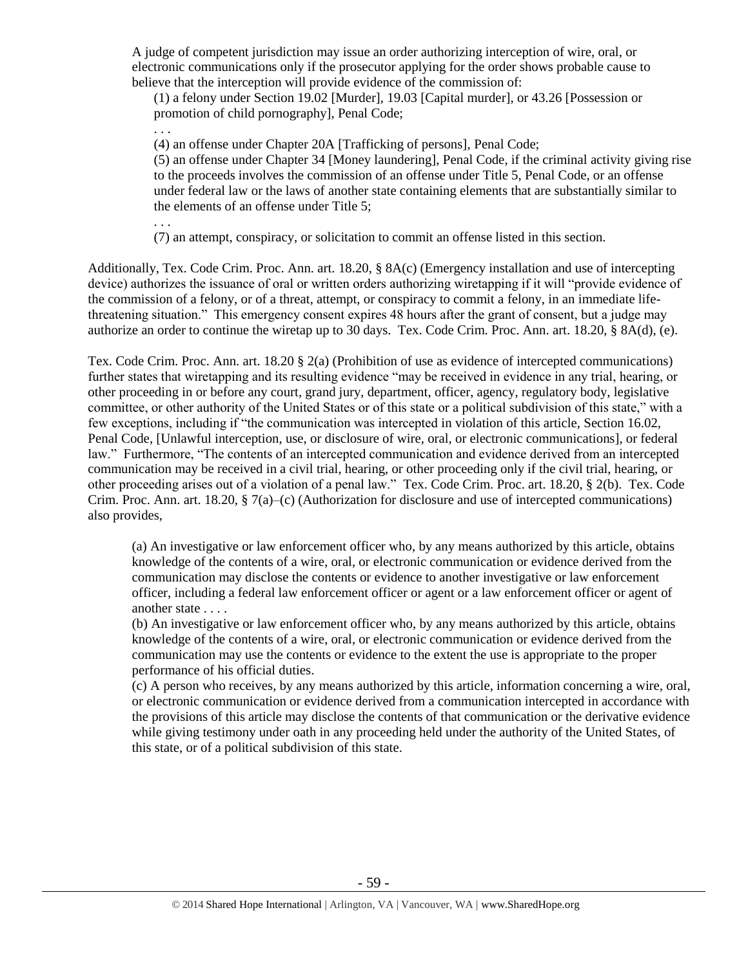A judge of competent jurisdiction may issue an order authorizing interception of wire, oral, or electronic communications only if the prosecutor applying for the order shows probable cause to believe that the interception will provide evidence of the commission of:

(1) a felony under Section 19.02 [Murder], 19.03 [Capital murder], or 43.26 [Possession or promotion of child pornography], Penal Code;

(4) an offense under Chapter 20A [Trafficking of persons], Penal Code;

(5) an offense under Chapter 34 [Money laundering], Penal Code, if the criminal activity giving rise to the proceeds involves the commission of an offense under Title 5, Penal Code, or an offense under federal law or the laws of another state containing elements that are substantially similar to the elements of an offense under Title 5;

. . .

. . .

(7) an attempt, conspiracy, or solicitation to commit an offense listed in this section.

Additionally, Tex. Code Crim. Proc. Ann. art. 18.20, § 8A(c) (Emergency installation and use of intercepting device) authorizes the issuance of oral or written orders authorizing wiretapping if it will "provide evidence of the commission of a felony, or of a threat, attempt, or conspiracy to commit a felony, in an immediate lifethreatening situation." This emergency consent expires 48 hours after the grant of consent, but a judge may authorize an order to continue the wiretap up to 30 days. Tex. Code Crim. Proc. Ann. art. 18.20, § 8A(d), (e).

Tex. Code Crim. Proc. Ann. art. 18.20 § 2(a) (Prohibition of use as evidence of intercepted communications) further states that wiretapping and its resulting evidence "may be received in evidence in any trial, hearing, or other proceeding in or before any court, grand jury, department, officer, agency, regulatory body, legislative committee, or other authority of the United States or of this state or a political subdivision of this state," with a few exceptions, including if "the communication was intercepted in violation of this article, Section 16.02, Penal Code, [Unlawful interception, use, or disclosure of wire, oral, or electronic communications], or federal law." Furthermore, "The contents of an intercepted communication and evidence derived from an intercepted communication may be received in a civil trial, hearing, or other proceeding only if the civil trial, hearing, or other proceeding arises out of a violation of a penal law." Tex. Code Crim. Proc. art. 18.20, § 2(b). Tex. Code Crim. Proc. Ann. art. 18.20, § 7(a)–(c) (Authorization for disclosure and use of intercepted communications) also provides,

(a) An investigative or law enforcement officer who, by any means authorized by this article, obtains knowledge of the contents of a wire, oral, or electronic communication or evidence derived from the communication may disclose the contents or evidence to another investigative or law enforcement officer, including a federal law enforcement officer or agent or a law enforcement officer or agent of another state . . . .

(b) An investigative or law enforcement officer who, by any means authorized by this article, obtains knowledge of the contents of a wire, oral, or electronic communication or evidence derived from the communication may use the contents or evidence to the extent the use is appropriate to the proper performance of his official duties.

(c) A person who receives, by any means authorized by this article, information concerning a wire, oral, or electronic communication or evidence derived from a communication intercepted in accordance with the provisions of this article may disclose the contents of that communication or the derivative evidence while giving testimony under oath in any proceeding held under the authority of the United States, of this state, or of a political subdivision of this state.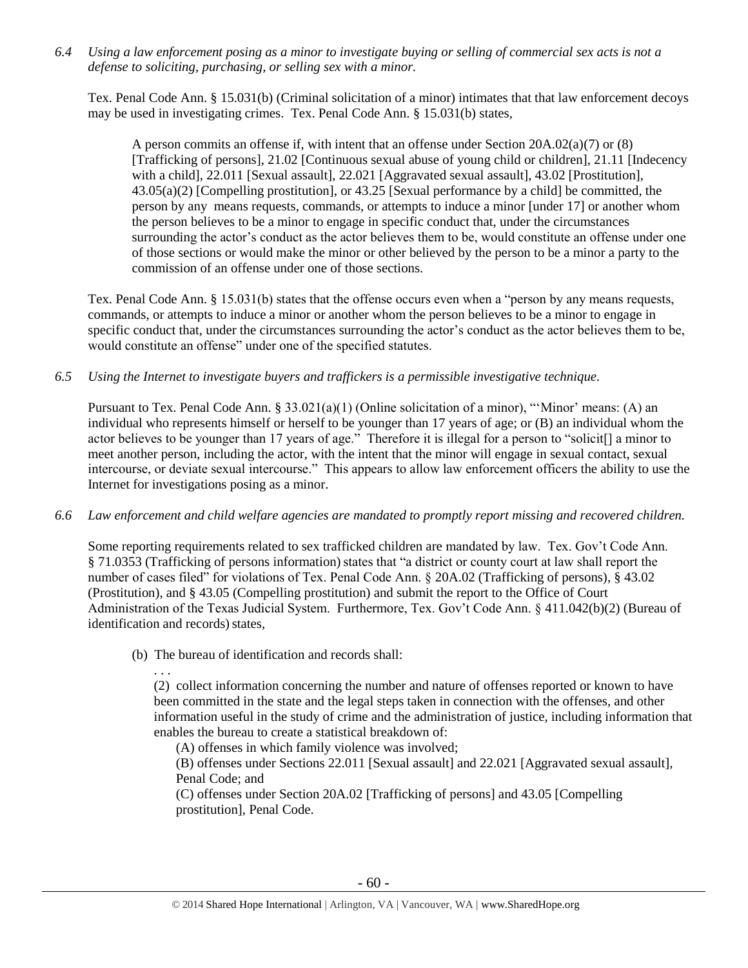*6.4 Using a law enforcement posing as a minor to investigate buying or selling of commercial sex acts is not a defense to soliciting, purchasing, or selling sex with a minor.*

Tex. Penal Code Ann. § 15.031(b) (Criminal solicitation of a minor) intimates that that law enforcement decoys may be used in investigating crimes. Tex. Penal Code Ann. § 15.031(b) states,

A person commits an offense if, with intent that an offense under Section 20A.02(a)(7) or (8) [Trafficking of persons], 21.02 [Continuous sexual abuse of young child or children], 21.11 [Indecency with a child], 22.011 [Sexual assault], 22.021 [Aggravated sexual assault], 43.02 [Prostitution], 43.05(a)(2) [Compelling prostitution], or 43.25 [Sexual performance by a child] be committed, the person by any means requests, commands, or attempts to induce a minor [under 17] or another whom the person believes to be a minor to engage in specific conduct that, under the circumstances surrounding the actor's conduct as the actor believes them to be, would constitute an offense under one of those sections or would make the minor or other believed by the person to be a minor a party to the commission of an offense under one of those sections.

Tex. Penal Code Ann. § 15.031(b) states that the offense occurs even when a "person by any means requests, commands, or attempts to induce a minor or another whom the person believes to be a minor to engage in specific conduct that, under the circumstances surrounding the actor's conduct as the actor believes them to be, would constitute an offense" under one of the specified statutes.

*6.5 Using the Internet to investigate buyers and traffickers is a permissible investigative technique.*

Pursuant to Tex. Penal Code Ann. § 33.021(a)(1) (Online solicitation of a minor), "'Minor' means: (A) an individual who represents himself or herself to be younger than 17 years of age; or (B) an individual whom the actor believes to be younger than 17 years of age." Therefore it is illegal for a person to "solicit[] a minor to meet another person, including the actor, with the intent that the minor will engage in sexual contact, sexual intercourse, or deviate sexual intercourse." This appears to allow law enforcement officers the ability to use the Internet for investigations posing as a minor.

*6.6 Law enforcement and child welfare agencies are mandated to promptly report missing and recovered children.*

Some reporting requirements related to sex trafficked children are mandated by law. Tex. Gov't Code Ann. § 71.0353 (Trafficking of persons information) states that "a district or county court at law shall report the number of cases filed" for violations of Tex. Penal Code Ann. § 20A.02 (Trafficking of persons), § 43.02 (Prostitution), and § 43.05 (Compelling prostitution) and submit the report to the Office of Court Administration of the Texas Judicial System. Furthermore, Tex. Gov't Code Ann. § 411.042(b)(2) (Bureau of identification and records) states,

(b) The bureau of identification and records shall:

. . . (2) collect information concerning the number and nature of offenses reported or known to have been committed in the state and the legal steps taken in connection with the offenses, and other information useful in the study of crime and the administration of justice, including information that enables the bureau to create a statistical breakdown of:

(A) offenses in which family violence was involved;

(B) offenses under Sections 22.011 [Sexual assault] and 22.021 [Aggravated sexual assault], Penal Code; and

(C) offenses under Section 20A.02 [Trafficking of persons] and 43.05 [Compelling prostitution], Penal Code.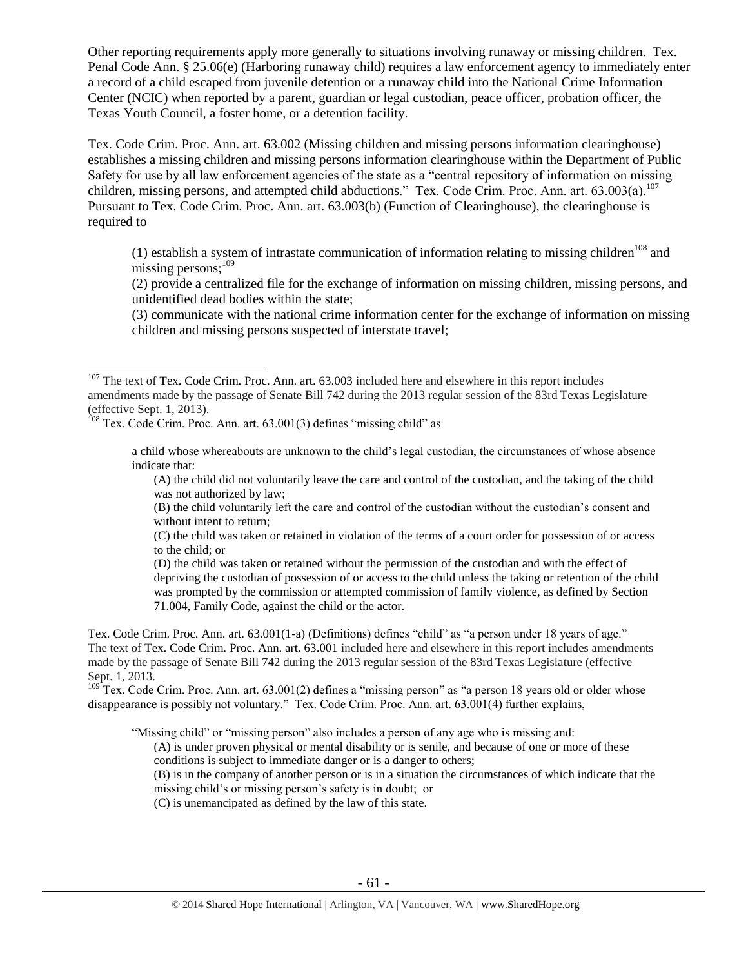Other reporting requirements apply more generally to situations involving runaway or missing children. Tex. Penal Code Ann. § 25.06(e) (Harboring runaway child) requires a law enforcement agency to immediately enter a record of a child escaped from juvenile detention or a runaway child into the National Crime Information Center (NCIC) when reported by a parent, guardian or legal custodian, peace officer, probation officer, the Texas Youth Council, a foster home, or a detention facility.

Tex. Code Crim. Proc. Ann. art. 63.002 (Missing children and missing persons information clearinghouse) establishes a missing children and missing persons information clearinghouse within the Department of Public Safety for use by all law enforcement agencies of the state as a "central repository of information on missing children, missing persons, and attempted child abductions." Tex. Code Crim. Proc. Ann. art. 63.003(a).<sup>107</sup> Pursuant to Tex. Code Crim. Proc. Ann. art. 63.003(b) (Function of Clearinghouse), the clearinghouse is required to

(1) establish a system of intrastate communication of information relating to missing children<sup>108</sup> and missing persons:<sup>109</sup>

(2) provide a centralized file for the exchange of information on missing children, missing persons, and unidentified dead bodies within the state;

(3) communicate with the national crime information center for the exchange of information on missing children and missing persons suspected of interstate travel;

<sup>108</sup> Tex. Code Crim. Proc. Ann. art. 63.001(3) defines "missing child" as

 $\overline{a}$ 

a child whose whereabouts are unknown to the child's legal custodian, the circumstances of whose absence indicate that:

(A) the child did not voluntarily leave the care and control of the custodian, and the taking of the child was not authorized by law;

(B) the child voluntarily left the care and control of the custodian without the custodian's consent and without intent to return;

(C) the child was taken or retained in violation of the terms of a court order for possession of or access to the child; or

(D) the child was taken or retained without the permission of the custodian and with the effect of depriving the custodian of possession of or access to the child unless the taking or retention of the child was prompted by the commission or attempted commission of family violence, as defined by Section 71.004, Family Code, against the child or the actor.

Tex. Code Crim. Proc. Ann. art. 63.001(1-a) (Definitions) defines "child" as "a person under 18 years of age." The text of Tex. Code Crim. Proc. Ann. art. 63.001 included here and elsewhere in this report includes amendments made by the passage of Senate Bill 742 during the 2013 regular session of the 83rd Texas Legislature (effective Sept. 1, 2013.

 $109$ <sup>T</sup>ex. Code Crim. Proc. Ann. art. 63.001(2) defines a "missing person" as "a person 18 years old or older whose disappearance is possibly not voluntary." Tex. Code Crim. Proc. Ann. art. 63.001(4) further explains,

"Missing child" or "missing person" also includes a person of any age who is missing and:

(A) is under proven physical or mental disability or is senile, and because of one or more of these conditions is subject to immediate danger or is a danger to others;

(B) is in the company of another person or is in a situation the circumstances of which indicate that the missing child's or missing person's safety is in doubt; or

(C) is unemancipated as defined by the law of this state.

 $107$  The text of Tex. Code Crim. Proc. Ann. art. 63.003 included here and elsewhere in this report includes amendments made by the passage of Senate Bill 742 during the 2013 regular session of the 83rd Texas Legislature (effective Sept. 1, 2013).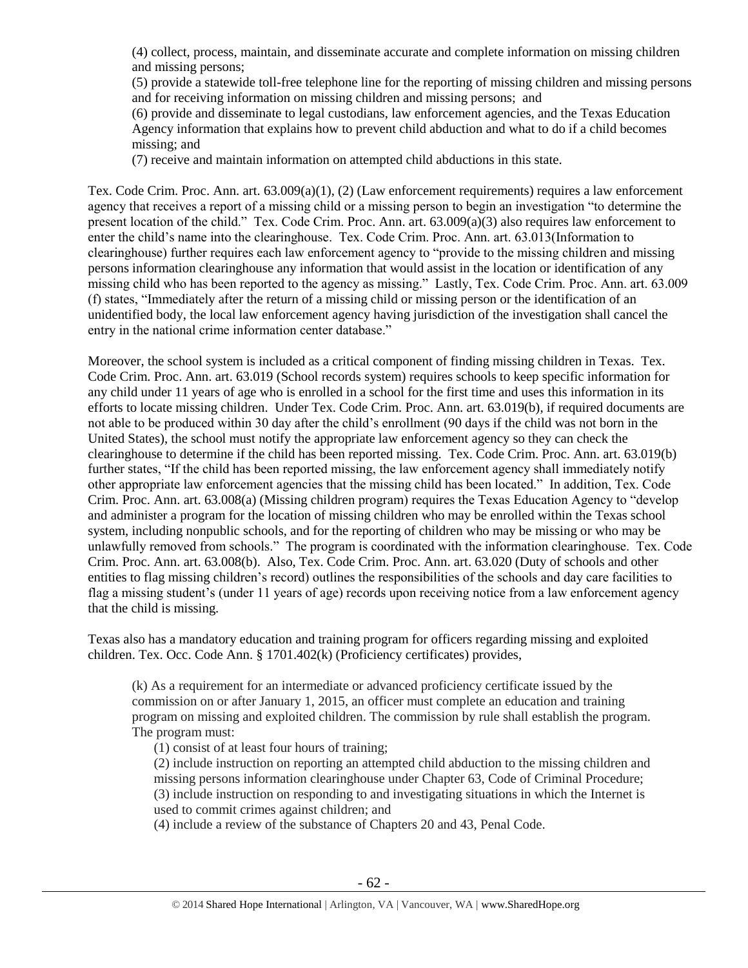(4) collect, process, maintain, and disseminate accurate and complete information on missing children and missing persons;

(5) provide a statewide toll-free telephone line for the reporting of missing children and missing persons and for receiving information on missing children and missing persons; and

(6) provide and disseminate to legal custodians, law enforcement agencies, and the Texas Education Agency information that explains how to prevent child abduction and what to do if a child becomes missing; and

(7) receive and maintain information on attempted child abductions in this state.

Tex. Code Crim. Proc. Ann. art. 63.009(a)(1), (2) (Law enforcement requirements) requires a law enforcement agency that receives a report of a missing child or a missing person to begin an investigation "to determine the present location of the child." Tex. Code Crim. Proc. Ann. art. 63.009(a)(3) also requires law enforcement to enter the child's name into the clearinghouse. Tex. Code Crim. Proc. Ann. art. 63.013(Information to clearinghouse) further requires each law enforcement agency to "provide to the missing children and missing persons information clearinghouse any information that would assist in the location or identification of any missing child who has been reported to the agency as missing." Lastly, Tex. Code Crim. Proc. Ann. art. 63.009 (f) states, "Immediately after the return of a missing child or missing person or the identification of an unidentified body, the local law enforcement agency having jurisdiction of the investigation shall cancel the entry in the national crime information center database."

Moreover, the school system is included as a critical component of finding missing children in Texas. Tex. Code Crim. Proc. Ann. art. 63.019 (School records system) requires schools to keep specific information for any child under 11 years of age who is enrolled in a school for the first time and uses this information in its efforts to locate missing children. Under Tex. Code Crim. Proc. Ann. art. 63.019(b), if required documents are not able to be produced within 30 day after the child's enrollment (90 days if the child was not born in the United States), the school must notify the appropriate law enforcement agency so they can check the clearinghouse to determine if the child has been reported missing. Tex. Code Crim. Proc. Ann. art. 63.019(b) further states, "If the child has been reported missing, the law enforcement agency shall immediately notify other appropriate law enforcement agencies that the missing child has been located." In addition, Tex. Code Crim. Proc. Ann. art. 63.008(a) (Missing children program) requires the Texas Education Agency to "develop and administer a program for the location of missing children who may be enrolled within the Texas school system, including nonpublic schools, and for the reporting of children who may be missing or who may be unlawfully removed from schools." The program is coordinated with the information clearinghouse. Tex. Code Crim. Proc. Ann. art. 63.008(b). Also, Tex. Code Crim. Proc. Ann. art. 63.020 (Duty of schools and other entities to flag missing children's record) outlines the responsibilities of the schools and day care facilities to flag a missing student's (under 11 years of age) records upon receiving notice from a law enforcement agency that the child is missing.

Texas also has a mandatory education and training program for officers regarding missing and exploited children. Tex. Occ. Code Ann. § 1701.402(k) (Proficiency certificates) provides,

(k) As a requirement for an intermediate or advanced proficiency certificate issued by the commission on or after January 1, 2015, an officer must complete an education and training program on missing and exploited children. The commission by rule shall establish the program. The program must:

(1) consist of at least four hours of training;

(2) include instruction on reporting an attempted child abduction to the missing children and missing persons information clearinghouse under Chapter 63, Code of Criminal Procedure; (3) include instruction on responding to and investigating situations in which the Internet is used to commit crimes against children; and

(4) include a review of the substance of Chapters 20 and 43, Penal Code.